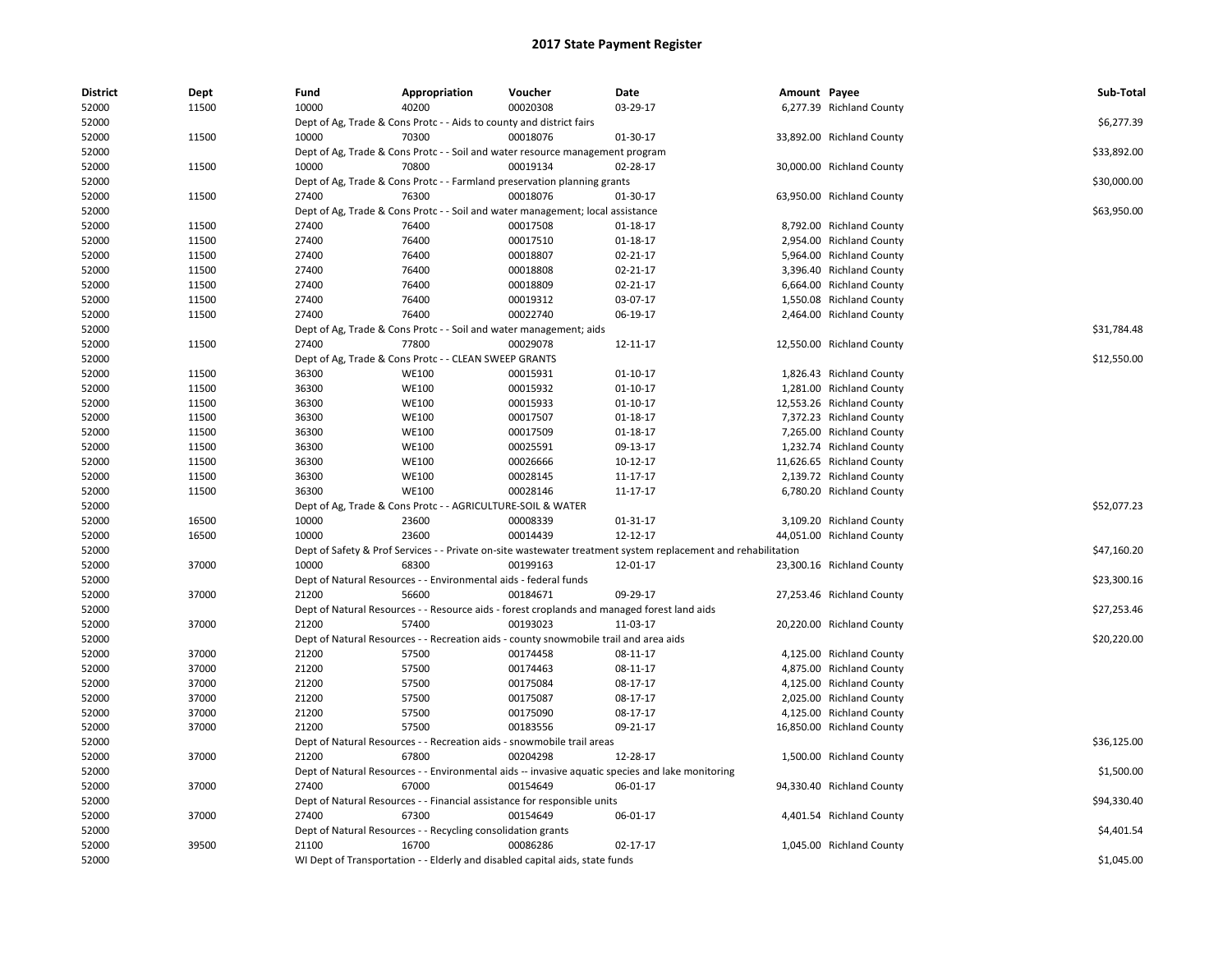| <b>District</b> | Dept  | Fund  | Appropriation                                                        | Voucher                                                                               | Date                                                                                                          | Amount Payee |                           | Sub-Total   |
|-----------------|-------|-------|----------------------------------------------------------------------|---------------------------------------------------------------------------------------|---------------------------------------------------------------------------------------------------------------|--------------|---------------------------|-------------|
| 52000           | 11500 | 10000 | 40200                                                                | 00020308                                                                              | 03-29-17                                                                                                      |              | 6,277.39 Richland County  |             |
| 52000           |       |       | Dept of Ag, Trade & Cons Protc - - Aids to county and district fairs |                                                                                       |                                                                                                               |              |                           | \$6,277.39  |
| 52000           | 11500 | 10000 | 70300                                                                | 00018076                                                                              | 01-30-17                                                                                                      |              | 33,892.00 Richland County |             |
| 52000           |       |       |                                                                      | Dept of Ag, Trade & Cons Protc - - Soil and water resource management program         |                                                                                                               |              |                           | \$33,892.00 |
| 52000           | 11500 | 10000 | 70800                                                                | 00019134                                                                              | 02-28-17                                                                                                      |              | 30,000.00 Richland County |             |
| 52000           |       |       |                                                                      | Dept of Ag, Trade & Cons Protc - - Farmland preservation planning grants              |                                                                                                               |              |                           | \$30,000.00 |
| 52000           | 11500 | 27400 | 76300                                                                | 00018076                                                                              | 01-30-17                                                                                                      |              | 63,950.00 Richland County |             |
| 52000           |       |       |                                                                      | Dept of Ag, Trade & Cons Protc - - Soil and water management; local assistance        |                                                                                                               |              |                           | \$63,950.00 |
| 52000           | 11500 | 27400 | 76400                                                                | 00017508                                                                              | 01-18-17                                                                                                      |              | 8,792.00 Richland County  |             |
| 52000           | 11500 | 27400 | 76400                                                                | 00017510                                                                              | 01-18-17                                                                                                      |              | 2,954.00 Richland County  |             |
| 52000           | 11500 | 27400 | 76400                                                                | 00018807                                                                              | 02-21-17                                                                                                      |              | 5,964.00 Richland County  |             |
| 52000           | 11500 | 27400 | 76400                                                                | 00018808                                                                              | 02-21-17                                                                                                      |              | 3,396.40 Richland County  |             |
| 52000           | 11500 | 27400 | 76400                                                                | 00018809                                                                              | 02-21-17                                                                                                      |              | 6,664.00 Richland County  |             |
| 52000           | 11500 | 27400 | 76400                                                                | 00019312                                                                              | 03-07-17                                                                                                      |              | 1,550.08 Richland County  |             |
| 52000           | 11500 | 27400 | 76400                                                                | 00022740                                                                              | 06-19-17                                                                                                      |              | 2,464.00 Richland County  |             |
| 52000           |       |       | Dept of Ag, Trade & Cons Protc - - Soil and water management; aids   |                                                                                       |                                                                                                               |              |                           | \$31,784.48 |
| 52000           | 11500 | 27400 | 77800                                                                | 00029078                                                                              | 12-11-17                                                                                                      |              | 12,550.00 Richland County |             |
| 52000           |       |       | Dept of Ag, Trade & Cons Protc - - CLEAN SWEEP GRANTS                |                                                                                       |                                                                                                               |              |                           | \$12,550.00 |
| 52000           | 11500 | 36300 | <b>WE100</b>                                                         | 00015931                                                                              | 01-10-17                                                                                                      |              | 1,826.43 Richland County  |             |
| 52000           | 11500 | 36300 | <b>WE100</b>                                                         | 00015932                                                                              | $01 - 10 - 17$                                                                                                |              | 1,281.00 Richland County  |             |
| 52000           | 11500 | 36300 | <b>WE100</b>                                                         | 00015933                                                                              | 01-10-17                                                                                                      |              | 12,553.26 Richland County |             |
| 52000           | 11500 | 36300 | <b>WE100</b>                                                         | 00017507                                                                              | $01 - 18 - 17$                                                                                                |              | 7,372.23 Richland County  |             |
| 52000           | 11500 | 36300 | <b>WE100</b>                                                         | 00017509                                                                              | 01-18-17                                                                                                      |              | 7,265.00 Richland County  |             |
| 52000           | 11500 | 36300 | <b>WE100</b>                                                         | 00025591                                                                              | 09-13-17                                                                                                      |              | 1,232.74 Richland County  |             |
| 52000           | 11500 | 36300 | <b>WE100</b>                                                         | 00026666                                                                              | 10-12-17                                                                                                      |              | 11,626.65 Richland County |             |
| 52000           | 11500 | 36300 | <b>WE100</b>                                                         | 00028145                                                                              | 11-17-17                                                                                                      |              | 2,139.72 Richland County  |             |
| 52000           | 11500 | 36300 | <b>WE100</b>                                                         | 00028146                                                                              | 11-17-17                                                                                                      |              | 6,780.20 Richland County  |             |
| 52000           |       |       | Dept of Ag, Trade & Cons Protc - - AGRICULTURE-SOIL & WATER          |                                                                                       |                                                                                                               |              |                           | \$52,077.23 |
| 52000           | 16500 | 10000 | 23600                                                                | 00008339                                                                              | 01-31-17                                                                                                      |              | 3,109.20 Richland County  |             |
| 52000           | 16500 | 10000 | 23600                                                                | 00014439                                                                              | 12-12-17                                                                                                      |              | 44,051.00 Richland County |             |
| 52000           |       |       |                                                                      |                                                                                       | Dept of Safety & Prof Services - - Private on-site wastewater treatment system replacement and rehabilitation |              |                           | \$47,160.20 |
| 52000           | 37000 | 10000 | 68300                                                                | 00199163                                                                              | 12-01-17                                                                                                      |              | 23,300.16 Richland County |             |
| 52000           |       |       | Dept of Natural Resources - - Environmental aids - federal funds     |                                                                                       |                                                                                                               |              |                           | \$23,300.16 |
| 52000           | 37000 | 21200 | 56600                                                                | 00184671                                                                              | 09-29-17                                                                                                      |              | 27,253.46 Richland County |             |
| 52000           |       |       |                                                                      |                                                                                       | Dept of Natural Resources - - Resource aids - forest croplands and managed forest land aids                   |              |                           | \$27,253.46 |
| 52000           | 37000 | 21200 | 57400                                                                | 00193023                                                                              | 11-03-17                                                                                                      |              | 20,220.00 Richland County |             |
| 52000           |       |       |                                                                      | Dept of Natural Resources - - Recreation aids - county snowmobile trail and area aids |                                                                                                               |              |                           | \$20,220.00 |
| 52000           | 37000 | 21200 | 57500                                                                | 00174458                                                                              | 08-11-17                                                                                                      |              | 4,125.00 Richland County  |             |
| 52000           | 37000 | 21200 | 57500                                                                | 00174463                                                                              | 08-11-17                                                                                                      |              | 4,875.00 Richland County  |             |
| 52000           | 37000 | 21200 | 57500                                                                | 00175084                                                                              | 08-17-17                                                                                                      |              | 4,125.00 Richland County  |             |
| 52000           | 37000 | 21200 | 57500                                                                | 00175087                                                                              | 08-17-17                                                                                                      |              | 2,025.00 Richland County  |             |
| 52000           | 37000 | 21200 | 57500                                                                | 00175090                                                                              | 08-17-17                                                                                                      |              | 4,125.00 Richland County  |             |
| 52000           | 37000 | 21200 | 57500                                                                | 00183556                                                                              | 09-21-17                                                                                                      |              | 16,850.00 Richland County |             |
| 52000           |       |       |                                                                      | Dept of Natural Resources - - Recreation aids - snowmobile trail areas                |                                                                                                               |              |                           | \$36,125.00 |
| 52000           | 37000 | 21200 | 67800                                                                | 00204298                                                                              | 12-28-17                                                                                                      |              | 1,500.00 Richland County  |             |
| 52000           |       |       |                                                                      |                                                                                       | Dept of Natural Resources - - Environmental aids -- invasive aquatic species and lake monitoring              |              |                           | \$1,500.00  |
| 52000           | 37000 | 27400 | 67000                                                                | 00154649                                                                              | 06-01-17                                                                                                      |              | 94,330.40 Richland County |             |
| 52000           |       |       |                                                                      | Dept of Natural Resources - - Financial assistance for responsible units              |                                                                                                               |              |                           | \$94,330.40 |
| 52000           | 37000 | 27400 | 67300                                                                | 00154649                                                                              | 06-01-17                                                                                                      |              | 4,401.54 Richland County  |             |
| 52000           |       |       | Dept of Natural Resources - - Recycling consolidation grants         |                                                                                       |                                                                                                               |              |                           | \$4,401.54  |
| 52000           | 39500 | 21100 | 16700                                                                | 00086286                                                                              | 02-17-17                                                                                                      |              | 1,045.00 Richland County  |             |
| 52000           |       |       |                                                                      | WI Dept of Transportation - - Elderly and disabled capital aids, state funds          |                                                                                                               |              |                           | \$1,045.00  |
|                 |       |       |                                                                      |                                                                                       |                                                                                                               |              |                           |             |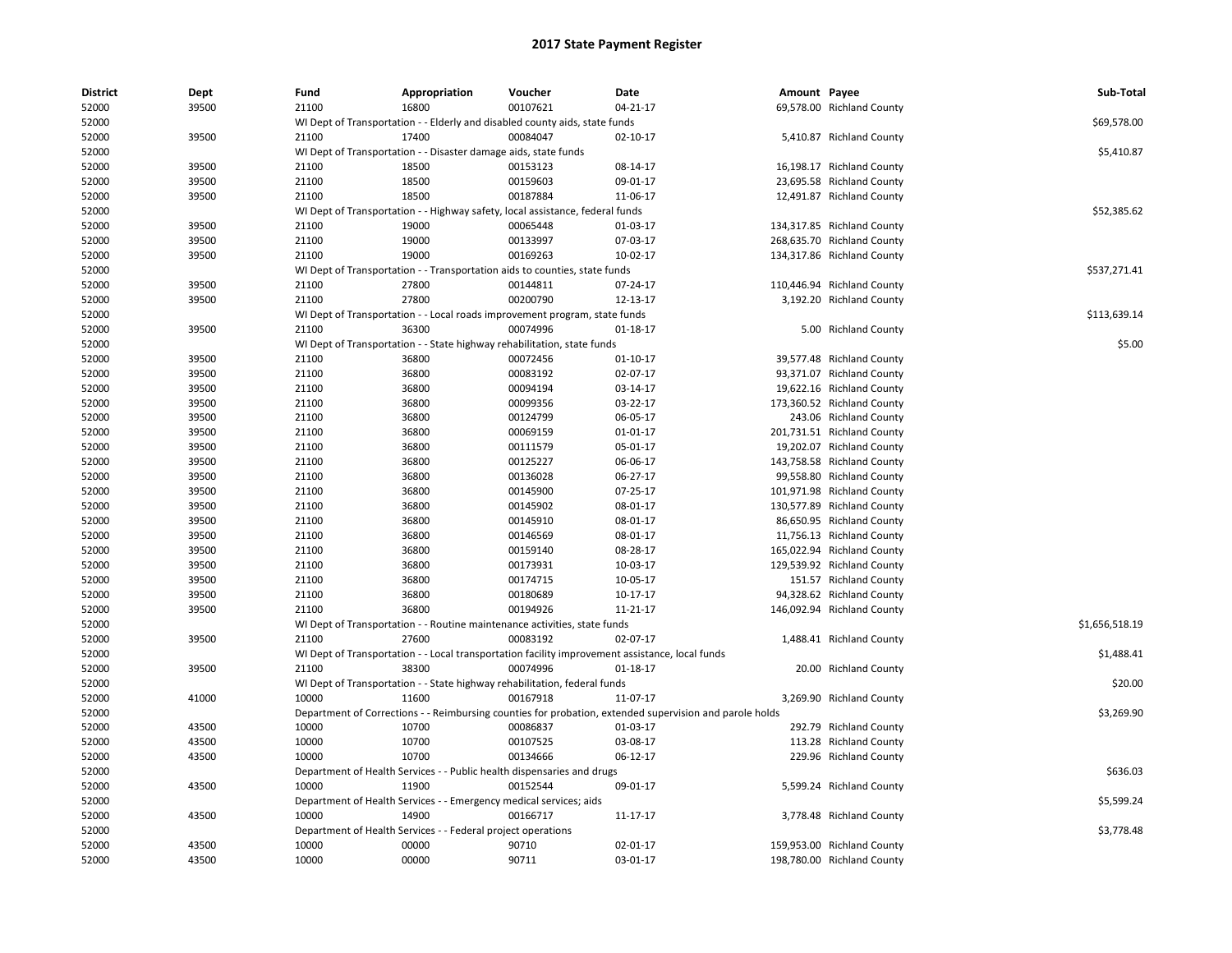| <b>District</b> | Dept  | Fund  | Appropriation                                                                 | Voucher  | Date                                                                                                    | Amount Payee |                            | Sub-Total      |
|-----------------|-------|-------|-------------------------------------------------------------------------------|----------|---------------------------------------------------------------------------------------------------------|--------------|----------------------------|----------------|
| 52000           | 39500 | 21100 | 16800                                                                         | 00107621 | 04-21-17                                                                                                |              | 69,578.00 Richland County  |                |
| 52000           |       |       | WI Dept of Transportation - - Elderly and disabled county aids, state funds   |          |                                                                                                         |              |                            | \$69,578.00    |
| 52000           | 39500 | 21100 | 17400                                                                         | 00084047 | 02-10-17                                                                                                |              | 5,410.87 Richland County   |                |
| 52000           |       |       | WI Dept of Transportation - - Disaster damage aids, state funds               |          |                                                                                                         |              |                            | \$5,410.87     |
| 52000           | 39500 | 21100 | 18500                                                                         | 00153123 | 08-14-17                                                                                                |              | 16,198.17 Richland County  |                |
| 52000           | 39500 | 21100 | 18500                                                                         | 00159603 | 09-01-17                                                                                                |              | 23,695.58 Richland County  |                |
| 52000           | 39500 | 21100 | 18500                                                                         | 00187884 | 11-06-17                                                                                                |              | 12,491.87 Richland County  |                |
| 52000           |       |       | WI Dept of Transportation - - Highway safety, local assistance, federal funds |          |                                                                                                         |              |                            | \$52,385.62    |
| 52000           | 39500 | 21100 | 19000                                                                         | 00065448 | 01-03-17                                                                                                |              | 134,317.85 Richland County |                |
| 52000           | 39500 | 21100 | 19000                                                                         | 00133997 | 07-03-17                                                                                                |              | 268,635.70 Richland County |                |
| 52000           | 39500 | 21100 | 19000                                                                         | 00169263 | 10-02-17                                                                                                |              | 134,317.86 Richland County |                |
| 52000           |       |       | WI Dept of Transportation - - Transportation aids to counties, state funds    |          |                                                                                                         |              |                            | \$537,271.41   |
| 52000           | 39500 | 21100 | 27800                                                                         | 00144811 | 07-24-17                                                                                                |              | 110,446.94 Richland County |                |
| 52000           | 39500 | 21100 | 27800                                                                         | 00200790 | 12-13-17                                                                                                |              | 3,192.20 Richland County   |                |
| 52000           |       |       | WI Dept of Transportation - - Local roads improvement program, state funds    |          |                                                                                                         |              |                            | \$113,639.14   |
| 52000           | 39500 | 21100 | 36300                                                                         | 00074996 | $01 - 18 - 17$                                                                                          |              | 5.00 Richland County       |                |
| 52000           |       |       | WI Dept of Transportation - - State highway rehabilitation, state funds       |          |                                                                                                         |              |                            | \$5.00         |
| 52000           | 39500 | 21100 | 36800                                                                         | 00072456 | 01-10-17                                                                                                |              | 39,577.48 Richland County  |                |
| 52000           | 39500 | 21100 | 36800                                                                         | 00083192 | 02-07-17                                                                                                |              | 93,371.07 Richland County  |                |
| 52000           | 39500 | 21100 | 36800                                                                         | 00094194 | 03-14-17                                                                                                |              | 19,622.16 Richland County  |                |
| 52000           | 39500 | 21100 | 36800                                                                         | 00099356 | 03-22-17                                                                                                |              | 173,360.52 Richland County |                |
| 52000           | 39500 | 21100 | 36800                                                                         | 00124799 | 06-05-17                                                                                                |              | 243.06 Richland County     |                |
| 52000           | 39500 | 21100 | 36800                                                                         | 00069159 | 01-01-17                                                                                                |              | 201,731.51 Richland County |                |
| 52000           | 39500 | 21100 | 36800                                                                         | 00111579 | 05-01-17                                                                                                |              | 19,202.07 Richland County  |                |
|                 |       |       |                                                                               |          |                                                                                                         |              |                            |                |
| 52000           | 39500 | 21100 | 36800                                                                         | 00125227 | 06-06-17                                                                                                |              | 143,758.58 Richland County |                |
| 52000           | 39500 | 21100 | 36800                                                                         | 00136028 | 06-27-17                                                                                                |              | 99,558.80 Richland County  |                |
| 52000           | 39500 | 21100 | 36800                                                                         | 00145900 | $07-25-17$                                                                                              |              | 101,971.98 Richland County |                |
| 52000           | 39500 | 21100 | 36800                                                                         | 00145902 | 08-01-17                                                                                                |              | 130,577.89 Richland County |                |
| 52000           | 39500 | 21100 | 36800                                                                         | 00145910 | 08-01-17                                                                                                |              | 86,650.95 Richland County  |                |
| 52000           | 39500 | 21100 | 36800                                                                         | 00146569 | 08-01-17                                                                                                |              | 11,756.13 Richland County  |                |
| 52000           | 39500 | 21100 | 36800                                                                         | 00159140 | 08-28-17                                                                                                |              | 165,022.94 Richland County |                |
| 52000           | 39500 | 21100 | 36800                                                                         | 00173931 | 10-03-17                                                                                                |              | 129,539.92 Richland County |                |
| 52000           | 39500 | 21100 | 36800                                                                         | 00174715 | 10-05-17                                                                                                |              | 151.57 Richland County     |                |
| 52000           | 39500 | 21100 | 36800                                                                         | 00180689 | 10-17-17                                                                                                |              | 94,328.62 Richland County  |                |
| 52000           | 39500 | 21100 | 36800                                                                         | 00194926 | 11-21-17                                                                                                |              | 146,092.94 Richland County |                |
| 52000           |       |       | WI Dept of Transportation - - Routine maintenance activities, state funds     |          |                                                                                                         |              |                            | \$1,656,518.19 |
| 52000           | 39500 | 21100 | 27600                                                                         | 00083192 | 02-07-17                                                                                                |              | 1,488.41 Richland County   |                |
| 52000           |       |       |                                                                               |          | WI Dept of Transportation - - Local transportation facility improvement assistance, local funds         |              |                            | \$1,488.41     |
| 52000           | 39500 | 21100 | 38300                                                                         | 00074996 | $01 - 18 - 17$                                                                                          |              | 20.00 Richland County      |                |
| 52000           |       |       | WI Dept of Transportation - - State highway rehabilitation, federal funds     |          |                                                                                                         |              |                            | \$20.00        |
| 52000           | 41000 | 10000 | 11600                                                                         | 00167918 | 11-07-17                                                                                                |              | 3,269.90 Richland County   |                |
| 52000           |       |       |                                                                               |          | Department of Corrections - - Reimbursing counties for probation, extended supervision and parole holds |              |                            | \$3,269.90     |
| 52000           | 43500 | 10000 | 10700                                                                         | 00086837 | 01-03-17                                                                                                |              | 292.79 Richland County     |                |
| 52000           | 43500 | 10000 | 10700                                                                         | 00107525 | 03-08-17                                                                                                |              | 113.28 Richland County     |                |
| 52000           | 43500 | 10000 | 10700                                                                         | 00134666 | 06-12-17                                                                                                |              | 229.96 Richland County     |                |
| 52000           |       |       | Department of Health Services - - Public health dispensaries and drugs        |          |                                                                                                         |              |                            | \$636.03       |
| 52000           | 43500 | 10000 | 11900                                                                         | 00152544 | 09-01-17                                                                                                |              | 5,599.24 Richland County   |                |
| 52000           |       |       | Department of Health Services - - Emergency medical services; aids            |          |                                                                                                         |              |                            | \$5,599.24     |
| 52000           | 43500 | 10000 | 14900                                                                         | 00166717 | 11-17-17                                                                                                |              | 3,778.48 Richland County   |                |
| 52000           |       |       | Department of Health Services - - Federal project operations                  |          |                                                                                                         |              |                            | \$3,778.48     |
| 52000           | 43500 | 10000 | 00000                                                                         | 90710    | 02-01-17                                                                                                |              | 159,953.00 Richland County |                |
| 52000           | 43500 | 10000 | 00000                                                                         | 90711    | 03-01-17                                                                                                |              | 198,780.00 Richland County |                |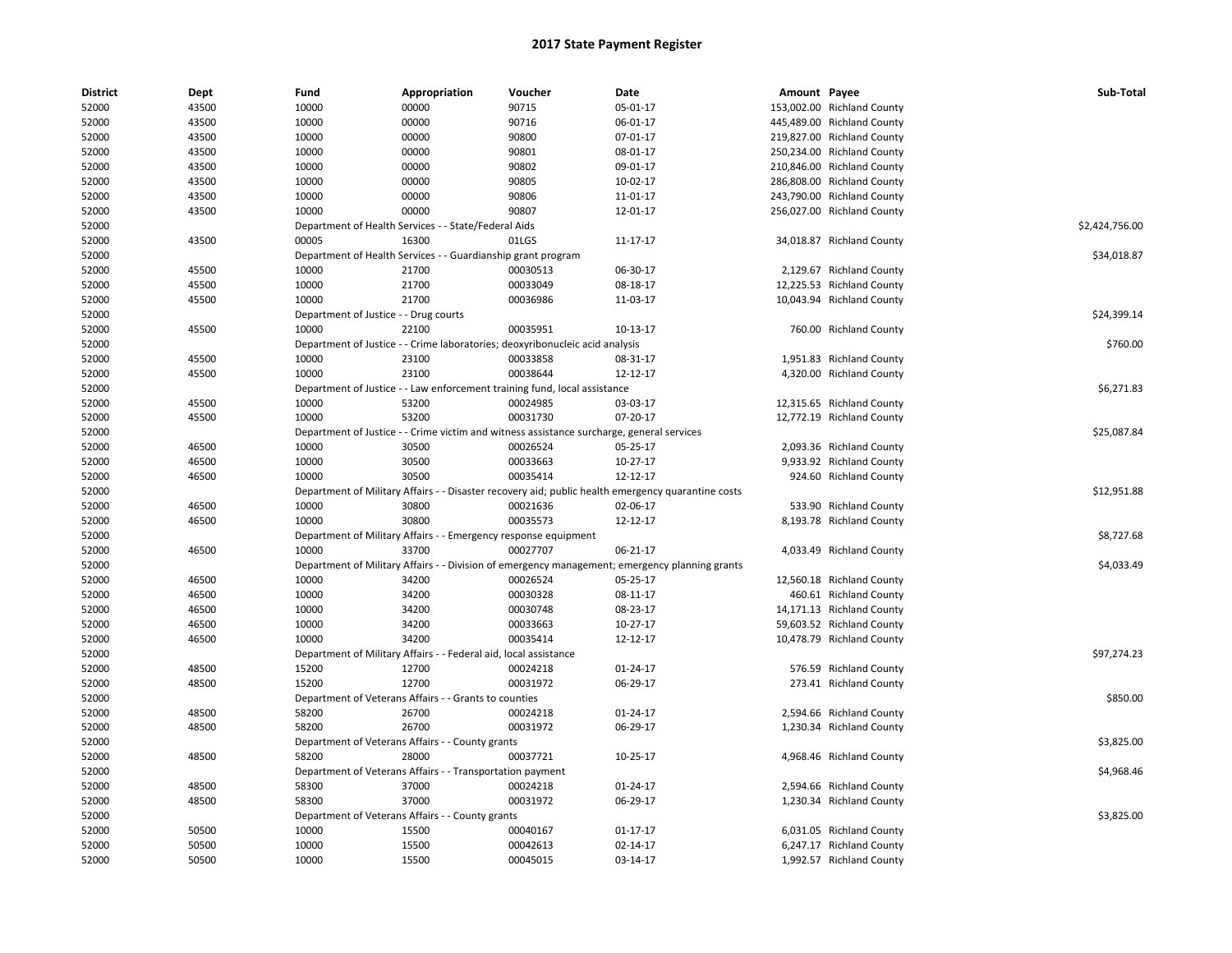| <b>District</b> | Dept  | Fund                                  | Appropriation                                                                             | Voucher  | Date                                                                                               | Amount Payee |                            | Sub-Total      |
|-----------------|-------|---------------------------------------|-------------------------------------------------------------------------------------------|----------|----------------------------------------------------------------------------------------------------|--------------|----------------------------|----------------|
| 52000           | 43500 | 10000                                 | 00000                                                                                     | 90715    | 05-01-17                                                                                           |              | 153,002.00 Richland County |                |
| 52000           | 43500 | 10000                                 | 00000                                                                                     | 90716    | 06-01-17                                                                                           |              | 445,489.00 Richland County |                |
| 52000           | 43500 | 10000                                 | 00000                                                                                     | 90800    | 07-01-17                                                                                           |              | 219,827.00 Richland County |                |
| 52000           | 43500 | 10000                                 | 00000                                                                                     | 90801    | 08-01-17                                                                                           |              | 250,234.00 Richland County |                |
| 52000           | 43500 | 10000                                 | 00000                                                                                     | 90802    | 09-01-17                                                                                           |              | 210,846.00 Richland County |                |
| 52000           | 43500 | 10000                                 | 00000                                                                                     | 90805    | 10-02-17                                                                                           |              | 286,808.00 Richland County |                |
| 52000           | 43500 | 10000                                 | 00000                                                                                     | 90806    | 11-01-17                                                                                           |              | 243,790.00 Richland County |                |
| 52000           | 43500 | 10000                                 | 00000                                                                                     | 90807    | 12-01-17                                                                                           |              | 256,027.00 Richland County |                |
| 52000           |       |                                       | Department of Health Services - - State/Federal Aids                                      |          |                                                                                                    |              |                            | \$2,424,756.00 |
| 52000           | 43500 | 00005                                 | 16300                                                                                     | 01LGS    | 11-17-17                                                                                           |              | 34,018.87 Richland County  |                |
| 52000           |       |                                       | Department of Health Services - - Guardianship grant program                              |          |                                                                                                    |              |                            | \$34,018.87    |
| 52000           | 45500 | 10000                                 | 21700                                                                                     | 00030513 | 06-30-17                                                                                           |              | 2,129.67 Richland County   |                |
| 52000           | 45500 | 10000                                 | 21700                                                                                     | 00033049 | 08-18-17                                                                                           |              | 12,225.53 Richland County  |                |
| 52000           | 45500 | 10000                                 | 21700                                                                                     | 00036986 | 11-03-17                                                                                           |              | 10,043.94 Richland County  |                |
| 52000           |       | Department of Justice - - Drug courts |                                                                                           |          |                                                                                                    |              |                            | \$24,399.14    |
| 52000           | 45500 | 10000                                 | 22100                                                                                     | 00035951 | 10-13-17                                                                                           |              | 760.00 Richland County     |                |
| 52000           |       |                                       | Department of Justice - - Crime laboratories; deoxyribonucleic acid analysis              |          |                                                                                                    |              |                            | \$760.00       |
| 52000           | 45500 | 10000                                 | 23100                                                                                     | 00033858 | 08-31-17                                                                                           |              | 1,951.83 Richland County   |                |
| 52000           | 45500 | 10000                                 | 23100                                                                                     | 00038644 | 12-12-17                                                                                           |              | 4,320.00 Richland County   |                |
| 52000           |       |                                       | Department of Justice - - Law enforcement training fund, local assistance                 |          |                                                                                                    |              |                            | \$6,271.83     |
| 52000           | 45500 | 10000                                 | 53200                                                                                     | 00024985 | 03-03-17                                                                                           |              | 12,315.65 Richland County  |                |
| 52000           | 45500 | 10000                                 | 53200                                                                                     | 00031730 | 07-20-17                                                                                           |              | 12,772.19 Richland County  |                |
| 52000           |       |                                       | Department of Justice - - Crime victim and witness assistance surcharge, general services |          |                                                                                                    |              |                            | \$25,087.84    |
| 52000           | 46500 | 10000                                 | 30500                                                                                     | 00026524 | 05-25-17                                                                                           |              | 2,093.36 Richland County   |                |
| 52000           | 46500 | 10000                                 | 30500                                                                                     | 00033663 | $10-27-17$                                                                                         |              | 9,933.92 Richland County   |                |
| 52000           | 46500 | 10000                                 | 30500                                                                                     | 00035414 | 12-12-17                                                                                           |              | 924.60 Richland County     |                |
| 52000           |       |                                       |                                                                                           |          | Department of Military Affairs - - Disaster recovery aid; public health emergency quarantine costs |              |                            | \$12,951.88    |
| 52000           | 46500 | 10000                                 | 30800                                                                                     | 00021636 | 02-06-17                                                                                           |              | 533.90 Richland County     |                |
| 52000           | 46500 | 10000                                 | 30800                                                                                     | 00035573 | 12-12-17                                                                                           |              | 8,193.78 Richland County   |                |
| 52000           |       |                                       | Department of Military Affairs - - Emergency response equipment                           |          |                                                                                                    |              |                            | \$8,727.68     |
| 52000           | 46500 | 10000                                 | 33700                                                                                     | 00027707 | 06-21-17                                                                                           |              | 4,033.49 Richland County   |                |
| 52000           |       |                                       |                                                                                           |          | Department of Military Affairs - - Division of emergency management; emergency planning grants     |              |                            | \$4,033.49     |
| 52000           | 46500 | 10000                                 | 34200                                                                                     | 00026524 | 05-25-17                                                                                           |              | 12,560.18 Richland County  |                |
| 52000           | 46500 | 10000                                 | 34200                                                                                     | 00030328 | 08-11-17                                                                                           |              | 460.61 Richland County     |                |
| 52000           | 46500 | 10000                                 | 34200                                                                                     | 00030748 | 08-23-17                                                                                           |              | 14,171.13 Richland County  |                |
| 52000           | 46500 | 10000                                 | 34200                                                                                     | 00033663 | $10-27-17$                                                                                         |              | 59,603.52 Richland County  |                |
| 52000           | 46500 | 10000                                 | 34200                                                                                     | 00035414 | 12-12-17                                                                                           |              | 10,478.79 Richland County  |                |
| 52000           |       |                                       | Department of Military Affairs - - Federal aid, local assistance                          |          |                                                                                                    |              |                            | \$97,274.23    |
| 52000           | 48500 | 15200                                 | 12700                                                                                     | 00024218 | $01 - 24 - 17$                                                                                     |              | 576.59 Richland County     |                |
| 52000           | 48500 | 15200                                 | 12700                                                                                     | 00031972 | 06-29-17                                                                                           |              | 273.41 Richland County     |                |
| 52000           |       |                                       | Department of Veterans Affairs - - Grants to counties                                     |          |                                                                                                    |              |                            | \$850.00       |
| 52000           | 48500 | 58200                                 | 26700                                                                                     | 00024218 | 01-24-17                                                                                           |              | 2,594.66 Richland County   |                |
| 52000           | 48500 | 58200                                 | 26700                                                                                     | 00031972 | 06-29-17                                                                                           |              | 1,230.34 Richland County   |                |
| 52000           |       |                                       | Department of Veterans Affairs - - County grants                                          |          |                                                                                                    |              |                            | \$3,825.00     |
| 52000           | 48500 | 58200                                 | 28000                                                                                     | 00037721 | 10-25-17                                                                                           |              | 4,968.46 Richland County   |                |
| 52000           |       |                                       | Department of Veterans Affairs - - Transportation payment                                 |          |                                                                                                    |              |                            | \$4,968.46     |
| 52000           | 48500 | 58300                                 | 37000                                                                                     | 00024218 | 01-24-17                                                                                           |              | 2,594.66 Richland County   |                |
| 52000           | 48500 | 58300                                 | 37000                                                                                     | 00031972 | 06-29-17                                                                                           |              | 1,230.34 Richland County   |                |
| 52000           |       |                                       | Department of Veterans Affairs - - County grants                                          |          |                                                                                                    |              |                            | \$3,825.00     |
| 52000           | 50500 | 10000                                 | 15500                                                                                     | 00040167 | 01-17-17                                                                                           |              | 6,031.05 Richland County   |                |
| 52000           | 50500 | 10000                                 | 15500                                                                                     | 00042613 | 02-14-17                                                                                           |              | 6,247.17 Richland County   |                |
| 52000           | 50500 | 10000                                 | 15500                                                                                     | 00045015 | 03-14-17                                                                                           |              | 1,992.57 Richland County   |                |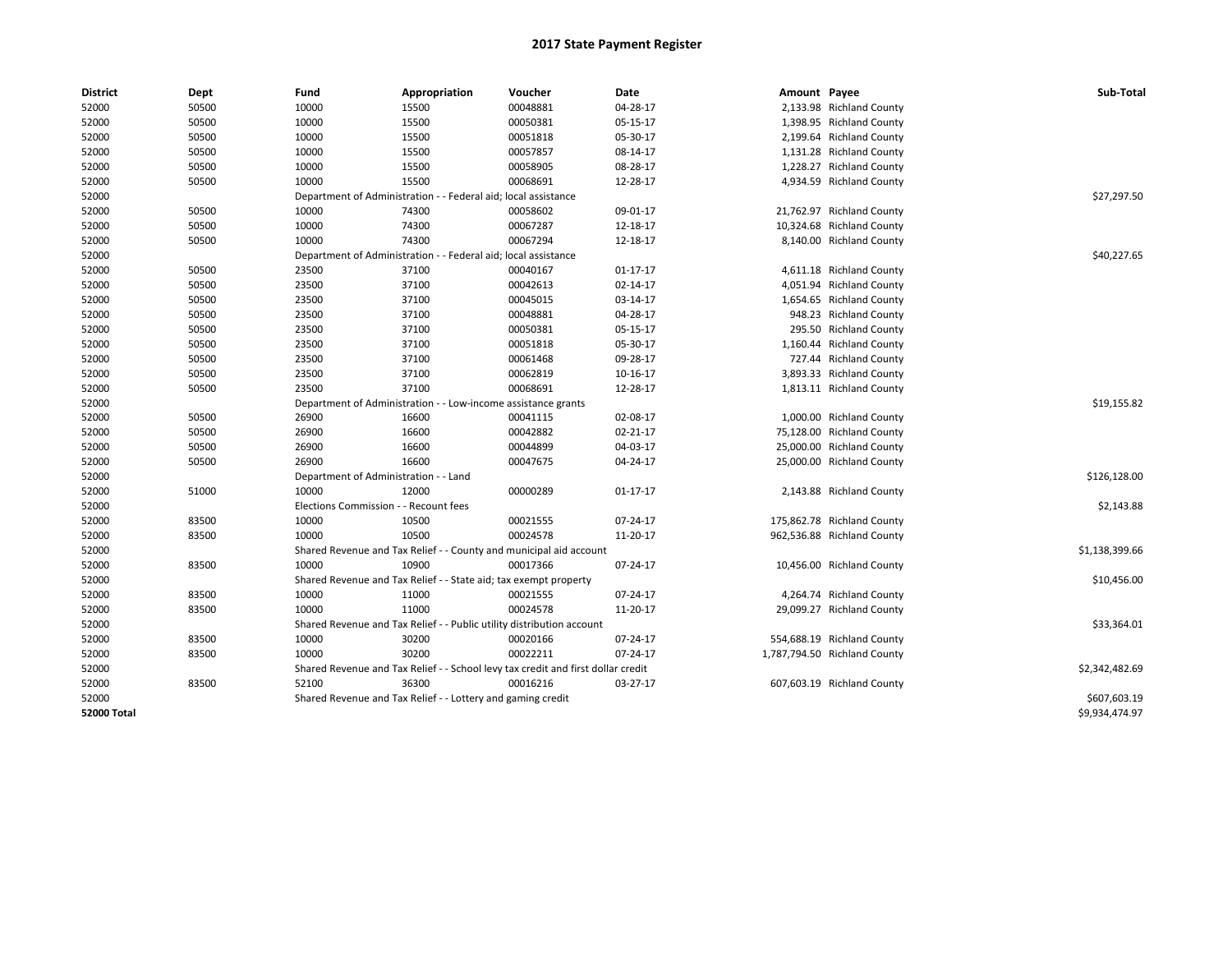| <b>District</b>    | <b>Dept</b> | Fund                                                          | Appropriation                                                                    | Voucher     | Date           | Amount Payee |                              | Sub-Total      |
|--------------------|-------------|---------------------------------------------------------------|----------------------------------------------------------------------------------|-------------|----------------|--------------|------------------------------|----------------|
| 52000              | 50500       | 10000                                                         | 15500                                                                            | 00048881    | 04-28-17       |              | 2,133.98 Richland County     |                |
| 52000              | 50500       | 10000                                                         | 15500                                                                            | 00050381    | 05-15-17       |              | 1,398.95 Richland County     |                |
| 52000              | 50500       | 10000                                                         | 15500                                                                            | 00051818    | 05-30-17       |              | 2,199.64 Richland County     |                |
| 52000              | 50500       | 10000                                                         | 15500                                                                            | 00057857    | 08-14-17       |              | 1,131.28 Richland County     |                |
| 52000              | 50500       | 10000                                                         | 15500                                                                            | 00058905    | 08-28-17       |              | 1,228.27 Richland County     |                |
| 52000              | 50500       | 10000                                                         | 15500                                                                            | 00068691    | 12-28-17       |              | 4,934.59 Richland County     |                |
| 52000              |             |                                                               | Department of Administration - - Federal aid; local assistance                   |             |                |              |                              | \$27,297.50    |
| 52000              | 50500       | 10000                                                         | 74300                                                                            | 00058602    | 09-01-17       |              | 21,762.97 Richland County    |                |
| 52000              | 50500       | 10000                                                         | 74300                                                                            | 00067287    | 12-18-17       |              | 10,324.68 Richland County    |                |
| 52000              | 50500       | 10000                                                         | 74300                                                                            | 00067294    | 12-18-17       |              | 8,140.00 Richland County     |                |
| 52000              |             |                                                               | Department of Administration - - Federal aid; local assistance                   |             |                |              |                              | \$40,227.65    |
| 52000              | 50500       | 23500                                                         | 37100                                                                            | 00040167    | $01 - 17 - 17$ |              | 4,611.18 Richland County     |                |
| 52000              | 50500       | 23500                                                         | 37100                                                                            | 00042613    | 02-14-17       |              | 4,051.94 Richland County     |                |
| 52000              | 50500       | 23500                                                         | 37100                                                                            | 00045015    | 03-14-17       |              | 1,654.65 Richland County     |                |
| 52000              | 50500       | 23500                                                         | 37100                                                                            | 00048881    | 04-28-17       |              | 948.23 Richland County       |                |
| 52000              | 50500       | 23500                                                         | 37100                                                                            | 00050381    | 05-15-17       |              | 295.50 Richland County       |                |
| 52000              | 50500       | 23500                                                         | 37100                                                                            | 00051818    | 05-30-17       |              | 1,160.44 Richland County     |                |
| 52000              | 50500       | 23500                                                         | 37100                                                                            | 00061468    | 09-28-17       |              | 727.44 Richland County       |                |
| 52000              | 50500       | 23500                                                         | 37100                                                                            | 00062819    | 10-16-17       |              | 3,893.33 Richland County     |                |
| 52000              | 50500       | 23500                                                         | 37100                                                                            | 00068691    | 12-28-17       |              | 1,813.11 Richland County     |                |
| 52000              |             | Department of Administration - - Low-income assistance grants |                                                                                  | \$19,155.82 |                |              |                              |                |
| 52000              | 50500       | 26900                                                         | 16600                                                                            | 00041115    | 02-08-17       |              | 1,000.00 Richland County     |                |
| 52000              | 50500       | 26900                                                         | 16600                                                                            | 00042882    | 02-21-17       |              | 75,128.00 Richland County    |                |
| 52000              | 50500       | 26900                                                         | 16600                                                                            | 00044899    | 04-03-17       |              | 25,000.00 Richland County    |                |
| 52000              | 50500       | 26900                                                         | 16600                                                                            | 00047675    | 04-24-17       |              | 25,000.00 Richland County    |                |
| 52000              |             | Department of Administration - - Land                         |                                                                                  |             |                |              |                              | \$126,128.00   |
| 52000              | 51000       | 10000                                                         | 12000                                                                            | 00000289    | 01-17-17       |              | 2,143.88 Richland County     |                |
| 52000              |             | Elections Commission - - Recount fees                         |                                                                                  |             |                |              |                              | \$2,143.88     |
| 52000              | 83500       | 10000                                                         | 10500                                                                            | 00021555    | 07-24-17       |              | 175,862.78 Richland County   |                |
| 52000              | 83500       | 10000                                                         | 10500                                                                            | 00024578    | 11-20-17       |              | 962,536.88 Richland County   |                |
| 52000              |             |                                                               | Shared Revenue and Tax Relief - - County and municipal aid account               |             |                |              |                              | \$1,138,399.66 |
| 52000              | 83500       | 10000                                                         | 10900                                                                            | 00017366    | 07-24-17       |              | 10,456.00 Richland County    |                |
| 52000              |             |                                                               | Shared Revenue and Tax Relief - - State aid; tax exempt property                 |             |                |              |                              | \$10,456.00    |
| 52000              | 83500       | 10000                                                         | 11000                                                                            | 00021555    | 07-24-17       |              | 4,264.74 Richland County     |                |
| 52000              | 83500       | 10000                                                         | 11000                                                                            | 00024578    | 11-20-17       |              | 29,099.27 Richland County    |                |
| 52000              |             |                                                               | Shared Revenue and Tax Relief - - Public utility distribution account            |             |                |              |                              | \$33,364.01    |
| 52000              | 83500       | 10000                                                         | 30200                                                                            | 00020166    | 07-24-17       |              | 554,688.19 Richland County   |                |
| 52000              | 83500       | 10000                                                         | 30200                                                                            | 00022211    | 07-24-17       |              | 1,787,794.50 Richland County |                |
| 52000              |             |                                                               | Shared Revenue and Tax Relief - - School levy tax credit and first dollar credit |             |                |              |                              | \$2,342,482.69 |
| 52000              | 83500       | 52100                                                         | 36300                                                                            | 00016216    | 03-27-17       |              | 607,603.19 Richland County   |                |
| 52000              |             |                                                               | Shared Revenue and Tax Relief - - Lottery and gaming credit                      |             |                |              |                              | \$607,603.19   |
| <b>52000 Total</b> |             |                                                               |                                                                                  |             |                |              |                              | \$9,934,474.97 |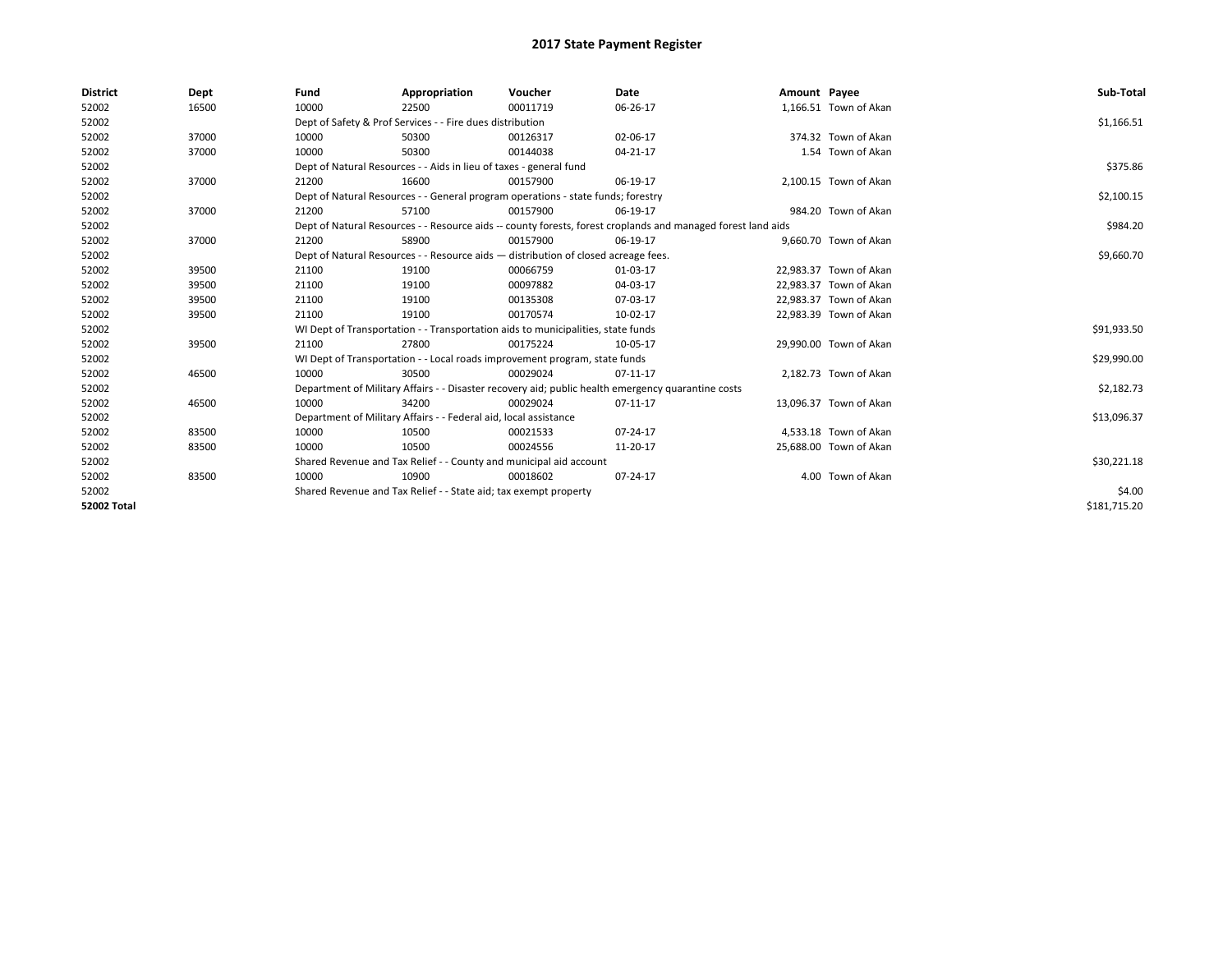| <b>District</b>    | Dept  | Fund                                                                                                         | Appropriation                                                                      | Voucher                                                                          | Date                                                                                               | Amount Payee |                        | Sub-Total    |  |  |
|--------------------|-------|--------------------------------------------------------------------------------------------------------------|------------------------------------------------------------------------------------|----------------------------------------------------------------------------------|----------------------------------------------------------------------------------------------------|--------------|------------------------|--------------|--|--|
| 52002              | 16500 | 10000                                                                                                        | 22500                                                                              | 00011719                                                                         | 06-26-17                                                                                           |              | 1,166.51 Town of Akan  |              |  |  |
| 52002              |       |                                                                                                              | Dept of Safety & Prof Services - - Fire dues distribution                          |                                                                                  |                                                                                                    |              |                        | \$1,166.51   |  |  |
| 52002              | 37000 | 10000                                                                                                        | 50300                                                                              | 00126317                                                                         | 02-06-17                                                                                           |              | 374.32 Town of Akan    |              |  |  |
| 52002              | 37000 | 10000                                                                                                        | 50300                                                                              | 00144038                                                                         | 04-21-17                                                                                           |              | 1.54 Town of Akan      |              |  |  |
| 52002              |       | Dept of Natural Resources - - Aids in lieu of taxes - general fund                                           |                                                                                    | \$375.86                                                                         |                                                                                                    |              |                        |              |  |  |
| 52002              | 37000 | 21200                                                                                                        | 16600                                                                              | 00157900                                                                         | 06-19-17                                                                                           |              | 2,100.15 Town of Akan  |              |  |  |
| 52002              |       |                                                                                                              |                                                                                    | Dept of Natural Resources - - General program operations - state funds; forestry |                                                                                                    |              |                        | \$2,100.15   |  |  |
| 52002              | 37000 | 21200                                                                                                        | 57100                                                                              | 00157900                                                                         | 06-19-17                                                                                           |              | 984.20 Town of Akan    |              |  |  |
| 52002              |       | Dept of Natural Resources - - Resource aids -- county forests, forest croplands and managed forest land aids |                                                                                    | \$984.20                                                                         |                                                                                                    |              |                        |              |  |  |
| 52002              | 37000 | 21200                                                                                                        | 58900                                                                              | 00157900                                                                         | 06-19-17                                                                                           |              | 9.660.70 Town of Akan  |              |  |  |
| 52002              |       |                                                                                                              | Dept of Natural Resources - - Resource aids - distribution of closed acreage fees. |                                                                                  |                                                                                                    |              |                        |              |  |  |
| 52002              | 39500 | 21100                                                                                                        | 19100                                                                              | 00066759                                                                         | 01-03-17                                                                                           |              | 22,983.37 Town of Akan |              |  |  |
| 52002              | 39500 | 21100                                                                                                        | 19100                                                                              | 00097882                                                                         | 04-03-17                                                                                           |              | 22,983.37 Town of Akan |              |  |  |
| 52002              | 39500 | 21100                                                                                                        | 19100                                                                              | 00135308                                                                         | 07-03-17                                                                                           |              | 22,983.37 Town of Akan |              |  |  |
| 52002              | 39500 | 21100                                                                                                        | 19100                                                                              | 00170574                                                                         | 10-02-17                                                                                           |              | 22,983.39 Town of Akan |              |  |  |
| 52002              |       |                                                                                                              |                                                                                    | WI Dept of Transportation - - Transportation aids to municipalities, state funds |                                                                                                    |              |                        | \$91,933.50  |  |  |
| 52002              | 39500 | 21100                                                                                                        | 27800                                                                              | 00175224                                                                         | 10-05-17                                                                                           |              | 29,990.00 Town of Akan |              |  |  |
| 52002              |       |                                                                                                              |                                                                                    | WI Dept of Transportation - - Local roads improvement program, state funds       |                                                                                                    |              |                        | \$29,990.00  |  |  |
| 52002              | 46500 | 10000                                                                                                        | 30500                                                                              | 00029024                                                                         | 07-11-17                                                                                           |              | 2,182.73 Town of Akan  |              |  |  |
| 52002              |       |                                                                                                              |                                                                                    |                                                                                  | Department of Military Affairs - - Disaster recovery aid; public health emergency quarantine costs |              |                        | \$2,182.73   |  |  |
| 52002              | 46500 | 10000                                                                                                        | 34200                                                                              | 00029024                                                                         | 07-11-17                                                                                           |              | 13,096.37 Town of Akan |              |  |  |
| 52002              |       |                                                                                                              | Department of Military Affairs - - Federal aid, local assistance                   |                                                                                  |                                                                                                    |              |                        | \$13,096.37  |  |  |
| 52002              | 83500 | 10000                                                                                                        | 10500                                                                              | 00021533                                                                         | 07-24-17                                                                                           |              | 4,533.18 Town of Akan  |              |  |  |
| 52002              | 83500 | 10000                                                                                                        | 10500                                                                              | 00024556                                                                         | 11-20-17                                                                                           |              | 25,688.00 Town of Akan |              |  |  |
| 52002              |       |                                                                                                              |                                                                                    | Shared Revenue and Tax Relief - - County and municipal aid account               |                                                                                                    |              |                        | \$30,221.18  |  |  |
| 52002              | 83500 | 10000                                                                                                        | 10900                                                                              | 00018602                                                                         | 07-24-17                                                                                           |              | 4.00 Town of Akan      |              |  |  |
| 52002              |       |                                                                                                              | Shared Revenue and Tax Relief - - State aid; tax exempt property                   |                                                                                  |                                                                                                    |              |                        | \$4.00       |  |  |
| <b>52002 Total</b> |       |                                                                                                              |                                                                                    |                                                                                  |                                                                                                    |              |                        | \$181,715.20 |  |  |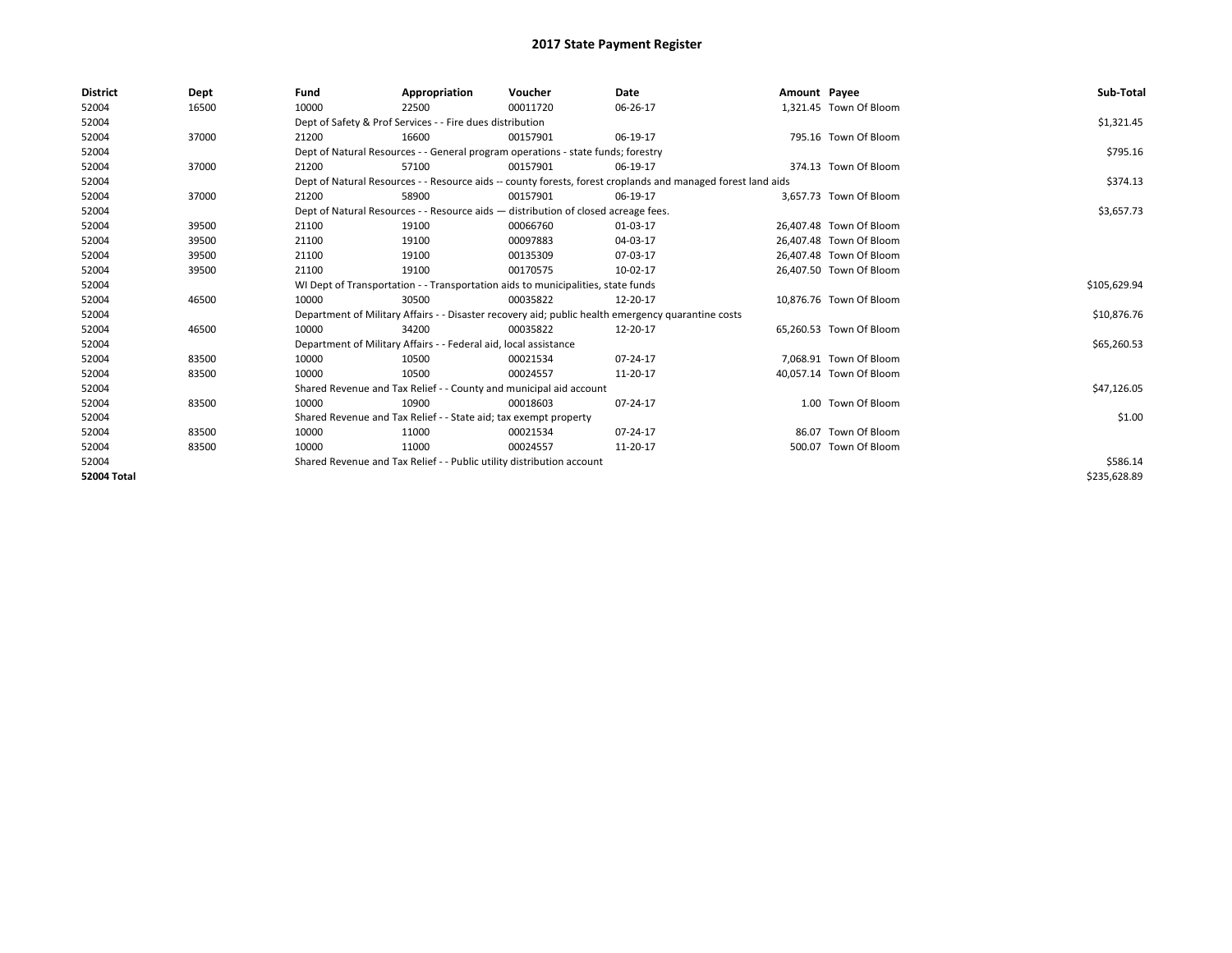| <b>District</b> | Dept  | Fund  | Appropriation                                                                                                | Voucher  | Date                                                                                               | Amount Payee |                         | Sub-Total    |  |  |
|-----------------|-------|-------|--------------------------------------------------------------------------------------------------------------|----------|----------------------------------------------------------------------------------------------------|--------------|-------------------------|--------------|--|--|
| 52004           | 16500 | 10000 | 22500                                                                                                        | 00011720 | 06-26-17                                                                                           |              | 1,321.45 Town Of Bloom  |              |  |  |
| 52004           |       |       | Dept of Safety & Prof Services - - Fire dues distribution                                                    |          |                                                                                                    |              |                         | \$1,321.45   |  |  |
| 52004           | 37000 | 21200 | 16600                                                                                                        | 00157901 | 06-19-17                                                                                           |              | 795.16 Town Of Bloom    |              |  |  |
| 52004           |       |       | Dept of Natural Resources - - General program operations - state funds; forestry                             |          |                                                                                                    |              |                         |              |  |  |
| 52004           | 37000 | 21200 | 57100                                                                                                        | 00157901 | 06-19-17                                                                                           |              | 374.13 Town Of Bloom    |              |  |  |
| 52004           |       |       | Dept of Natural Resources - - Resource aids -- county forests, forest croplands and managed forest land aids |          |                                                                                                    |              |                         |              |  |  |
| 52004           | 37000 | 21200 | 58900                                                                                                        | 00157901 | 06-19-17                                                                                           |              | 3,657.73 Town Of Bloom  |              |  |  |
| 52004           |       |       | Dept of Natural Resources - - Resource aids - distribution of closed acreage fees.                           |          |                                                                                                    |              |                         | \$3,657.73   |  |  |
| 52004           | 39500 | 21100 | 19100                                                                                                        | 00066760 | 01-03-17                                                                                           |              | 26,407.48 Town Of Bloom |              |  |  |
| 52004           | 39500 | 21100 | 19100                                                                                                        | 00097883 | 04-03-17                                                                                           |              | 26,407.48 Town Of Bloom |              |  |  |
| 52004           | 39500 | 21100 | 19100                                                                                                        | 00135309 | 07-03-17                                                                                           |              | 26.407.48 Town Of Bloom |              |  |  |
| 52004           | 39500 | 21100 | 19100                                                                                                        | 00170575 | 10-02-17                                                                                           |              | 26,407.50 Town Of Bloom |              |  |  |
| 52004           |       |       | WI Dept of Transportation - - Transportation aids to municipalities, state funds                             |          |                                                                                                    |              |                         |              |  |  |
| 52004           | 46500 | 10000 | 30500                                                                                                        | 00035822 | 12-20-17                                                                                           |              | 10,876.76 Town Of Bloom |              |  |  |
| 52004           |       |       |                                                                                                              |          | Department of Military Affairs - - Disaster recovery aid; public health emergency quarantine costs |              |                         | \$10,876.76  |  |  |
| 52004           | 46500 | 10000 | 34200                                                                                                        | 00035822 | 12-20-17                                                                                           |              | 65,260.53 Town Of Bloom |              |  |  |
| 52004           |       |       | Department of Military Affairs - - Federal aid, local assistance                                             |          |                                                                                                    |              |                         | \$65,260.53  |  |  |
| 52004           | 83500 | 10000 | 10500                                                                                                        | 00021534 | $07 - 24 - 17$                                                                                     |              | 7.068.91 Town Of Bloom  |              |  |  |
| 52004           | 83500 | 10000 | 10500                                                                                                        | 00024557 | 11-20-17                                                                                           |              | 40,057.14 Town Of Bloom |              |  |  |
| 52004           |       |       | Shared Revenue and Tax Relief - - County and municipal aid account                                           |          |                                                                                                    |              |                         | \$47,126.05  |  |  |
| 52004           | 83500 | 10000 | 10900                                                                                                        | 00018603 | 07-24-17                                                                                           |              | 1.00 Town Of Bloom      |              |  |  |
| 52004           |       |       | Shared Revenue and Tax Relief - - State aid; tax exempt property                                             |          |                                                                                                    |              |                         | \$1.00       |  |  |
| 52004           | 83500 | 10000 | 11000                                                                                                        | 00021534 | 07-24-17                                                                                           |              | 86.07 Town Of Bloom     |              |  |  |
| 52004           | 83500 | 10000 | 11000                                                                                                        | 00024557 | 11-20-17                                                                                           |              | 500.07 Town Of Bloom    |              |  |  |
| 52004           |       |       | Shared Revenue and Tax Relief - - Public utility distribution account                                        |          |                                                                                                    |              |                         |              |  |  |
| 52004 Total     |       |       |                                                                                                              |          |                                                                                                    |              |                         | \$235,628.89 |  |  |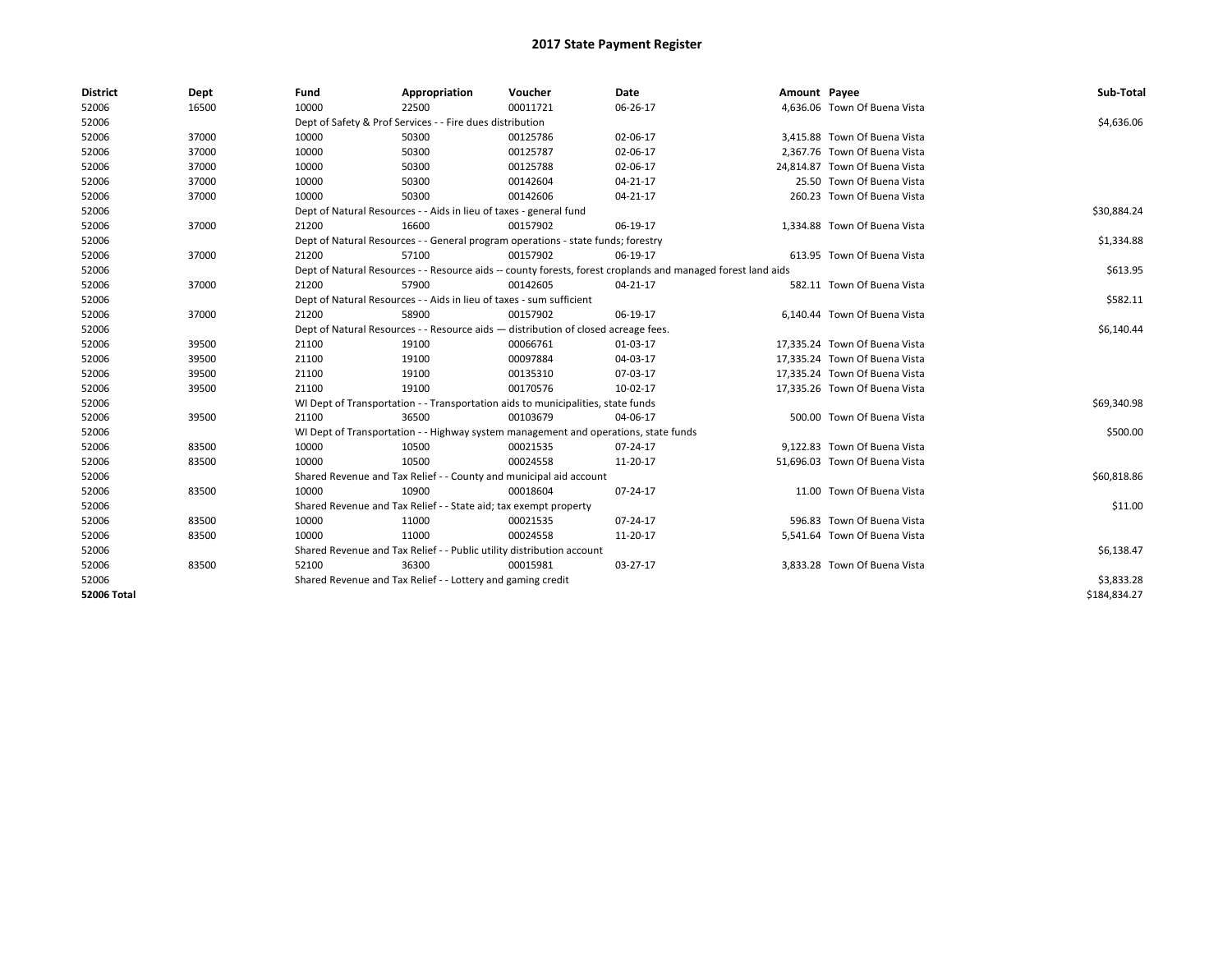| <b>District</b>    | Dept  | Fund  | Appropriation                                                                                                | Voucher  | Date     | Amount Payee |                               | Sub-Total    |  |  |  |
|--------------------|-------|-------|--------------------------------------------------------------------------------------------------------------|----------|----------|--------------|-------------------------------|--------------|--|--|--|
| 52006              | 16500 | 10000 | 22500                                                                                                        | 00011721 | 06-26-17 |              | 4,636.06 Town Of Buena Vista  |              |  |  |  |
| 52006              |       |       | Dept of Safety & Prof Services - - Fire dues distribution                                                    |          |          |              |                               | \$4,636.06   |  |  |  |
| 52006              | 37000 | 10000 | 50300                                                                                                        | 00125786 | 02-06-17 |              | 3,415.88 Town Of Buena Vista  |              |  |  |  |
| 52006              | 37000 | 10000 | 50300                                                                                                        | 00125787 | 02-06-17 |              | 2.367.76 Town Of Buena Vista  |              |  |  |  |
| 52006              | 37000 | 10000 | 50300                                                                                                        | 00125788 | 02-06-17 |              | 24.814.87 Town Of Buena Vista |              |  |  |  |
| 52006              | 37000 | 10000 | 50300                                                                                                        | 00142604 | 04-21-17 |              | 25.50 Town Of Buena Vista     |              |  |  |  |
| 52006              | 37000 | 10000 | 50300                                                                                                        | 00142606 | 04-21-17 |              | 260.23 Town Of Buena Vista    |              |  |  |  |
| 52006              |       |       | Dept of Natural Resources - - Aids in lieu of taxes - general fund                                           |          |          |              |                               |              |  |  |  |
| 52006              | 37000 | 21200 | 16600                                                                                                        | 00157902 | 06-19-17 |              | 1,334.88 Town Of Buena Vista  |              |  |  |  |
| 52006              |       |       | Dept of Natural Resources - - General program operations - state funds; forestry                             |          |          |              |                               | \$1,334.88   |  |  |  |
| 52006              | 37000 | 21200 | 57100                                                                                                        | 00157902 | 06-19-17 |              | 613.95 Town Of Buena Vista    |              |  |  |  |
| 52006              |       |       | Dept of Natural Resources - - Resource aids -- county forests, forest croplands and managed forest land aids |          | \$613.95 |              |                               |              |  |  |  |
| 52006              | 37000 | 21200 | 57900                                                                                                        | 00142605 | 04-21-17 |              | 582.11 Town Of Buena Vista    |              |  |  |  |
| 52006              |       |       | Dept of Natural Resources - - Aids in lieu of taxes - sum sufficient                                         |          |          |              |                               |              |  |  |  |
| 52006              | 37000 | 21200 | 58900                                                                                                        | 00157902 | 06-19-17 |              | 6,140.44 Town Of Buena Vista  |              |  |  |  |
| 52006              |       |       | Dept of Natural Resources - - Resource aids - distribution of closed acreage fees.                           |          |          |              |                               |              |  |  |  |
| 52006              | 39500 | 21100 | 19100                                                                                                        | 00066761 | 01-03-17 |              | 17,335.24 Town Of Buena Vista |              |  |  |  |
| 52006              | 39500 | 21100 | 19100                                                                                                        | 00097884 | 04-03-17 |              | 17,335.24 Town Of Buena Vista |              |  |  |  |
| 52006              | 39500 | 21100 | 19100                                                                                                        | 00135310 | 07-03-17 |              | 17,335.24 Town Of Buena Vista |              |  |  |  |
| 52006              | 39500 | 21100 | 19100                                                                                                        | 00170576 | 10-02-17 |              | 17,335.26 Town Of Buena Vista |              |  |  |  |
| 52006              |       |       | WI Dept of Transportation - - Transportation aids to municipalities, state funds                             |          |          |              |                               | \$69,340.98  |  |  |  |
| 52006              | 39500 | 21100 | 36500                                                                                                        | 00103679 | 04-06-17 |              | 500.00 Town Of Buena Vista    |              |  |  |  |
| 52006              |       |       | WI Dept of Transportation - - Highway system management and operations, state funds                          |          |          |              |                               | \$500.00     |  |  |  |
| 52006              | 83500 | 10000 | 10500                                                                                                        | 00021535 | 07-24-17 |              | 9,122.83 Town Of Buena Vista  |              |  |  |  |
| 52006              | 83500 | 10000 | 10500                                                                                                        | 00024558 | 11-20-17 |              | 51,696.03 Town Of Buena Vista |              |  |  |  |
| 52006              |       |       | Shared Revenue and Tax Relief - - County and municipal aid account                                           |          |          |              |                               | \$60,818.86  |  |  |  |
| 52006              | 83500 | 10000 | 10900                                                                                                        | 00018604 | 07-24-17 |              | 11.00 Town Of Buena Vista     |              |  |  |  |
| 52006              |       |       | Shared Revenue and Tax Relief - - State aid; tax exempt property                                             |          |          |              |                               | \$11.00      |  |  |  |
| 52006              | 83500 | 10000 | 11000                                                                                                        | 00021535 | 07-24-17 |              | 596.83 Town Of Buena Vista    |              |  |  |  |
| 52006              | 83500 | 10000 | 11000                                                                                                        | 00024558 | 11-20-17 |              | 5,541.64 Town Of Buena Vista  |              |  |  |  |
| 52006              |       |       | Shared Revenue and Tax Relief - - Public utility distribution account                                        |          |          |              |                               | \$6,138.47   |  |  |  |
| 52006              | 83500 | 52100 | 36300                                                                                                        | 00015981 | 03-27-17 |              | 3.833.28 Town Of Buena Vista  |              |  |  |  |
| 52006              |       |       | Shared Revenue and Tax Relief - - Lottery and gaming credit                                                  |          |          |              |                               | \$3,833.28   |  |  |  |
| <b>52006 Total</b> |       |       |                                                                                                              |          |          |              |                               | \$184,834.27 |  |  |  |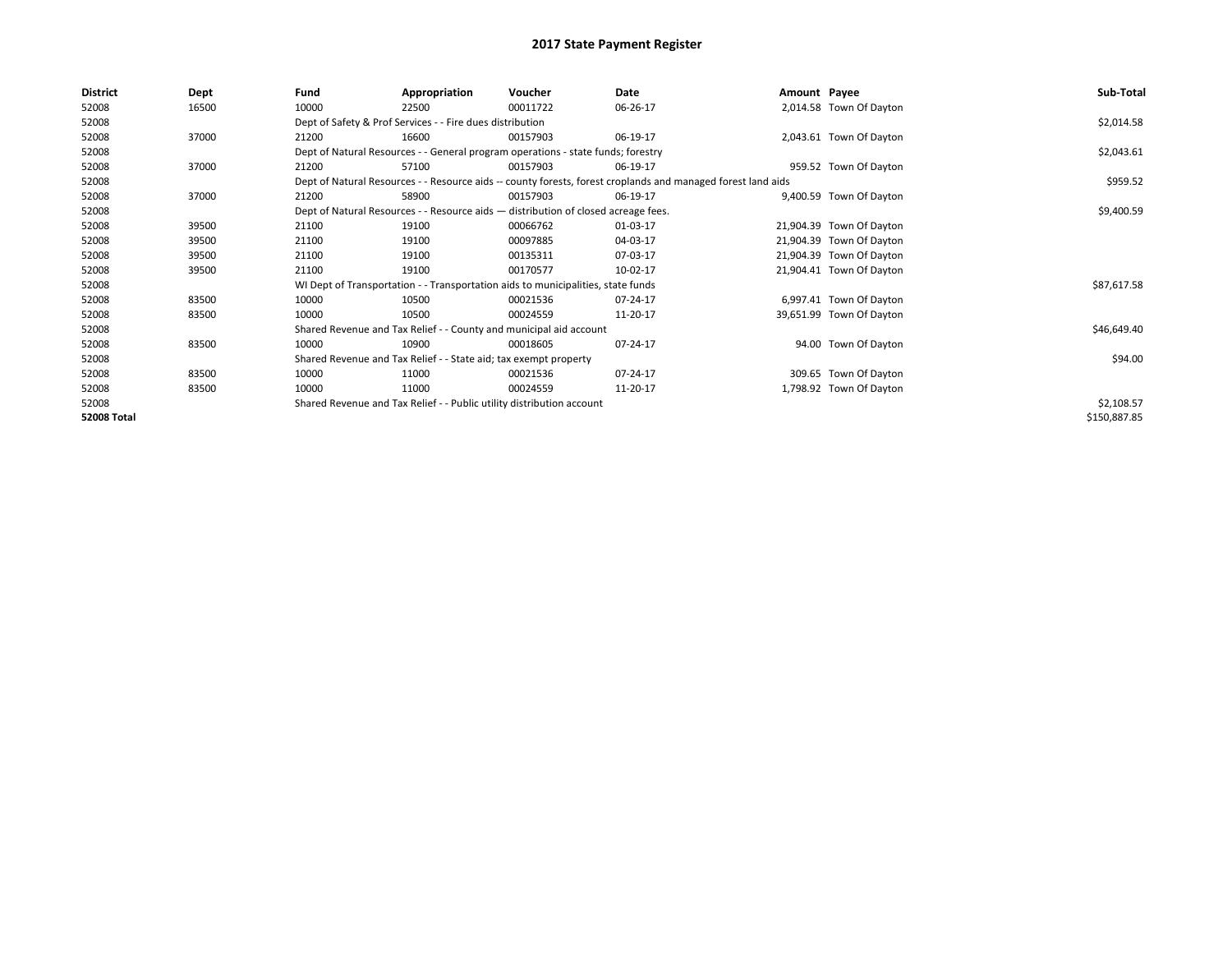| <b>District</b>    | Dept  | Fund  | Appropriation                                                                      | Voucher  | Date                                                                                                         | Amount Payee |                          | Sub-Total    |  |  |  |
|--------------------|-------|-------|------------------------------------------------------------------------------------|----------|--------------------------------------------------------------------------------------------------------------|--------------|--------------------------|--------------|--|--|--|
| 52008              | 16500 | 10000 | 22500                                                                              | 00011722 | 06-26-17                                                                                                     |              | 2,014.58 Town Of Dayton  |              |  |  |  |
| 52008              |       |       | Dept of Safety & Prof Services - - Fire dues distribution                          |          |                                                                                                              |              |                          | \$2,014.58   |  |  |  |
| 52008              | 37000 | 21200 | 16600                                                                              | 00157903 | 06-19-17                                                                                                     |              | 2,043.61 Town Of Dayton  |              |  |  |  |
| 52008              |       |       | Dept of Natural Resources - - General program operations - state funds; forestry   |          |                                                                                                              |              |                          | \$2,043.61   |  |  |  |
| 52008              | 37000 | 21200 | 57100                                                                              | 00157903 | 06-19-17                                                                                                     |              | 959.52 Town Of Dayton    |              |  |  |  |
| 52008              |       |       |                                                                                    |          | Dept of Natural Resources - - Resource aids -- county forests, forest croplands and managed forest land aids |              |                          | \$959.52     |  |  |  |
| 52008              | 37000 | 21200 | 58900                                                                              | 00157903 | 06-19-17                                                                                                     |              | 9,400.59 Town Of Dayton  |              |  |  |  |
| 52008              |       |       | Dept of Natural Resources - - Resource aids - distribution of closed acreage fees. |          |                                                                                                              |              |                          |              |  |  |  |
| 52008              | 39500 | 21100 | 19100                                                                              | 00066762 | 01-03-17                                                                                                     |              | 21,904.39 Town Of Dayton |              |  |  |  |
| 52008              | 39500 | 21100 | 19100                                                                              | 00097885 | 04-03-17                                                                                                     |              | 21,904.39 Town Of Dayton |              |  |  |  |
| 52008              | 39500 | 21100 | 19100                                                                              | 00135311 | 07-03-17                                                                                                     |              | 21,904.39 Town Of Dayton |              |  |  |  |
| 52008              | 39500 | 21100 | 19100                                                                              | 00170577 | 10-02-17                                                                                                     |              | 21,904.41 Town Of Dayton |              |  |  |  |
| 52008              |       |       | WI Dept of Transportation - - Transportation aids to municipalities, state funds   |          |                                                                                                              |              |                          | \$87,617.58  |  |  |  |
| 52008              | 83500 | 10000 | 10500                                                                              | 00021536 | 07-24-17                                                                                                     |              | 6,997.41 Town Of Dayton  |              |  |  |  |
| 52008              | 83500 | 10000 | 10500                                                                              | 00024559 | 11-20-17                                                                                                     |              | 39,651.99 Town Of Dayton |              |  |  |  |
| 52008              |       |       | Shared Revenue and Tax Relief - - County and municipal aid account                 |          |                                                                                                              |              |                          | \$46,649.40  |  |  |  |
| 52008              | 83500 | 10000 | 10900                                                                              | 00018605 | 07-24-17                                                                                                     |              | 94.00 Town Of Dayton     |              |  |  |  |
| 52008              |       |       | Shared Revenue and Tax Relief - - State aid; tax exempt property                   |          |                                                                                                              |              |                          | \$94.00      |  |  |  |
| 52008              | 83500 | 10000 | 11000                                                                              | 00021536 | 07-24-17                                                                                                     |              | 309.65 Town Of Dayton    |              |  |  |  |
| 52008              | 83500 | 10000 | 11000                                                                              | 00024559 | 11-20-17                                                                                                     |              | 1,798.92 Town Of Dayton  |              |  |  |  |
| 52008              |       |       | Shared Revenue and Tax Relief - - Public utility distribution account              |          |                                                                                                              |              |                          | \$2,108.57   |  |  |  |
| <b>52008 Total</b> |       |       |                                                                                    |          |                                                                                                              |              |                          | \$150,887.85 |  |  |  |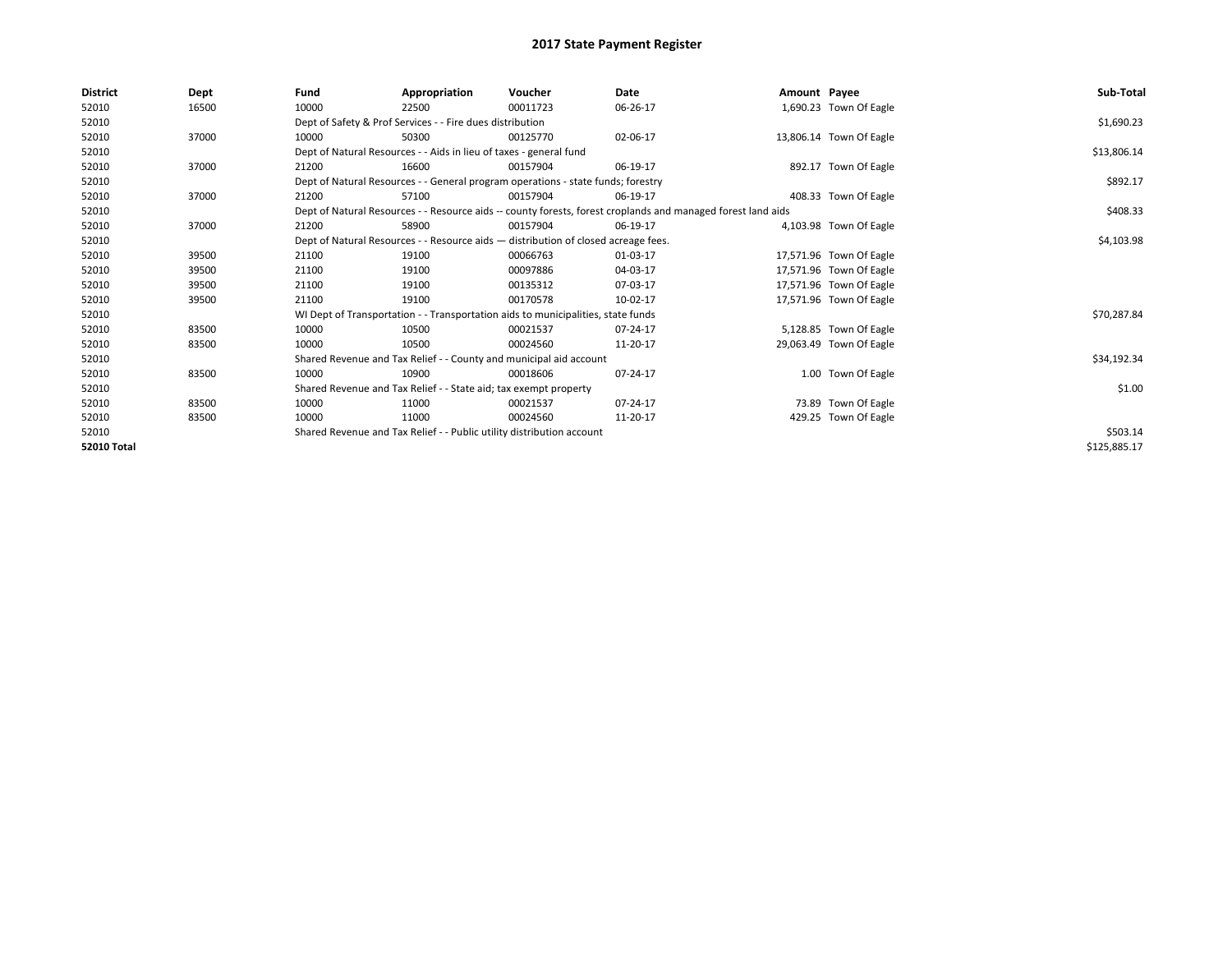| <b>District</b> | Dept  | Fund                                                                               | Appropriation                                                                    | Voucher    | Date                                                                                                         | Amount Payee |                         | Sub-Total    |
|-----------------|-------|------------------------------------------------------------------------------------|----------------------------------------------------------------------------------|------------|--------------------------------------------------------------------------------------------------------------|--------------|-------------------------|--------------|
| 52010           | 16500 | 10000                                                                              | 22500                                                                            | 00011723   | 06-26-17                                                                                                     |              | 1,690.23 Town Of Eagle  |              |
| 52010           |       |                                                                                    | Dept of Safety & Prof Services - - Fire dues distribution                        |            |                                                                                                              |              |                         | \$1,690.23   |
| 52010           | 37000 | 10000                                                                              | 50300                                                                            | 00125770   | 02-06-17                                                                                                     |              | 13,806.14 Town Of Eagle |              |
| 52010           |       |                                                                                    | Dept of Natural Resources - - Aids in lieu of taxes - general fund               |            |                                                                                                              |              |                         | \$13,806.14  |
| 52010           | 37000 | 21200                                                                              | 16600                                                                            | 00157904   | 06-19-17                                                                                                     |              | 892.17 Town Of Eagle    |              |
| 52010           |       |                                                                                    | Dept of Natural Resources - - General program operations - state funds; forestry |            |                                                                                                              |              |                         | \$892.17     |
| 52010           | 37000 | 21200                                                                              | 57100                                                                            | 00157904   | 06-19-17                                                                                                     |              | 408.33 Town Of Eagle    |              |
| 52010           |       |                                                                                    |                                                                                  |            | Dept of Natural Resources - - Resource aids -- county forests, forest croplands and managed forest land aids |              |                         | \$408.33     |
| 52010           | 37000 | 21200                                                                              | 58900                                                                            | 00157904   | 06-19-17                                                                                                     |              | 4,103.98 Town Of Eagle  |              |
| 52010           |       | Dept of Natural Resources - - Resource aids - distribution of closed acreage fees. |                                                                                  | \$4,103.98 |                                                                                                              |              |                         |              |
| 52010           | 39500 | 21100                                                                              | 19100                                                                            | 00066763   | 01-03-17                                                                                                     |              | 17,571.96 Town Of Eagle |              |
| 52010           | 39500 | 21100                                                                              | 19100                                                                            | 00097886   | 04-03-17                                                                                                     |              | 17,571.96 Town Of Eagle |              |
| 52010           | 39500 | 21100                                                                              | 19100                                                                            | 00135312   | 07-03-17                                                                                                     |              | 17,571.96 Town Of Eagle |              |
| 52010           | 39500 | 21100                                                                              | 19100                                                                            | 00170578   | 10-02-17                                                                                                     |              | 17,571.96 Town Of Eagle |              |
| 52010           |       |                                                                                    | WI Dept of Transportation - - Transportation aids to municipalities, state funds |            |                                                                                                              |              |                         | \$70,287.84  |
| 52010           | 83500 | 10000                                                                              | 10500                                                                            | 00021537   | 07-24-17                                                                                                     |              | 5,128.85 Town Of Eagle  |              |
| 52010           | 83500 | 10000                                                                              | 10500                                                                            | 00024560   | 11-20-17                                                                                                     |              | 29,063.49 Town Of Eagle |              |
| 52010           |       |                                                                                    | Shared Revenue and Tax Relief - - County and municipal aid account               |            |                                                                                                              |              |                         | \$34,192.34  |
| 52010           | 83500 | 10000                                                                              | 10900                                                                            | 00018606   | 07-24-17                                                                                                     |              | 1.00 Town Of Eagle      |              |
| 52010           |       |                                                                                    | Shared Revenue and Tax Relief - - State aid; tax exempt property                 |            |                                                                                                              |              |                         | \$1.00       |
| 52010           | 83500 | 10000                                                                              | 11000                                                                            | 00021537   | 07-24-17                                                                                                     |              | 73.89 Town Of Eagle     |              |
| 52010           | 83500 | 10000                                                                              | 11000                                                                            | 00024560   | 11-20-17                                                                                                     |              | 429.25 Town Of Eagle    |              |
| 52010           |       | Shared Revenue and Tax Relief - - Public utility distribution account              |                                                                                  | \$503.14   |                                                                                                              |              |                         |              |
| 52010 Total     |       |                                                                                    |                                                                                  |            |                                                                                                              |              |                         | \$125,885.17 |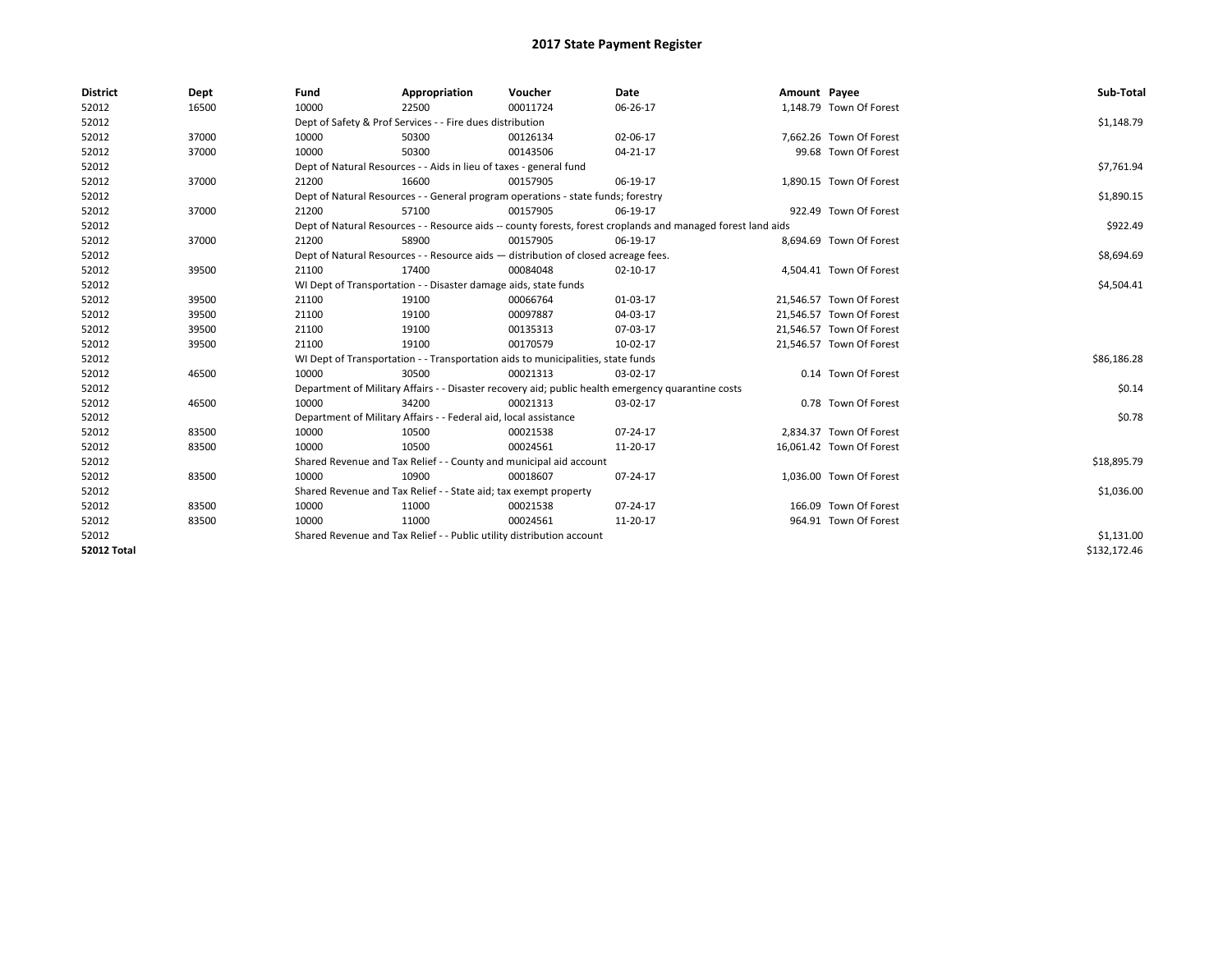| <b>District</b>    | Dept  | Fund  | Appropriation                                                                                                | Voucher  | Date           | Amount Payee |                          | Sub-Total    |  |  |
|--------------------|-------|-------|--------------------------------------------------------------------------------------------------------------|----------|----------------|--------------|--------------------------|--------------|--|--|
| 52012              | 16500 | 10000 | 22500                                                                                                        | 00011724 | 06-26-17       |              | 1,148.79 Town Of Forest  |              |  |  |
| 52012              |       |       | Dept of Safety & Prof Services - - Fire dues distribution                                                    |          |                |              |                          | \$1,148.79   |  |  |
| 52012              | 37000 | 10000 | 50300                                                                                                        | 00126134 | 02-06-17       |              | 7,662.26 Town Of Forest  |              |  |  |
| 52012              | 37000 | 10000 | 50300                                                                                                        | 00143506 | $04 - 21 - 17$ |              | 99.68 Town Of Forest     |              |  |  |
| 52012              |       |       | Dept of Natural Resources - - Aids in lieu of taxes - general fund                                           |          |                |              |                          |              |  |  |
| 52012              | 37000 | 21200 | 16600                                                                                                        | 00157905 | 06-19-17       |              | 1,890.15 Town Of Forest  |              |  |  |
| 52012              |       |       | Dept of Natural Resources - - General program operations - state funds; forestry                             |          |                |              |                          | \$1,890.15   |  |  |
| 52012              | 37000 | 21200 | 57100                                                                                                        | 00157905 | 06-19-17       |              | 922.49 Town Of Forest    |              |  |  |
| 52012              |       |       | Dept of Natural Resources - - Resource aids -- county forests, forest croplands and managed forest land aids |          |                |              |                          |              |  |  |
| 52012              | 37000 | 21200 | 58900                                                                                                        | 00157905 | 06-19-17       |              | 8,694.69 Town Of Forest  |              |  |  |
| 52012              |       |       | Dept of Natural Resources - - Resource aids - distribution of closed acreage fees.                           |          |                |              |                          | \$8,694.69   |  |  |
| 52012              | 39500 | 21100 | 17400                                                                                                        | 00084048 | $02 - 10 - 17$ |              | 4,504.41 Town Of Forest  |              |  |  |
| 52012              |       |       | WI Dept of Transportation - - Disaster damage aids, state funds                                              |          |                |              |                          |              |  |  |
| 52012              | 39500 | 21100 | 19100                                                                                                        | 00066764 | 01-03-17       |              | 21,546.57 Town Of Forest |              |  |  |
| 52012              | 39500 | 21100 | 19100                                                                                                        | 00097887 | 04-03-17       |              | 21,546.57 Town Of Forest |              |  |  |
| 52012              | 39500 | 21100 | 19100                                                                                                        | 00135313 | 07-03-17       |              | 21,546.57 Town Of Forest |              |  |  |
| 52012              | 39500 | 21100 | 19100                                                                                                        | 00170579 | 10-02-17       |              | 21,546.57 Town Of Forest |              |  |  |
| 52012              |       |       | WI Dept of Transportation - - Transportation aids to municipalities, state funds                             |          |                |              |                          | \$86,186.28  |  |  |
| 52012              | 46500 | 10000 | 30500                                                                                                        | 00021313 | 03-02-17       |              | 0.14 Town Of Forest      |              |  |  |
| 52012              |       |       | Department of Military Affairs - - Disaster recovery aid; public health emergency quarantine costs           |          |                |              |                          | \$0.14       |  |  |
| 52012              | 46500 | 10000 | 34200                                                                                                        | 00021313 | 03-02-17       |              | 0.78 Town Of Forest      |              |  |  |
| 52012              |       |       | Department of Military Affairs - - Federal aid, local assistance                                             |          |                |              |                          | \$0.78       |  |  |
| 52012              | 83500 | 10000 | 10500                                                                                                        | 00021538 | 07-24-17       |              | 2,834.37 Town Of Forest  |              |  |  |
| 52012              | 83500 | 10000 | 10500                                                                                                        | 00024561 | 11-20-17       |              | 16,061.42 Town Of Forest |              |  |  |
| 52012              |       |       | Shared Revenue and Tax Relief - - County and municipal aid account                                           |          |                |              |                          | \$18,895.79  |  |  |
| 52012              | 83500 | 10000 | 10900                                                                                                        | 00018607 | 07-24-17       |              | 1,036.00 Town Of Forest  |              |  |  |
| 52012              |       |       | Shared Revenue and Tax Relief - - State aid; tax exempt property                                             |          |                |              |                          | \$1,036.00   |  |  |
| 52012              | 83500 | 10000 | 11000                                                                                                        | 00021538 | 07-24-17       |              | 166.09 Town Of Forest    |              |  |  |
| 52012              | 83500 | 10000 | 11000                                                                                                        | 00024561 | 11-20-17       |              | 964.91 Town Of Forest    |              |  |  |
| 52012              |       |       | Shared Revenue and Tax Relief - - Public utility distribution account                                        |          |                |              |                          | \$1,131.00   |  |  |
| <b>52012 Total</b> |       |       |                                                                                                              |          |                |              |                          | \$132,172.46 |  |  |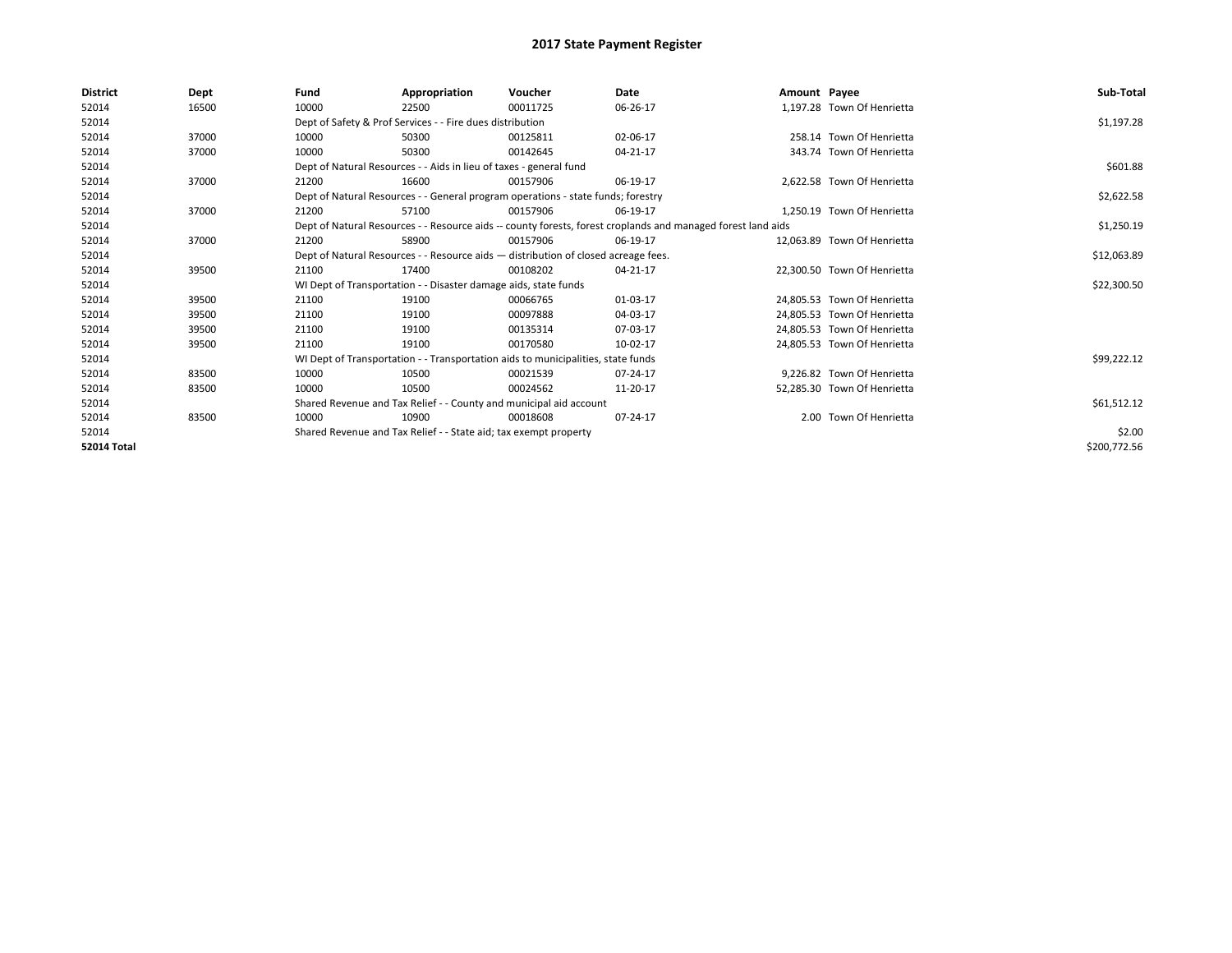| <b>District</b>    | Dept  | Fund                                                                               | Appropriation                                                                    | Voucher     | Date                                                                                                         | Amount Payee |                             | Sub-Total    |
|--------------------|-------|------------------------------------------------------------------------------------|----------------------------------------------------------------------------------|-------------|--------------------------------------------------------------------------------------------------------------|--------------|-----------------------------|--------------|
| 52014              | 16500 | 10000                                                                              | 22500                                                                            | 00011725    | 06-26-17                                                                                                     |              | 1,197.28 Town Of Henrietta  |              |
| 52014              |       |                                                                                    | Dept of Safety & Prof Services - - Fire dues distribution                        |             |                                                                                                              |              |                             | \$1,197.28   |
| 52014              | 37000 | 10000                                                                              | 50300                                                                            | 00125811    | 02-06-17                                                                                                     |              | 258.14 Town Of Henrietta    |              |
| 52014              | 37000 | 10000                                                                              | 50300                                                                            | 00142645    | 04-21-17                                                                                                     |              | 343.74 Town Of Henrietta    |              |
| 52014              |       | Dept of Natural Resources - - Aids in lieu of taxes - general fund                 |                                                                                  | \$601.88    |                                                                                                              |              |                             |              |
| 52014              | 37000 | 21200                                                                              | 16600                                                                            | 00157906    | 06-19-17                                                                                                     |              | 2,622.58 Town Of Henrietta  |              |
| 52014              |       |                                                                                    | Dept of Natural Resources - - General program operations - state funds; forestry |             |                                                                                                              |              |                             | \$2,622.58   |
| 52014              | 37000 | 21200                                                                              | 57100                                                                            | 00157906    | 06-19-17                                                                                                     |              | 1,250.19 Town Of Henrietta  |              |
| 52014              |       |                                                                                    |                                                                                  |             | Dept of Natural Resources - - Resource aids -- county forests, forest croplands and managed forest land aids |              |                             | \$1,250.19   |
| 52014              | 37000 | 21200                                                                              | 58900                                                                            | 00157906    | 06-19-17                                                                                                     |              | 12.063.89 Town Of Henrietta |              |
| 52014              |       | Dept of Natural Resources - - Resource aids - distribution of closed acreage fees. |                                                                                  | \$12,063.89 |                                                                                                              |              |                             |              |
| 52014              | 39500 | 21100                                                                              | 17400                                                                            | 00108202    | 04-21-17                                                                                                     |              | 22.300.50 Town Of Henrietta |              |
| 52014              |       |                                                                                    | WI Dept of Transportation - - Disaster damage aids, state funds                  |             |                                                                                                              |              |                             | \$22,300.50  |
| 52014              | 39500 | 21100                                                                              | 19100                                                                            | 00066765    | 01-03-17                                                                                                     |              | 24.805.53 Town Of Henrietta |              |
| 52014              | 39500 | 21100                                                                              | 19100                                                                            | 00097888    | 04-03-17                                                                                                     |              | 24,805.53 Town Of Henrietta |              |
| 52014              | 39500 | 21100                                                                              | 19100                                                                            | 00135314    | 07-03-17                                                                                                     |              | 24.805.53 Town Of Henrietta |              |
| 52014              | 39500 | 21100                                                                              | 19100                                                                            | 00170580    | 10-02-17                                                                                                     |              | 24,805.53 Town Of Henrietta |              |
| 52014              |       |                                                                                    | WI Dept of Transportation - - Transportation aids to municipalities, state funds |             |                                                                                                              |              |                             | \$99,222.12  |
| 52014              | 83500 | 10000                                                                              | 10500                                                                            | 00021539    | 07-24-17                                                                                                     |              | 9.226.82 Town Of Henrietta  |              |
| 52014              | 83500 | 10000                                                                              | 10500                                                                            | 00024562    | 11-20-17                                                                                                     |              | 52,285.30 Town Of Henrietta |              |
| 52014              |       |                                                                                    | Shared Revenue and Tax Relief - - County and municipal aid account               |             |                                                                                                              |              |                             | \$61,512.12  |
| 52014              | 83500 | 10000                                                                              | 10900                                                                            | 00018608    | 07-24-17                                                                                                     |              | 2.00 Town Of Henrietta      |              |
| 52014              |       |                                                                                    | Shared Revenue and Tax Relief - - State aid; tax exempt property                 |             |                                                                                                              |              |                             | \$2.00       |
| <b>52014 Total</b> |       |                                                                                    |                                                                                  |             |                                                                                                              |              |                             | \$200,772.56 |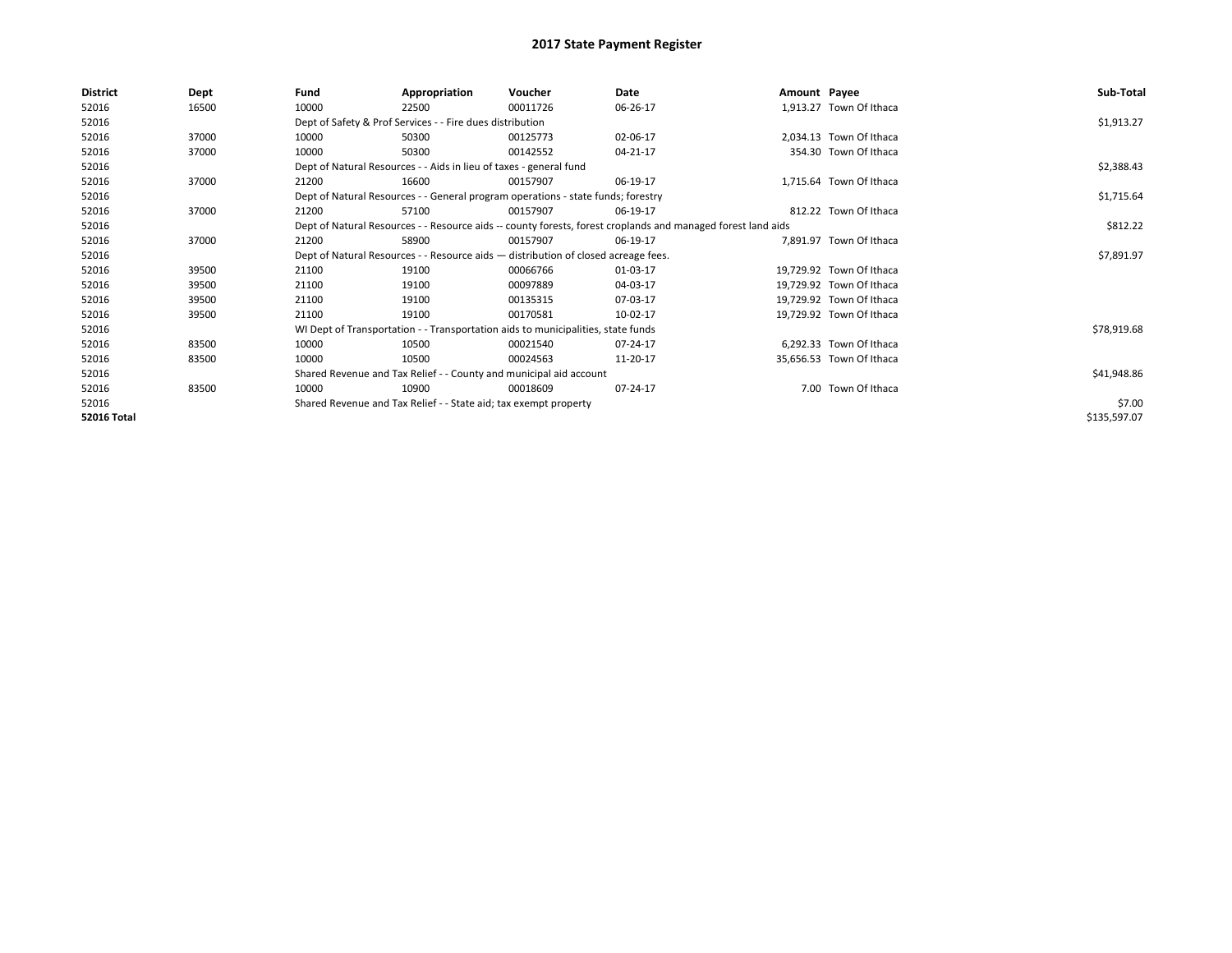| District           | Dept  | Fund  | Appropriation                                                                                                | Voucher  | Date           | Amount Payee |                          | Sub-Total    |  |  |
|--------------------|-------|-------|--------------------------------------------------------------------------------------------------------------|----------|----------------|--------------|--------------------------|--------------|--|--|
| 52016              | 16500 | 10000 | 22500                                                                                                        | 00011726 | 06-26-17       |              | 1,913.27 Town Of Ithaca  |              |  |  |
| 52016              |       |       | Dept of Safety & Prof Services - - Fire dues distribution                                                    |          |                |              |                          | \$1,913.27   |  |  |
| 52016              | 37000 | 10000 | 50300                                                                                                        | 00125773 | 02-06-17       |              | 2,034.13 Town Of Ithaca  |              |  |  |
| 52016              | 37000 | 10000 | 50300                                                                                                        | 00142552 | 04-21-17       |              | 354.30 Town Of Ithaca    |              |  |  |
| 52016              |       |       | Dept of Natural Resources - - Aids in lieu of taxes - general fund                                           |          |                |              |                          | \$2,388.43   |  |  |
| 52016              | 37000 | 21200 | 16600                                                                                                        | 00157907 | 06-19-17       |              | 1,715.64 Town Of Ithaca  |              |  |  |
| 52016              |       |       | Dept of Natural Resources - - General program operations - state funds; forestry                             |          |                |              |                          | \$1,715.64   |  |  |
| 52016              | 37000 | 21200 | 57100                                                                                                        | 00157907 | 06-19-17       |              | 812.22 Town Of Ithaca    |              |  |  |
| 52016              |       |       | Dept of Natural Resources - - Resource aids -- county forests, forest croplands and managed forest land aids |          |                |              |                          |              |  |  |
| 52016              | 37000 | 21200 | 58900                                                                                                        | 00157907 | 06-19-17       |              | 7,891.97 Town Of Ithaca  |              |  |  |
| 52016              |       |       | Dept of Natural Resources - - Resource aids - distribution of closed acreage fees.                           |          |                |              |                          |              |  |  |
| 52016              | 39500 | 21100 | 19100                                                                                                        | 00066766 | 01-03-17       |              | 19,729.92 Town Of Ithaca |              |  |  |
| 52016              | 39500 | 21100 | 19100                                                                                                        | 00097889 | 04-03-17       |              | 19,729.92 Town Of Ithaca |              |  |  |
| 52016              | 39500 | 21100 | 19100                                                                                                        | 00135315 | 07-03-17       |              | 19,729.92 Town Of Ithaca |              |  |  |
| 52016              | 39500 | 21100 | 19100                                                                                                        | 00170581 | 10-02-17       |              | 19,729.92 Town Of Ithaca |              |  |  |
| 52016              |       |       | WI Dept of Transportation - - Transportation aids to municipalities, state funds                             |          |                |              |                          | \$78,919.68  |  |  |
| 52016              | 83500 | 10000 | 10500                                                                                                        | 00021540 | 07-24-17       |              | 6,292.33 Town Of Ithaca  |              |  |  |
| 52016              | 83500 | 10000 | 10500                                                                                                        | 00024563 | 11-20-17       |              | 35,656.53 Town Of Ithaca |              |  |  |
| 52016              |       |       | Shared Revenue and Tax Relief - - County and municipal aid account                                           |          |                |              |                          | \$41,948.86  |  |  |
| 52016              | 83500 | 10000 | 10900                                                                                                        | 00018609 | $07 - 24 - 17$ |              | 7.00 Town Of Ithaca      |              |  |  |
| 52016              |       |       | Shared Revenue and Tax Relief - - State aid; tax exempt property                                             |          |                |              |                          | \$7.00       |  |  |
| <b>52016 Total</b> |       |       |                                                                                                              |          |                |              |                          | \$135,597.07 |  |  |
|                    |       |       |                                                                                                              |          |                |              |                          |              |  |  |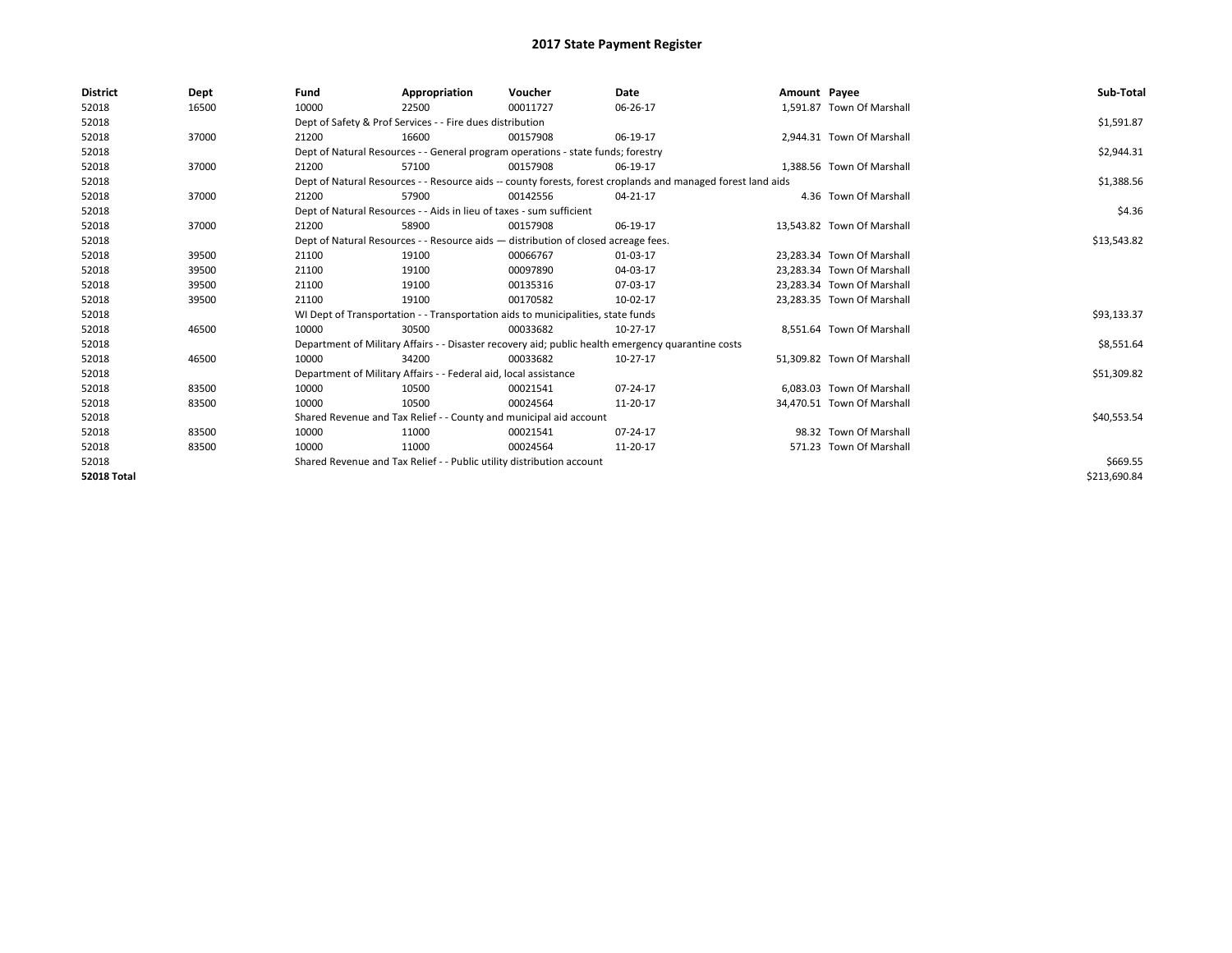| <b>District</b>    | Dept  | Fund  | Appropriation                                                                                                | Voucher  | <b>Date</b> | Amount Payee |                            | Sub-Total    |
|--------------------|-------|-------|--------------------------------------------------------------------------------------------------------------|----------|-------------|--------------|----------------------------|--------------|
| 52018              | 16500 | 10000 | 22500                                                                                                        | 00011727 | 06-26-17    |              | 1,591.87 Town Of Marshall  |              |
| 52018              |       |       | Dept of Safety & Prof Services - - Fire dues distribution                                                    |          |             |              |                            | \$1,591.87   |
| 52018              | 37000 | 21200 | 16600                                                                                                        | 00157908 | 06-19-17    |              | 2.944.31 Town Of Marshall  |              |
| 52018              |       |       | Dept of Natural Resources - - General program operations - state funds; forestry                             |          |             |              |                            | \$2,944.31   |
| 52018              | 37000 | 21200 | 57100                                                                                                        | 00157908 | 06-19-17    |              | 1.388.56 Town Of Marshall  |              |
| 52018              |       |       | Dept of Natural Resources - - Resource aids -- county forests, forest croplands and managed forest land aids |          |             |              |                            | \$1,388.56   |
| 52018              | 37000 | 21200 | 57900                                                                                                        | 00142556 | 04-21-17    |              | 4.36 Town Of Marshall      |              |
| 52018              |       |       | Dept of Natural Resources - - Aids in lieu of taxes - sum sufficient                                         |          |             |              |                            | \$4.36       |
| 52018              | 37000 | 21200 | 58900                                                                                                        | 00157908 | 06-19-17    |              | 13,543.82 Town Of Marshall |              |
| 52018              |       |       | Dept of Natural Resources - - Resource aids - distribution of closed acreage fees.                           |          |             |              |                            | \$13,543.82  |
| 52018              | 39500 | 21100 | 19100                                                                                                        | 00066767 | 01-03-17    |              | 23,283.34 Town Of Marshall |              |
| 52018              | 39500 | 21100 | 19100                                                                                                        | 00097890 | 04-03-17    |              | 23.283.34 Town Of Marshall |              |
| 52018              | 39500 | 21100 | 19100                                                                                                        | 00135316 | 07-03-17    |              | 23,283.34 Town Of Marshall |              |
| 52018              | 39500 | 21100 | 19100                                                                                                        | 00170582 | 10-02-17    |              | 23,283.35 Town Of Marshall |              |
| 52018              |       |       | WI Dept of Transportation - - Transportation aids to municipalities, state funds                             |          |             |              |                            | \$93,133.37  |
| 52018              | 46500 | 10000 | 30500                                                                                                        | 00033682 | 10-27-17    |              | 8.551.64 Town Of Marshall  |              |
| 52018              |       |       | Department of Military Affairs - - Disaster recovery aid; public health emergency quarantine costs           |          |             |              |                            | \$8,551.64   |
| 52018              | 46500 | 10000 | 34200                                                                                                        | 00033682 | 10-27-17    |              | 51.309.82 Town Of Marshall |              |
| 52018              |       |       | Department of Military Affairs - - Federal aid, local assistance                                             |          |             |              |                            | \$51,309.82  |
| 52018              | 83500 | 10000 | 10500                                                                                                        | 00021541 | 07-24-17    |              | 6.083.03 Town Of Marshall  |              |
| 52018              | 83500 | 10000 | 10500                                                                                                        | 00024564 | 11-20-17    |              | 34,470.51 Town Of Marshall |              |
| 52018              |       |       | Shared Revenue and Tax Relief - - County and municipal aid account                                           |          |             |              |                            | \$40,553.54  |
| 52018              | 83500 | 10000 | 11000                                                                                                        | 00021541 | 07-24-17    |              | 98.32 Town Of Marshall     |              |
| 52018              | 83500 | 10000 | 11000                                                                                                        | 00024564 | 11-20-17    |              | 571.23 Town Of Marshall    |              |
| 52018              |       |       | Shared Revenue and Tax Relief - - Public utility distribution account                                        |          |             |              |                            | \$669.55     |
| <b>52018 Total</b> |       |       |                                                                                                              |          |             |              |                            | \$213,690.84 |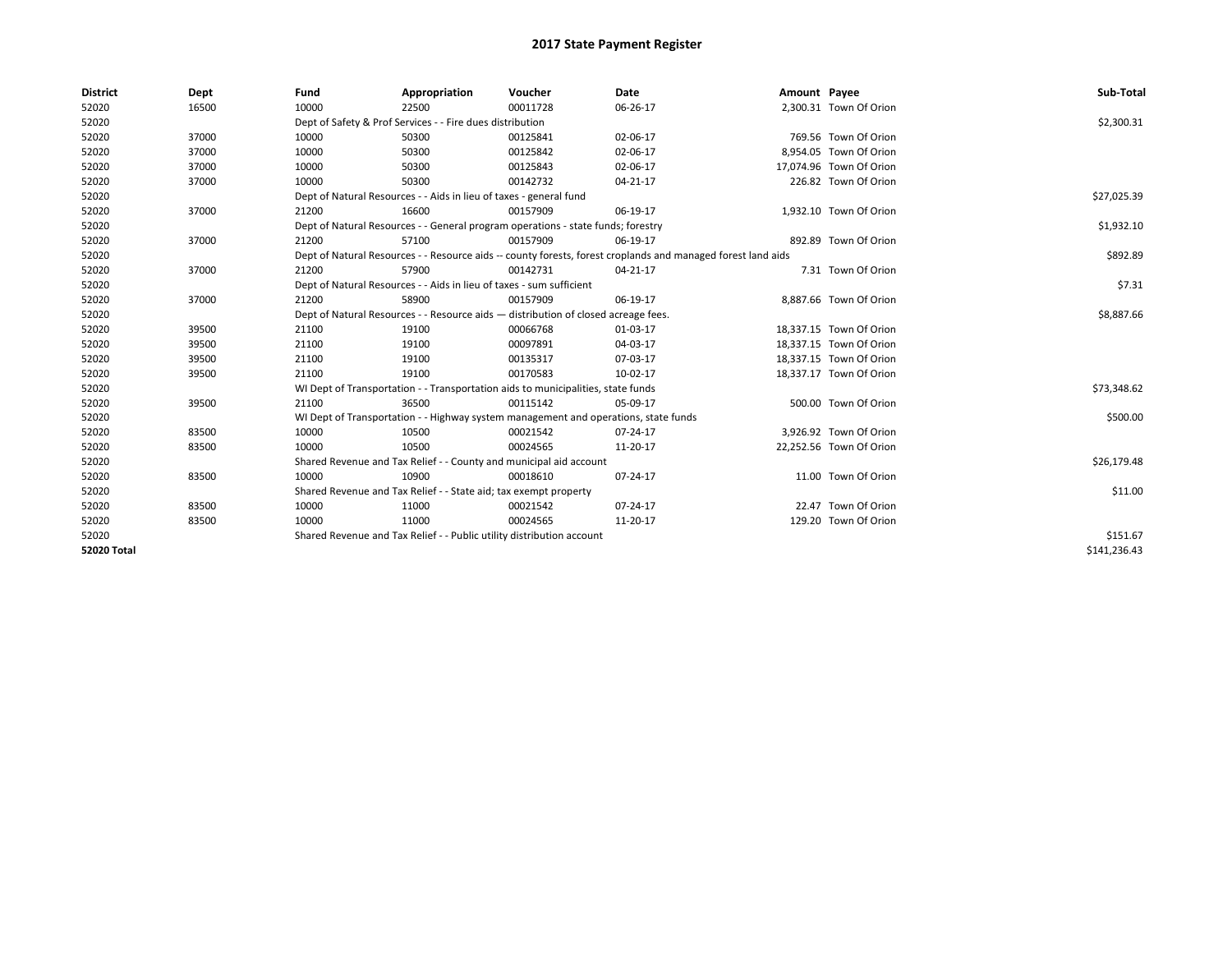| <b>District</b>    | Dept  | Fund  | Appropriation                                                                                                | Voucher  | Date           | Amount Payee |                         | Sub-Total    |  |  |
|--------------------|-------|-------|--------------------------------------------------------------------------------------------------------------|----------|----------------|--------------|-------------------------|--------------|--|--|
| 52020              | 16500 | 10000 | 22500                                                                                                        | 00011728 | 06-26-17       |              | 2,300.31 Town Of Orion  |              |  |  |
| 52020              |       |       | Dept of Safety & Prof Services - - Fire dues distribution                                                    |          |                |              |                         | \$2,300.31   |  |  |
| 52020              | 37000 | 10000 | 50300                                                                                                        | 00125841 | 02-06-17       |              | 769.56 Town Of Orion    |              |  |  |
| 52020              | 37000 | 10000 | 50300                                                                                                        | 00125842 | 02-06-17       |              | 8.954.05 Town Of Orion  |              |  |  |
| 52020              | 37000 | 10000 | 50300                                                                                                        | 00125843 | 02-06-17       |              | 17,074.96 Town Of Orion |              |  |  |
| 52020              | 37000 | 10000 | 50300                                                                                                        | 00142732 | $04 - 21 - 17$ |              | 226.82 Town Of Orion    |              |  |  |
| 52020              |       |       | Dept of Natural Resources - - Aids in lieu of taxes - general fund                                           |          |                |              |                         | \$27,025.39  |  |  |
| 52020              | 37000 | 21200 | 16600                                                                                                        | 00157909 | 06-19-17       |              | 1,932.10 Town Of Orion  |              |  |  |
| 52020              |       |       | Dept of Natural Resources - - General program operations - state funds; forestry                             |          |                |              |                         | \$1,932.10   |  |  |
| 52020              | 37000 | 21200 | 57100                                                                                                        | 00157909 | 06-19-17       |              | 892.89 Town Of Orion    |              |  |  |
| 52020              |       |       | Dept of Natural Resources - - Resource aids -- county forests, forest croplands and managed forest land aids |          |                |              |                         | \$892.89     |  |  |
| 52020              | 37000 | 21200 | 57900                                                                                                        | 00142731 | 04-21-17       |              | 7.31 Town Of Orion      |              |  |  |
| 52020              |       |       | Dept of Natural Resources - - Aids in lieu of taxes - sum sufficient                                         |          |                |              |                         | \$7.31       |  |  |
| 52020              | 37000 | 21200 | 58900                                                                                                        | 00157909 | 06-19-17       |              | 8,887.66 Town Of Orion  |              |  |  |
| 52020              |       |       | Dept of Natural Resources - - Resource aids - distribution of closed acreage fees.                           |          |                |              |                         |              |  |  |
| 52020              | 39500 | 21100 | 19100                                                                                                        | 00066768 | 01-03-17       |              | 18,337.15 Town Of Orion |              |  |  |
| 52020              | 39500 | 21100 | 19100                                                                                                        | 00097891 | 04-03-17       |              | 18,337.15 Town Of Orion |              |  |  |
| 52020              | 39500 | 21100 | 19100                                                                                                        | 00135317 | 07-03-17       |              | 18,337.15 Town Of Orion |              |  |  |
| 52020              | 39500 | 21100 | 19100                                                                                                        | 00170583 | 10-02-17       |              | 18,337.17 Town Of Orion |              |  |  |
| 52020              |       |       | WI Dept of Transportation - - Transportation aids to municipalities, state funds                             |          |                |              |                         | \$73,348.62  |  |  |
| 52020              | 39500 | 21100 | 36500                                                                                                        | 00115142 | 05-09-17       |              | 500.00 Town Of Orion    |              |  |  |
| 52020              |       |       | WI Dept of Transportation - - Highway system management and operations, state funds                          |          |                |              |                         | \$500.00     |  |  |
| 52020              | 83500 | 10000 | 10500                                                                                                        | 00021542 | $07 - 24 - 17$ |              | 3,926.92 Town Of Orion  |              |  |  |
| 52020              | 83500 | 10000 | 10500                                                                                                        | 00024565 | 11-20-17       |              | 22.252.56 Town Of Orion |              |  |  |
| 52020              |       |       | Shared Revenue and Tax Relief - - County and municipal aid account                                           |          |                |              |                         | \$26,179.48  |  |  |
| 52020              | 83500 | 10000 | 10900                                                                                                        | 00018610 | 07-24-17       |              | 11.00 Town Of Orion     |              |  |  |
| 52020              |       |       | Shared Revenue and Tax Relief - - State aid; tax exempt property                                             |          |                |              |                         | \$11.00      |  |  |
| 52020              | 83500 | 10000 | 11000                                                                                                        | 00021542 | $07 - 24 - 17$ |              | 22.47 Town Of Orion     |              |  |  |
| 52020              | 83500 | 10000 | 11000                                                                                                        | 00024565 | 11-20-17       |              | 129.20 Town Of Orion    |              |  |  |
| 52020              |       |       | Shared Revenue and Tax Relief - - Public utility distribution account                                        |          |                |              |                         | \$151.67     |  |  |
| <b>52020 Total</b> |       |       |                                                                                                              |          |                |              |                         | \$141,236.43 |  |  |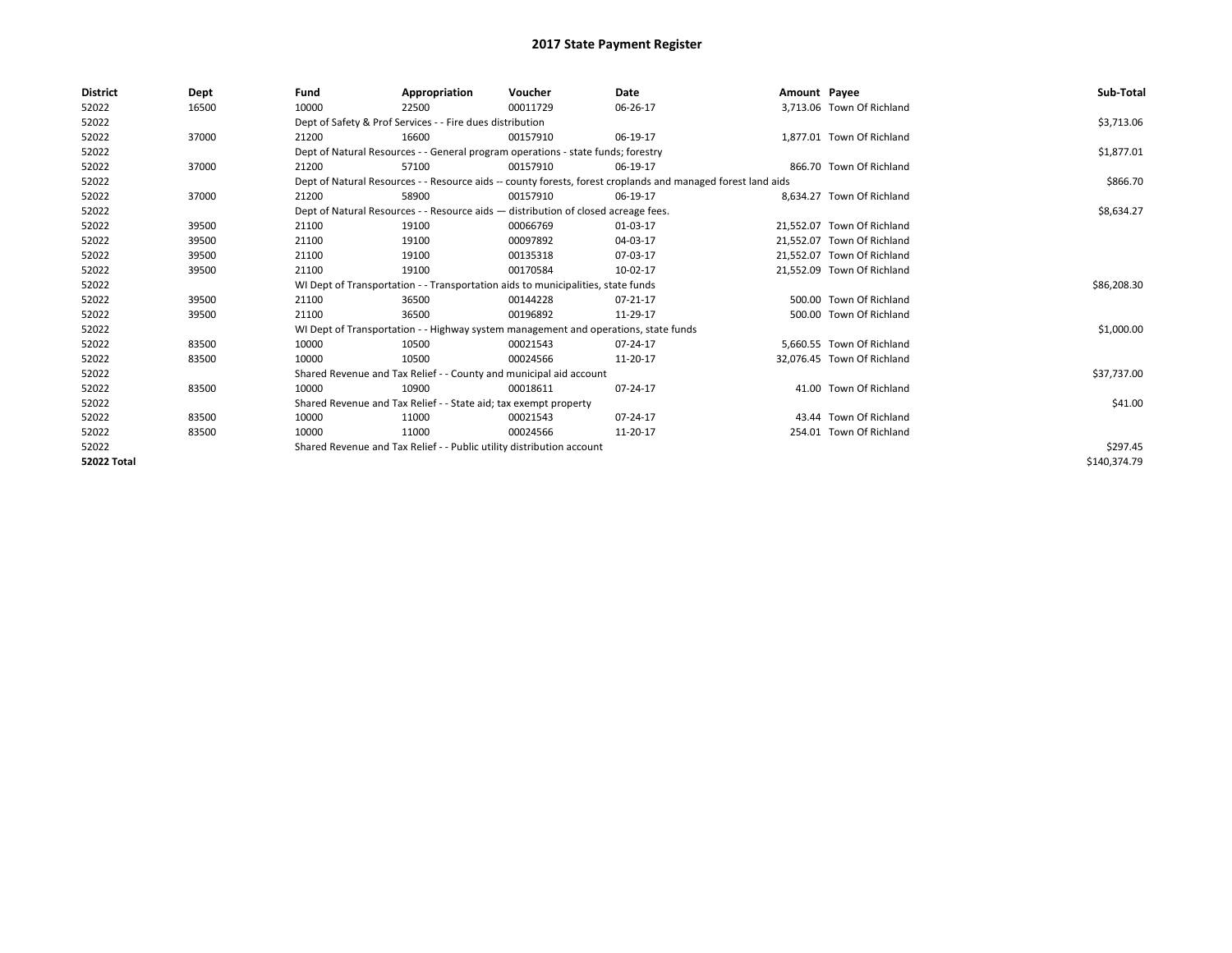| <b>District</b>    | Dept  | Fund  | Appropriation                                                         | Voucher                                                                             | Date                                                                                                         | Amount Payee |                            | Sub-Total    |
|--------------------|-------|-------|-----------------------------------------------------------------------|-------------------------------------------------------------------------------------|--------------------------------------------------------------------------------------------------------------|--------------|----------------------------|--------------|
| 52022              | 16500 | 10000 | 22500                                                                 | 00011729                                                                            | 06-26-17                                                                                                     |              | 3.713.06 Town Of Richland  |              |
| 52022              |       |       | Dept of Safety & Prof Services - - Fire dues distribution             |                                                                                     |                                                                                                              |              |                            | \$3,713.06   |
| 52022              | 37000 | 21200 | 16600                                                                 | 00157910                                                                            | 06-19-17                                                                                                     |              | 1,877.01 Town Of Richland  |              |
| 52022              |       |       |                                                                       | Dept of Natural Resources - - General program operations - state funds; forestry    |                                                                                                              |              |                            | \$1,877.01   |
| 52022              | 37000 | 21200 | 57100                                                                 | 00157910                                                                            | 06-19-17                                                                                                     |              | 866.70 Town Of Richland    |              |
| 52022              |       |       |                                                                       |                                                                                     | Dept of Natural Resources - - Resource aids -- county forests, forest croplands and managed forest land aids |              |                            | \$866.70     |
| 52022              | 37000 | 21200 | 58900                                                                 | 00157910                                                                            | 06-19-17                                                                                                     |              | 8.634.27 Town Of Richland  |              |
| 52022              |       |       |                                                                       | Dept of Natural Resources - - Resource aids - distribution of closed acreage fees.  |                                                                                                              |              |                            | \$8,634.27   |
| 52022              | 39500 | 21100 | 19100                                                                 | 00066769                                                                            | 01-03-17                                                                                                     |              | 21.552.07 Town Of Richland |              |
| 52022              | 39500 | 21100 | 19100                                                                 | 00097892                                                                            | 04-03-17                                                                                                     |              | 21.552.07 Town Of Richland |              |
| 52022              | 39500 | 21100 | 19100                                                                 | 00135318                                                                            | 07-03-17                                                                                                     |              | 21,552.07 Town Of Richland |              |
| 52022              | 39500 | 21100 | 19100                                                                 | 00170584                                                                            | 10-02-17                                                                                                     |              | 21,552.09 Town Of Richland |              |
| 52022              |       |       |                                                                       | WI Dept of Transportation - - Transportation aids to municipalities, state funds    |                                                                                                              |              |                            | \$86,208.30  |
| 52022              | 39500 | 21100 | 36500                                                                 | 00144228                                                                            | 07-21-17                                                                                                     |              | 500.00 Town Of Richland    |              |
| 52022              | 39500 | 21100 | 36500                                                                 | 00196892                                                                            | 11-29-17                                                                                                     |              | 500.00 Town Of Richland    |              |
| 52022              |       |       |                                                                       | WI Dept of Transportation - - Highway system management and operations, state funds |                                                                                                              |              |                            | \$1,000.00   |
| 52022              | 83500 | 10000 | 10500                                                                 | 00021543                                                                            | 07-24-17                                                                                                     |              | 5.660.55 Town Of Richland  |              |
| 52022              | 83500 | 10000 | 10500                                                                 | 00024566                                                                            | 11-20-17                                                                                                     |              | 32,076.45 Town Of Richland |              |
| 52022              |       |       | Shared Revenue and Tax Relief - - County and municipal aid account    |                                                                                     |                                                                                                              |              |                            | \$37,737.00  |
| 52022              | 83500 | 10000 | 10900                                                                 | 00018611                                                                            | 07-24-17                                                                                                     |              | 41.00 Town Of Richland     |              |
| 52022              |       |       | Shared Revenue and Tax Relief - - State aid; tax exempt property      |                                                                                     |                                                                                                              |              |                            | \$41.00      |
| 52022              | 83500 | 10000 | 11000                                                                 | 00021543                                                                            | 07-24-17                                                                                                     |              | 43.44 Town Of Richland     |              |
| 52022              | 83500 | 10000 | 11000                                                                 | 00024566                                                                            | 11-20-17                                                                                                     |              | 254.01 Town Of Richland    |              |
| 52022              |       |       | Shared Revenue and Tax Relief - - Public utility distribution account |                                                                                     |                                                                                                              |              |                            | \$297.45     |
| <b>52022 Total</b> |       |       |                                                                       |                                                                                     |                                                                                                              |              |                            | \$140,374.79 |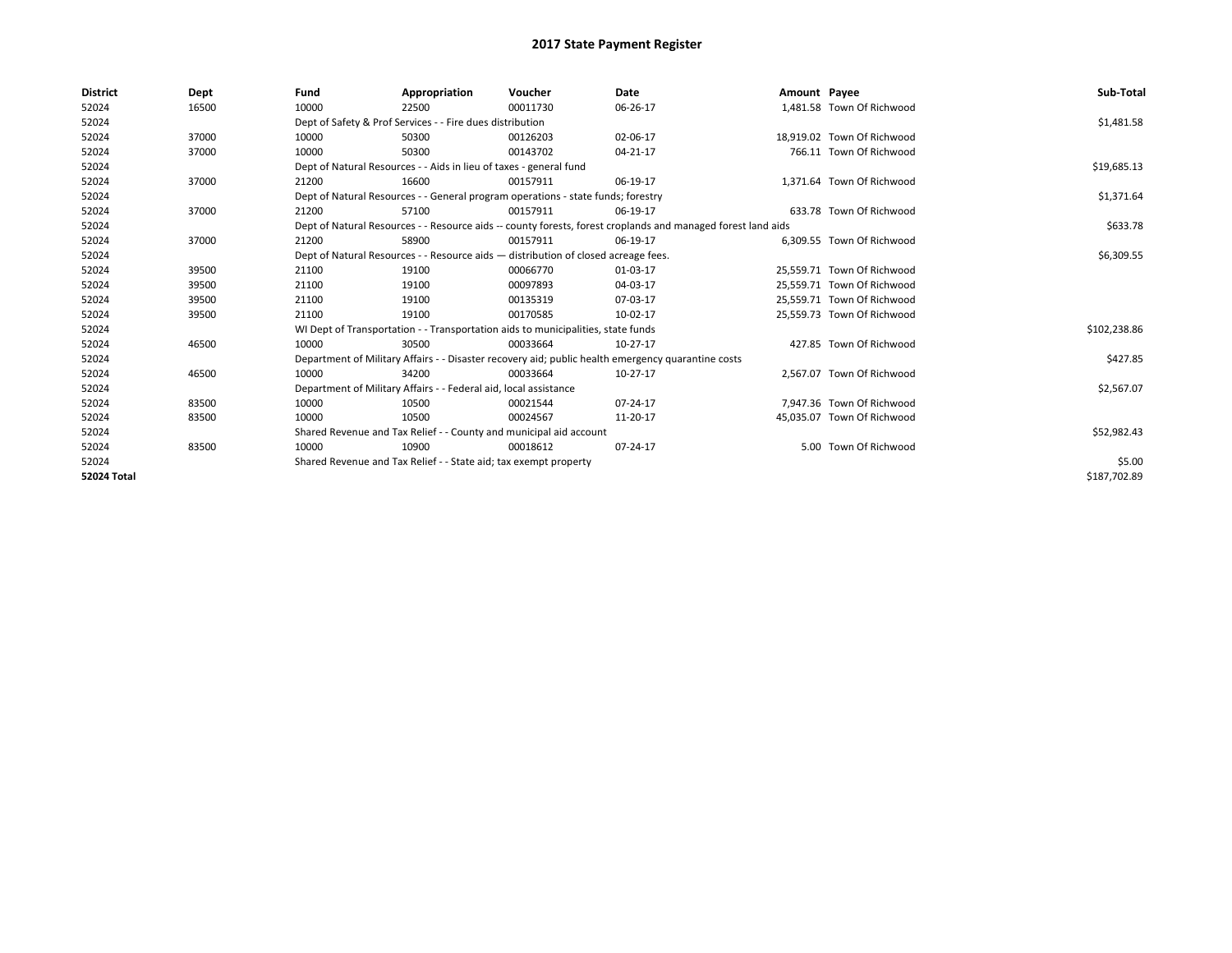| <b>District</b> | Dept  | Fund  | Appropriation                                                                                                | Voucher  | <b>Date</b> | Amount Payee |                            | Sub-Total    |
|-----------------|-------|-------|--------------------------------------------------------------------------------------------------------------|----------|-------------|--------------|----------------------------|--------------|
| 52024           | 16500 | 10000 | 22500                                                                                                        | 00011730 | 06-26-17    |              | 1,481.58 Town Of Richwood  |              |
| 52024           |       |       | Dept of Safety & Prof Services - - Fire dues distribution                                                    |          |             |              |                            | \$1,481.58   |
| 52024           | 37000 | 10000 | 50300                                                                                                        | 00126203 | 02-06-17    |              | 18.919.02 Town Of Richwood |              |
| 52024           | 37000 | 10000 | 50300                                                                                                        | 00143702 | 04-21-17    |              | 766.11 Town Of Richwood    |              |
| 52024           |       |       | Dept of Natural Resources - - Aids in lieu of taxes - general fund                                           |          |             |              |                            | \$19,685.13  |
| 52024           | 37000 | 21200 | 16600                                                                                                        | 00157911 | 06-19-17    |              | 1.371.64 Town Of Richwood  |              |
| 52024           |       |       | Dept of Natural Resources - - General program operations - state funds; forestry                             |          |             |              |                            | \$1,371.64   |
| 52024           | 37000 | 21200 | 57100                                                                                                        | 00157911 | 06-19-17    |              | 633.78 Town Of Richwood    |              |
| 52024           |       |       | Dept of Natural Resources - - Resource aids -- county forests, forest croplands and managed forest land aids |          | \$633.78    |              |                            |              |
| 52024           | 37000 | 21200 | 58900                                                                                                        | 00157911 | 06-19-17    |              | 6,309.55 Town Of Richwood  |              |
| 52024           |       |       | Dept of Natural Resources - - Resource aids - distribution of closed acreage fees.                           |          |             |              |                            | \$6,309.55   |
| 52024           | 39500 | 21100 | 19100                                                                                                        | 00066770 | 01-03-17    |              | 25,559.71 Town Of Richwood |              |
| 52024           | 39500 | 21100 | 19100                                                                                                        | 00097893 | 04-03-17    |              | 25,559.71 Town Of Richwood |              |
| 52024           | 39500 | 21100 | 19100                                                                                                        | 00135319 | 07-03-17    |              | 25,559.71 Town Of Richwood |              |
| 52024           | 39500 | 21100 | 19100                                                                                                        | 00170585 | 10-02-17    |              | 25,559.73 Town Of Richwood |              |
| 52024           |       |       | WI Dept of Transportation - - Transportation aids to municipalities, state funds                             |          |             |              |                            | \$102,238.86 |
| 52024           | 46500 | 10000 | 30500                                                                                                        | 00033664 | 10-27-17    |              | 427.85 Town Of Richwood    |              |
| 52024           |       |       | Department of Military Affairs - - Disaster recovery aid; public health emergency quarantine costs           |          |             |              |                            | \$427.85     |
| 52024           | 46500 | 10000 | 34200                                                                                                        | 00033664 | 10-27-17    |              | 2,567.07 Town Of Richwood  |              |
| 52024           |       |       | Department of Military Affairs - - Federal aid, local assistance                                             |          |             |              |                            | \$2,567.07   |
| 52024           | 83500 | 10000 | 10500                                                                                                        | 00021544 | 07-24-17    |              | 7,947.36 Town Of Richwood  |              |
| 52024           | 83500 | 10000 | 10500                                                                                                        | 00024567 | 11-20-17    |              | 45,035.07 Town Of Richwood |              |
| 52024           |       |       | Shared Revenue and Tax Relief - - County and municipal aid account                                           |          |             |              |                            | \$52,982.43  |
| 52024           | 83500 | 10000 | 10900                                                                                                        | 00018612 | 07-24-17    |              | 5.00 Town Of Richwood      |              |
| 52024           |       |       | Shared Revenue and Tax Relief - - State aid; tax exempt property                                             |          |             |              |                            | \$5.00       |
| 52024 Total     |       |       |                                                                                                              |          |             |              |                            | \$187,702.89 |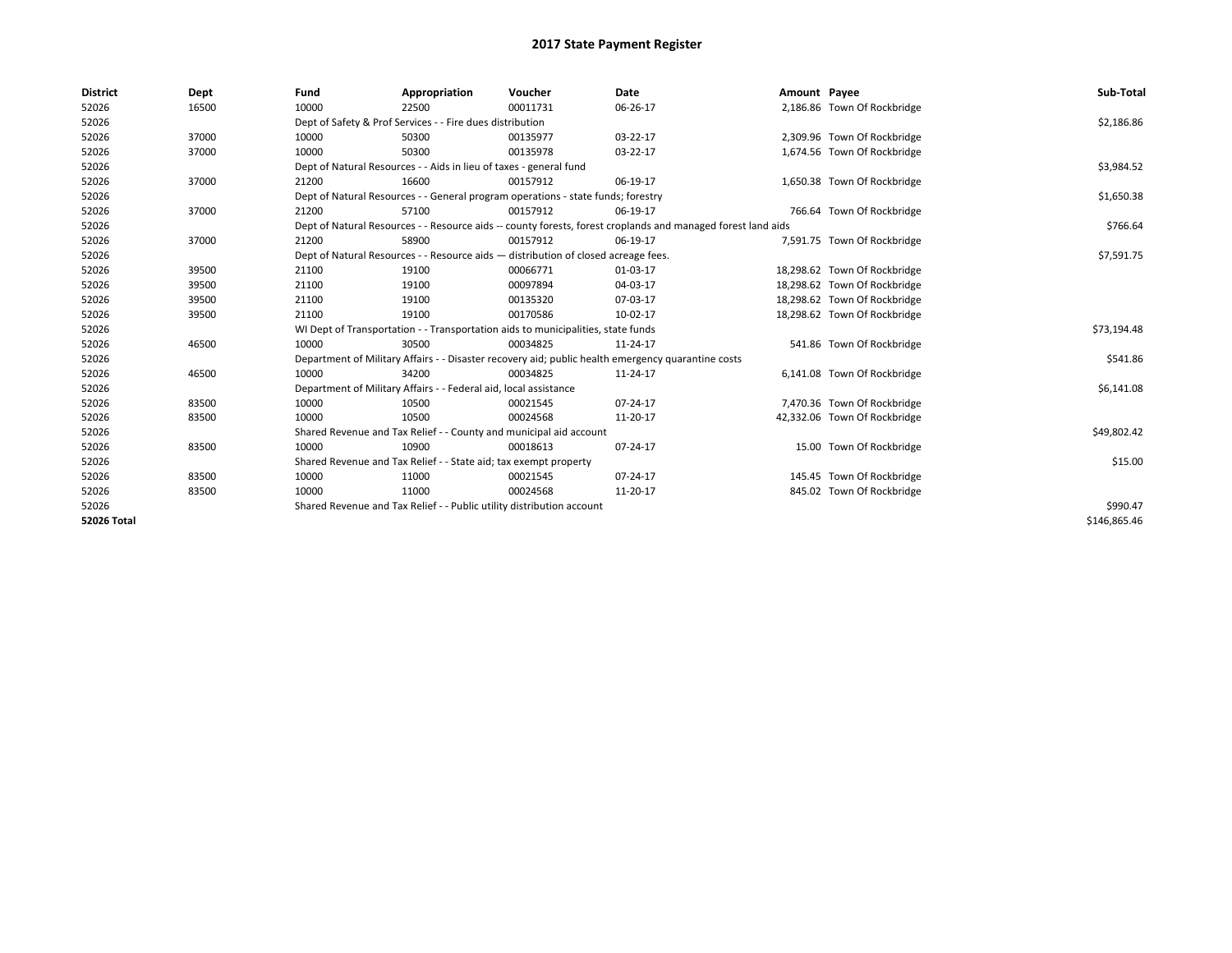| <b>District</b>    | Dept  | Fund  | Appropriation                                                                      | Voucher  | Date                                                                                                         | Amount Payee |                              | Sub-Total    |
|--------------------|-------|-------|------------------------------------------------------------------------------------|----------|--------------------------------------------------------------------------------------------------------------|--------------|------------------------------|--------------|
| 52026              | 16500 | 10000 | 22500                                                                              | 00011731 | 06-26-17                                                                                                     |              | 2,186.86 Town Of Rockbridge  |              |
| 52026              |       |       | Dept of Safety & Prof Services - - Fire dues distribution                          |          |                                                                                                              |              |                              | \$2,186.86   |
| 52026              | 37000 | 10000 | 50300                                                                              | 00135977 | 03-22-17                                                                                                     |              | 2,309.96 Town Of Rockbridge  |              |
| 52026              | 37000 | 10000 | 50300                                                                              | 00135978 | 03-22-17                                                                                                     |              | 1,674.56 Town Of Rockbridge  |              |
| 52026              |       |       | Dept of Natural Resources - - Aids in lieu of taxes - general fund                 |          |                                                                                                              |              |                              | \$3,984.52   |
| 52026              | 37000 | 21200 | 16600                                                                              | 00157912 | 06-19-17                                                                                                     |              | 1,650.38 Town Of Rockbridge  |              |
| 52026              |       |       | Dept of Natural Resources - - General program operations - state funds; forestry   |          |                                                                                                              |              |                              | \$1,650.38   |
| 52026              | 37000 | 21200 | 57100                                                                              | 00157912 | 06-19-17                                                                                                     |              | 766.64 Town Of Rockbridge    |              |
| 52026              |       |       |                                                                                    |          | Dept of Natural Resources - - Resource aids -- county forests, forest croplands and managed forest land aids |              |                              | \$766.64     |
| 52026              | 37000 | 21200 | 58900                                                                              | 00157912 | 06-19-17                                                                                                     |              | 7,591.75 Town Of Rockbridge  |              |
| 52026              |       |       | Dept of Natural Resources - - Resource aids - distribution of closed acreage fees. |          |                                                                                                              |              |                              | \$7,591.75   |
| 52026              | 39500 | 21100 | 19100                                                                              | 00066771 | 01-03-17                                                                                                     |              | 18,298.62 Town Of Rockbridge |              |
| 52026              | 39500 | 21100 | 19100                                                                              | 00097894 | 04-03-17                                                                                                     |              | 18,298.62 Town Of Rockbridge |              |
| 52026              | 39500 | 21100 | 19100                                                                              | 00135320 | 07-03-17                                                                                                     |              | 18,298.62 Town Of Rockbridge |              |
| 52026              | 39500 | 21100 | 19100                                                                              | 00170586 | 10-02-17                                                                                                     |              | 18,298.62 Town Of Rockbridge |              |
| 52026              |       |       | WI Dept of Transportation - - Transportation aids to municipalities, state funds   |          |                                                                                                              |              |                              | \$73,194.48  |
| 52026              | 46500 | 10000 | 30500                                                                              | 00034825 | 11-24-17                                                                                                     |              | 541.86 Town Of Rockbridge    |              |
| 52026              |       |       |                                                                                    |          | Department of Military Affairs - - Disaster recovery aid; public health emergency quarantine costs           |              |                              | \$541.86     |
| 52026              | 46500 | 10000 | 34200                                                                              | 00034825 | 11-24-17                                                                                                     |              | 6,141.08 Town Of Rockbridge  |              |
| 52026              |       |       | Department of Military Affairs - - Federal aid, local assistance                   |          |                                                                                                              |              |                              | \$6,141.08   |
| 52026              | 83500 | 10000 | 10500                                                                              | 00021545 | $07 - 24 - 17$                                                                                               |              | 7,470.36 Town Of Rockbridge  |              |
| 52026              | 83500 | 10000 | 10500                                                                              | 00024568 | 11-20-17                                                                                                     |              | 42,332.06 Town Of Rockbridge |              |
| 52026              |       |       | Shared Revenue and Tax Relief - - County and municipal aid account                 |          |                                                                                                              |              |                              | \$49,802.42  |
| 52026              | 83500 | 10000 | 10900                                                                              | 00018613 | 07-24-17                                                                                                     |              | 15.00 Town Of Rockbridge     |              |
| 52026              |       |       | Shared Revenue and Tax Relief - - State aid; tax exempt property                   |          |                                                                                                              |              |                              | \$15.00      |
| 52026              | 83500 | 10000 | 11000                                                                              | 00021545 | 07-24-17                                                                                                     |              | 145.45 Town Of Rockbridge    |              |
| 52026              | 83500 | 10000 | 11000                                                                              | 00024568 | 11-20-17                                                                                                     |              | 845.02 Town Of Rockbridge    |              |
| 52026              |       |       | Shared Revenue and Tax Relief - - Public utility distribution account              |          |                                                                                                              |              |                              | \$990.47     |
| <b>52026 Total</b> |       |       |                                                                                    |          |                                                                                                              |              |                              | \$146.865.46 |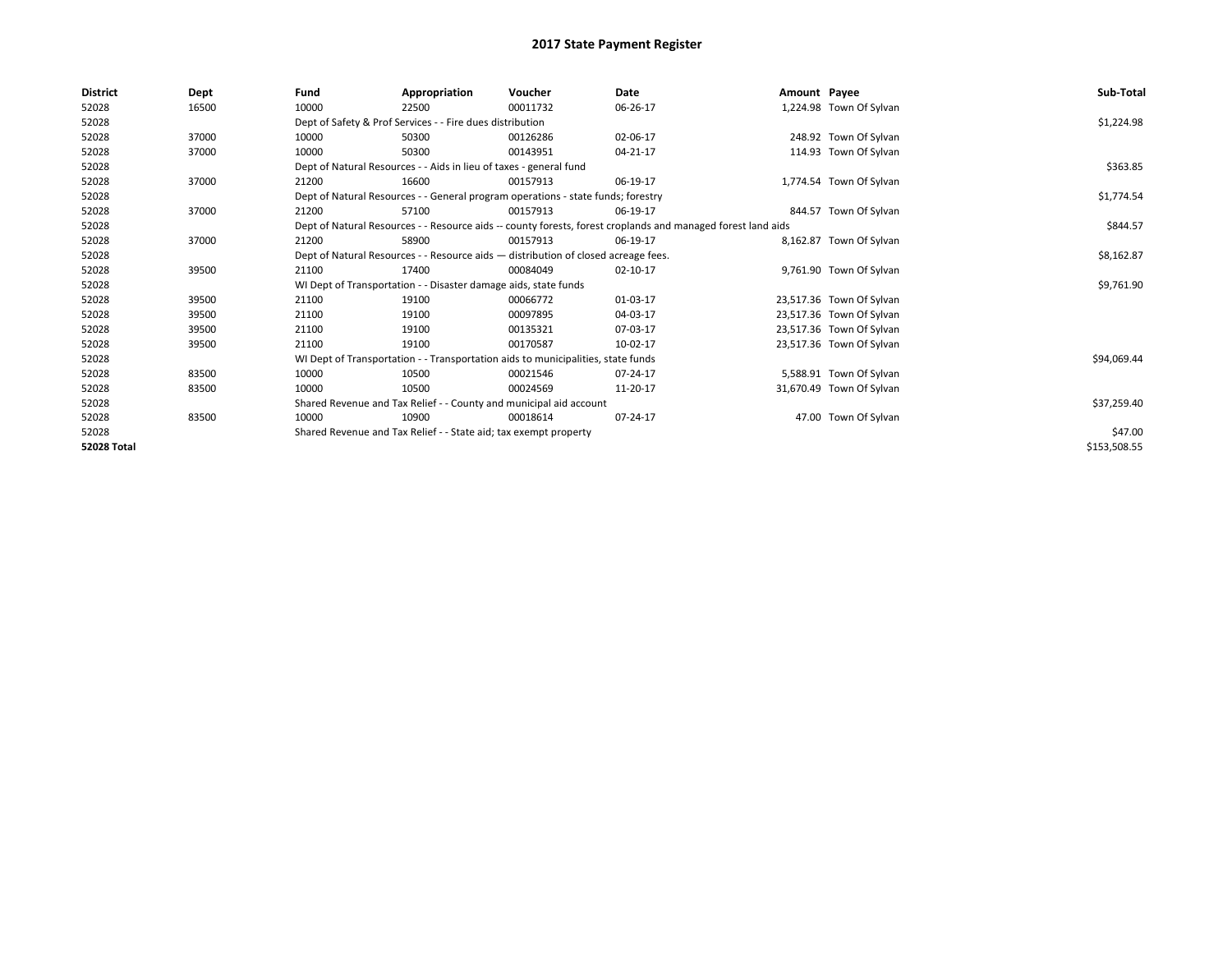| <b>District</b>    | Dept  | Fund                                                             | Appropriation                                                                      | Voucher  | Date                                                                                                         | Amount Payee |                          | Sub-Total    |
|--------------------|-------|------------------------------------------------------------------|------------------------------------------------------------------------------------|----------|--------------------------------------------------------------------------------------------------------------|--------------|--------------------------|--------------|
| 52028              | 16500 | 10000                                                            | 22500                                                                              | 00011732 | 06-26-17                                                                                                     |              | 1,224.98 Town Of Sylvan  |              |
| 52028              |       |                                                                  | Dept of Safety & Prof Services - - Fire dues distribution                          |          |                                                                                                              |              |                          | \$1,224.98   |
| 52028              | 37000 | 10000                                                            | 50300                                                                              | 00126286 | 02-06-17                                                                                                     |              | 248.92 Town Of Sylvan    |              |
| 52028              | 37000 | 10000                                                            | 50300                                                                              | 00143951 | 04-21-17                                                                                                     |              | 114.93 Town Of Sylvan    |              |
| 52028              |       |                                                                  | Dept of Natural Resources - - Aids in lieu of taxes - general fund                 |          |                                                                                                              |              |                          | \$363.85     |
| 52028              | 37000 | 21200                                                            | 16600                                                                              | 00157913 | 06-19-17                                                                                                     |              | 1,774.54 Town Of Sylvan  |              |
| 52028              |       |                                                                  | Dept of Natural Resources - - General program operations - state funds; forestry   |          |                                                                                                              |              |                          | \$1,774.54   |
| 52028              | 37000 | 21200                                                            | 57100                                                                              | 00157913 | 06-19-17                                                                                                     |              | 844.57 Town Of Sylvan    |              |
| 52028              |       |                                                                  |                                                                                    |          | Dept of Natural Resources - - Resource aids -- county forests, forest croplands and managed forest land aids |              |                          | \$844.57     |
| 52028              | 37000 | 21200                                                            | 58900                                                                              | 00157913 | 06-19-17                                                                                                     |              | 8,162.87 Town Of Sylvan  |              |
| 52028              |       |                                                                  | Dept of Natural Resources - - Resource aids - distribution of closed acreage fees. |          |                                                                                                              |              |                          | \$8,162.87   |
| 52028              | 39500 | 21100                                                            | 17400                                                                              | 00084049 | 02-10-17                                                                                                     |              | 9,761.90 Town Of Sylvan  |              |
| 52028              |       |                                                                  | WI Dept of Transportation - - Disaster damage aids, state funds                    |          |                                                                                                              |              |                          | \$9,761.90   |
| 52028              | 39500 | 21100                                                            | 19100                                                                              | 00066772 | 01-03-17                                                                                                     |              | 23,517.36 Town Of Sylvan |              |
| 52028              | 39500 | 21100                                                            | 19100                                                                              | 00097895 | 04-03-17                                                                                                     |              | 23,517.36 Town Of Sylvan |              |
| 52028              | 39500 | 21100                                                            | 19100                                                                              | 00135321 | 07-03-17                                                                                                     |              | 23,517.36 Town Of Sylvan |              |
| 52028              | 39500 | 21100                                                            | 19100                                                                              | 00170587 | 10-02-17                                                                                                     |              | 23,517.36 Town Of Sylvan |              |
| 52028              |       |                                                                  | WI Dept of Transportation - - Transportation aids to municipalities, state funds   |          |                                                                                                              |              |                          | \$94,069.44  |
| 52028              | 83500 | 10000                                                            | 10500                                                                              | 00021546 | 07-24-17                                                                                                     |              | 5,588.91 Town Of Sylvan  |              |
| 52028              | 83500 | 10000                                                            | 10500                                                                              | 00024569 | 11-20-17                                                                                                     |              | 31,670.49 Town Of Sylvan |              |
| 52028              |       |                                                                  | Shared Revenue and Tax Relief - - County and municipal aid account                 |          |                                                                                                              |              |                          | \$37,259.40  |
| 52028              | 83500 | 10000                                                            | 10900                                                                              | 00018614 | 07-24-17                                                                                                     |              | 47.00 Town Of Sylvan     |              |
| 52028              |       | Shared Revenue and Tax Relief - - State aid; tax exempt property |                                                                                    | \$47.00  |                                                                                                              |              |                          |              |
| <b>52028 Total</b> |       |                                                                  |                                                                                    |          |                                                                                                              |              |                          | \$153,508.55 |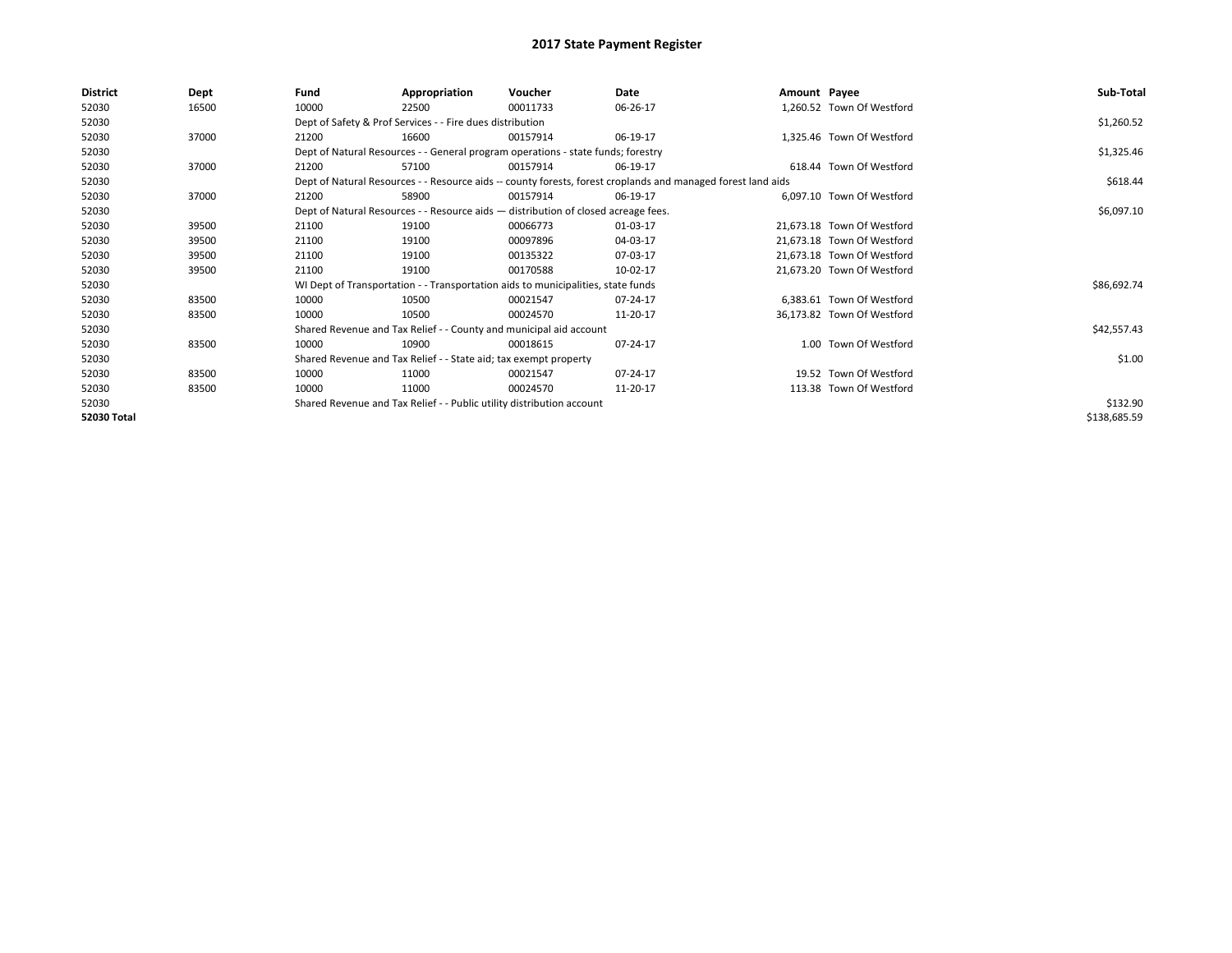| District    | Dept  | Fund  | Appropriation                                                                      | Voucher  | Date                                                                                                         | Amount Payee |                            | Sub-Total    |
|-------------|-------|-------|------------------------------------------------------------------------------------|----------|--------------------------------------------------------------------------------------------------------------|--------------|----------------------------|--------------|
| 52030       | 16500 | 10000 | 22500                                                                              | 00011733 | 06-26-17                                                                                                     |              | 1,260.52 Town Of Westford  |              |
| 52030       |       |       | Dept of Safety & Prof Services - - Fire dues distribution                          |          |                                                                                                              |              |                            | \$1,260.52   |
| 52030       | 37000 | 21200 | 16600                                                                              | 00157914 | 06-19-17                                                                                                     |              | 1,325.46 Town Of Westford  |              |
| 52030       |       |       | Dept of Natural Resources - - General program operations - state funds; forestry   |          |                                                                                                              |              |                            | \$1,325.46   |
| 52030       | 37000 | 21200 | 57100                                                                              | 00157914 | 06-19-17                                                                                                     |              | 618.44 Town Of Westford    |              |
| 52030       |       |       |                                                                                    |          | Dept of Natural Resources - - Resource aids -- county forests, forest croplands and managed forest land aids |              |                            | \$618.44     |
| 52030       | 37000 | 21200 | 58900                                                                              | 00157914 | 06-19-17                                                                                                     |              | 6.097.10 Town Of Westford  |              |
| 52030       |       |       | Dept of Natural Resources - - Resource aids - distribution of closed acreage fees. |          | \$6,097.10                                                                                                   |              |                            |              |
| 52030       | 39500 | 21100 | 19100                                                                              | 00066773 | 01-03-17                                                                                                     |              | 21,673.18 Town Of Westford |              |
| 52030       | 39500 | 21100 | 19100                                                                              | 00097896 | 04-03-17                                                                                                     |              | 21.673.18 Town Of Westford |              |
| 52030       | 39500 | 21100 | 19100                                                                              | 00135322 | 07-03-17                                                                                                     |              | 21,673.18 Town Of Westford |              |
| 52030       | 39500 | 21100 | 19100                                                                              | 00170588 | 10-02-17                                                                                                     |              | 21,673.20 Town Of Westford |              |
| 52030       |       |       | WI Dept of Transportation - - Transportation aids to municipalities, state funds   |          |                                                                                                              |              |                            | \$86,692.74  |
| 52030       | 83500 | 10000 | 10500                                                                              | 00021547 | 07-24-17                                                                                                     |              | 6,383.61 Town Of Westford  |              |
| 52030       | 83500 | 10000 | 10500                                                                              | 00024570 | 11-20-17                                                                                                     |              | 36,173.82 Town Of Westford |              |
| 52030       |       |       | Shared Revenue and Tax Relief - - County and municipal aid account                 |          |                                                                                                              |              |                            | \$42,557.43  |
| 52030       | 83500 | 10000 | 10900                                                                              | 00018615 | 07-24-17                                                                                                     |              | 1.00 Town Of Westford      |              |
| 52030       |       |       | Shared Revenue and Tax Relief - - State aid; tax exempt property                   |          |                                                                                                              |              |                            | \$1.00       |
| 52030       | 83500 | 10000 | 11000                                                                              | 00021547 | 07-24-17                                                                                                     |              | 19.52 Town Of Westford     |              |
| 52030       | 83500 | 10000 | 11000                                                                              | 00024570 | 11-20-17                                                                                                     |              | 113.38 Town Of Westford    |              |
| 52030       |       |       | Shared Revenue and Tax Relief - - Public utility distribution account              |          |                                                                                                              |              |                            | \$132.90     |
| 52030 Total |       |       |                                                                                    |          |                                                                                                              |              |                            | \$138,685.59 |
|             |       |       |                                                                                    |          |                                                                                                              |              |                            |              |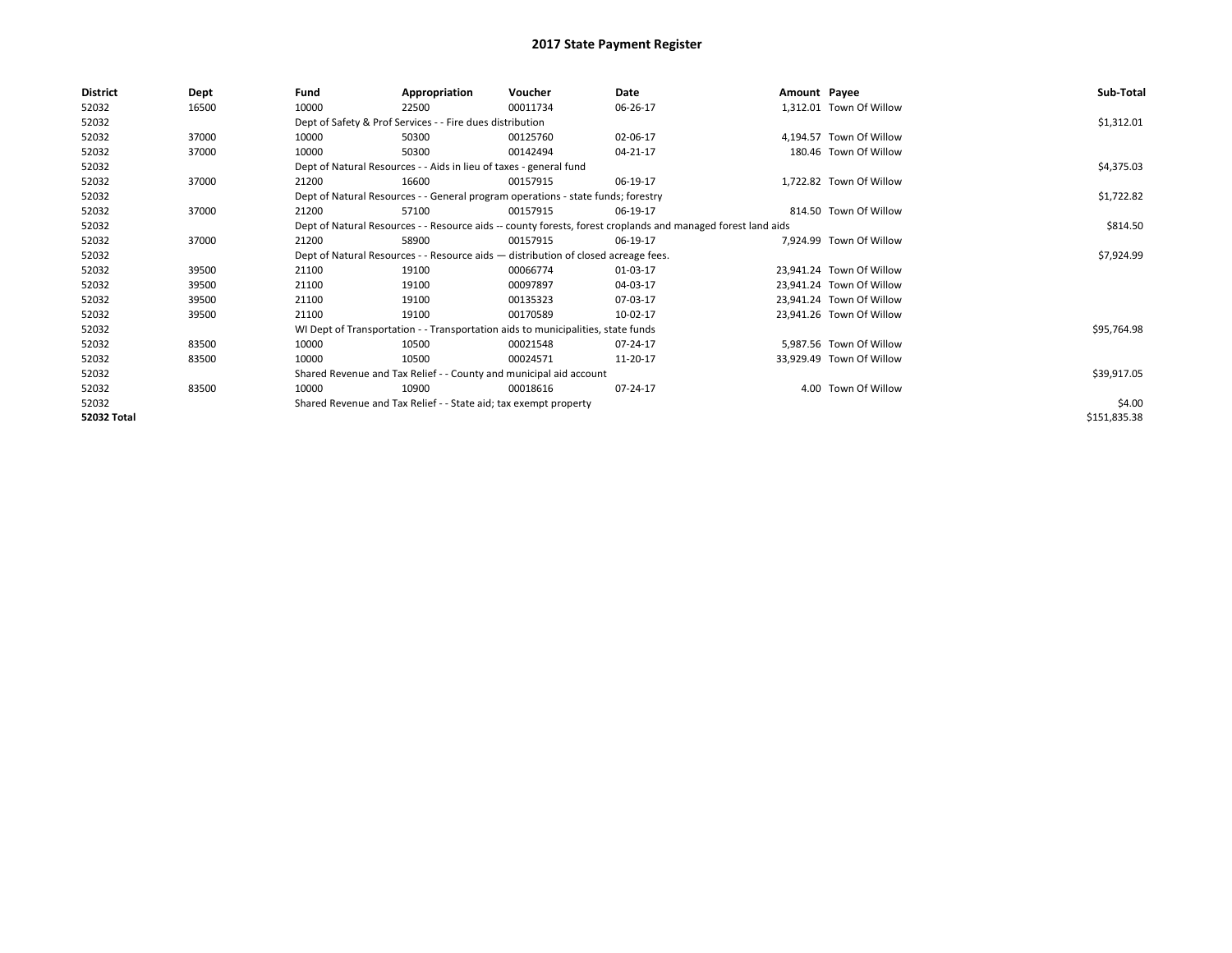| District           | Dept  | Fund  | Appropriation                                                                                                | Voucher  | Date           | Amount Payee |                          | Sub-Total    |  |  |  |
|--------------------|-------|-------|--------------------------------------------------------------------------------------------------------------|----------|----------------|--------------|--------------------------|--------------|--|--|--|
| 52032              | 16500 | 10000 | 22500                                                                                                        | 00011734 | 06-26-17       |              | 1,312.01 Town Of Willow  |              |  |  |  |
| 52032              |       |       | Dept of Safety & Prof Services - - Fire dues distribution                                                    |          |                |              |                          | \$1,312.01   |  |  |  |
| 52032              | 37000 | 10000 | 50300                                                                                                        | 00125760 | 02-06-17       |              | 4.194.57 Town Of Willow  |              |  |  |  |
| 52032              | 37000 | 10000 | 50300                                                                                                        | 00142494 | 04-21-17       |              | 180.46 Town Of Willow    |              |  |  |  |
| 52032              |       |       | Dept of Natural Resources - - Aids in lieu of taxes - general fund                                           |          |                |              |                          | \$4,375.03   |  |  |  |
| 52032              | 37000 | 21200 | 16600                                                                                                        | 00157915 | 06-19-17       |              | 1,722.82 Town Of Willow  |              |  |  |  |
| 52032              |       |       | Dept of Natural Resources - - General program operations - state funds; forestry                             |          |                |              |                          | \$1,722.82   |  |  |  |
| 52032              | 37000 | 21200 | 57100                                                                                                        | 00157915 | 06-19-17       |              | 814.50 Town Of Willow    |              |  |  |  |
| 52032              |       |       | Dept of Natural Resources - - Resource aids -- county forests, forest croplands and managed forest land aids |          |                |              |                          |              |  |  |  |
| 52032              | 37000 | 21200 | 58900                                                                                                        | 00157915 | 06-19-17       |              | 7.924.99 Town Of Willow  |              |  |  |  |
| 52032              |       |       | Dept of Natural Resources - - Resource aids - distribution of closed acreage fees.                           |          |                |              |                          | \$7,924.99   |  |  |  |
| 52032              | 39500 | 21100 | 19100                                                                                                        | 00066774 | 01-03-17       |              | 23,941.24 Town Of Willow |              |  |  |  |
| 52032              | 39500 | 21100 | 19100                                                                                                        | 00097897 | 04-03-17       |              | 23,941.24 Town Of Willow |              |  |  |  |
| 52032              | 39500 | 21100 | 19100                                                                                                        | 00135323 | 07-03-17       |              | 23,941.24 Town Of Willow |              |  |  |  |
| 52032              | 39500 | 21100 | 19100                                                                                                        | 00170589 | 10-02-17       |              | 23,941.26 Town Of Willow |              |  |  |  |
| 52032              |       |       | WI Dept of Transportation - - Transportation aids to municipalities, state funds                             |          |                |              |                          | \$95,764.98  |  |  |  |
| 52032              | 83500 | 10000 | 10500                                                                                                        | 00021548 | 07-24-17       |              | 5,987.56 Town Of Willow  |              |  |  |  |
| 52032              | 83500 | 10000 | 10500                                                                                                        | 00024571 | 11-20-17       |              | 33,929.49 Town Of Willow |              |  |  |  |
| 52032              |       |       | Shared Revenue and Tax Relief - - County and municipal aid account                                           |          |                |              |                          | \$39,917.05  |  |  |  |
| 52032              | 83500 | 10000 | 10900                                                                                                        | 00018616 | $07 - 24 - 17$ |              | 4.00 Town Of Willow      |              |  |  |  |
| 52032              |       |       | Shared Revenue and Tax Relief - - State aid; tax exempt property                                             |          |                |              |                          | \$4.00       |  |  |  |
| <b>52032 Total</b> |       |       |                                                                                                              |          |                |              |                          | \$151,835.38 |  |  |  |
|                    |       |       |                                                                                                              |          |                |              |                          |              |  |  |  |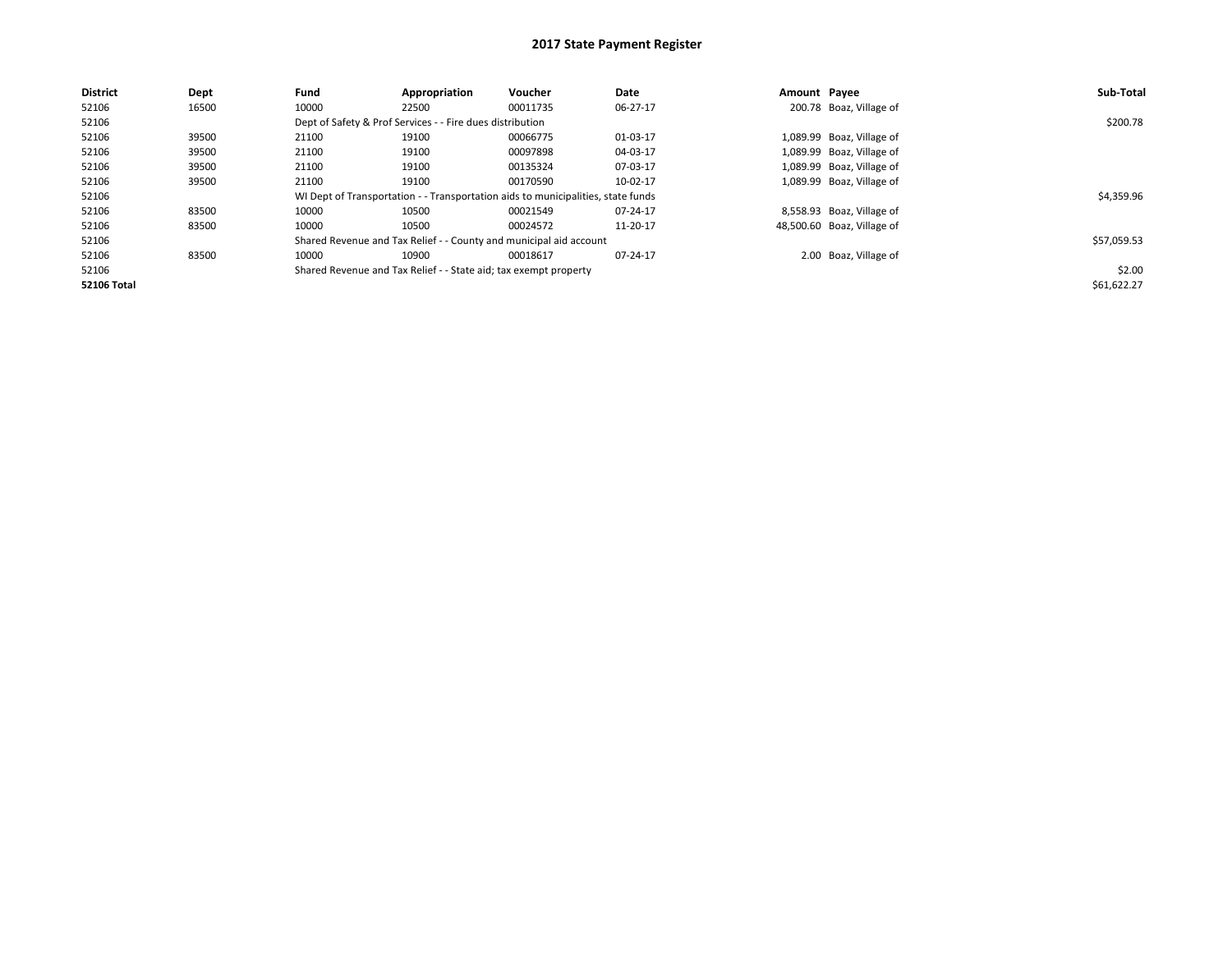| <b>District</b>    | Dept  | Fund  | Appropriation                                                    | <b>Voucher</b>                                                                   | Date     | Amount Payee |                            | Sub-Total   |
|--------------------|-------|-------|------------------------------------------------------------------|----------------------------------------------------------------------------------|----------|--------------|----------------------------|-------------|
| 52106              | 16500 | 10000 | 22500                                                            | 00011735                                                                         | 06-27-17 |              | 200.78 Boaz, Village of    |             |
| 52106              |       |       | Dept of Safety & Prof Services - - Fire dues distribution        |                                                                                  |          |              |                            | \$200.78    |
| 52106              | 39500 | 21100 | 19100                                                            | 00066775                                                                         | 01-03-17 |              | 1,089.99 Boaz, Village of  |             |
| 52106              | 39500 | 21100 | 19100                                                            | 00097898                                                                         | 04-03-17 |              | 1,089.99 Boaz, Village of  |             |
| 52106              | 39500 | 21100 | 19100                                                            | 00135324                                                                         | 07-03-17 |              | 1,089.99 Boaz, Village of  |             |
| 52106              | 39500 | 21100 | 19100                                                            | 00170590                                                                         | 10-02-17 |              | 1,089.99 Boaz, Village of  |             |
| 52106              |       |       |                                                                  | WI Dept of Transportation - - Transportation aids to municipalities, state funds |          |              |                            | \$4,359.96  |
| 52106              | 83500 | 10000 | 10500                                                            | 00021549                                                                         | 07-24-17 |              | 8,558.93 Boaz, Village of  |             |
| 52106              | 83500 | 10000 | 10500                                                            | 00024572                                                                         | 11-20-17 |              | 48,500.60 Boaz, Village of |             |
| 52106              |       |       |                                                                  | Shared Revenue and Tax Relief - - County and municipal aid account               |          |              |                            | \$57,059.53 |
| 52106              | 83500 | 10000 | 10900                                                            | 00018617                                                                         | 07-24-17 |              | 2.00 Boaz, Village of      |             |
| 52106              |       |       | Shared Revenue and Tax Relief - - State aid; tax exempt property |                                                                                  |          |              |                            | \$2.00      |
| <b>52106 Total</b> |       |       |                                                                  |                                                                                  |          |              |                            | \$61,622.27 |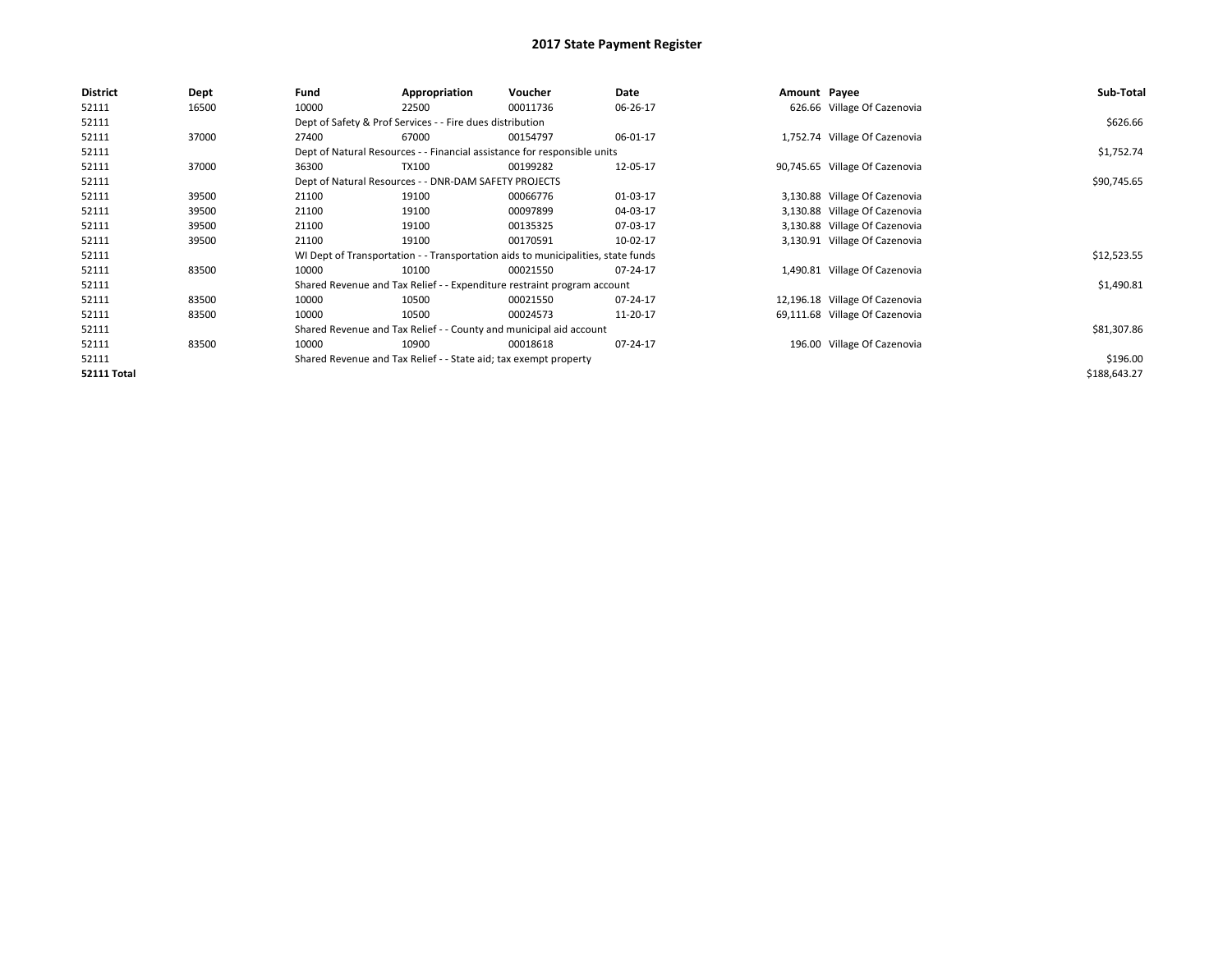| <b>District</b>    | Dept  | Fund  | Appropriation                                                                    | Voucher  | Date     | Amount Payee |                                | Sub-Total    |
|--------------------|-------|-------|----------------------------------------------------------------------------------|----------|----------|--------------|--------------------------------|--------------|
| 52111              | 16500 | 10000 | 22500                                                                            | 00011736 | 06-26-17 |              | 626.66 Village Of Cazenovia    |              |
| 52111              |       |       | Dept of Safety & Prof Services - - Fire dues distribution                        |          |          |              |                                | \$626.66     |
| 52111              | 37000 | 27400 | 67000                                                                            | 00154797 | 06-01-17 |              | 1,752.74 Village Of Cazenovia  |              |
| 52111              |       |       | Dept of Natural Resources - - Financial assistance for responsible units         |          |          |              |                                | \$1,752.74   |
| 52111              | 37000 | 36300 | <b>TX100</b>                                                                     | 00199282 | 12-05-17 |              | 90,745.65 Village Of Cazenovia |              |
| 52111              |       |       | Dept of Natural Resources - - DNR-DAM SAFETY PROJECTS                            |          |          |              |                                | \$90,745.65  |
| 52111              | 39500 | 21100 | 19100                                                                            | 00066776 | 01-03-17 |              | 3,130.88 Village Of Cazenovia  |              |
| 52111              | 39500 | 21100 | 19100                                                                            | 00097899 | 04-03-17 |              | 3,130.88 Village Of Cazenovia  |              |
| 52111              | 39500 | 21100 | 19100                                                                            | 00135325 | 07-03-17 |              | 3,130.88 Village Of Cazenovia  |              |
| 52111              | 39500 | 21100 | 19100                                                                            | 00170591 | 10-02-17 |              | 3,130.91 Village Of Cazenovia  |              |
| 52111              |       |       | WI Dept of Transportation - - Transportation aids to municipalities, state funds |          |          |              |                                | \$12,523.55  |
| 52111              | 83500 | 10000 | 10100                                                                            | 00021550 | 07-24-17 |              | 1,490.81 Village Of Cazenovia  |              |
| 52111              |       |       | Shared Revenue and Tax Relief - - Expenditure restraint program account          |          |          |              |                                | \$1,490.81   |
| 52111              | 83500 | 10000 | 10500                                                                            | 00021550 | 07-24-17 |              | 12,196.18 Village Of Cazenovia |              |
| 52111              | 83500 | 10000 | 10500                                                                            | 00024573 | 11-20-17 |              | 69,111.68 Village Of Cazenovia |              |
| 52111              |       |       | Shared Revenue and Tax Relief - - County and municipal aid account               |          |          |              |                                | \$81,307.86  |
| 52111              | 83500 | 10000 | 10900                                                                            | 00018618 | 07-24-17 |              | 196.00 Village Of Cazenovia    |              |
| 52111              |       |       | Shared Revenue and Tax Relief - - State aid; tax exempt property                 |          |          |              |                                | \$196.00     |
| <b>52111 Total</b> |       |       |                                                                                  |          |          |              |                                | \$188,643.27 |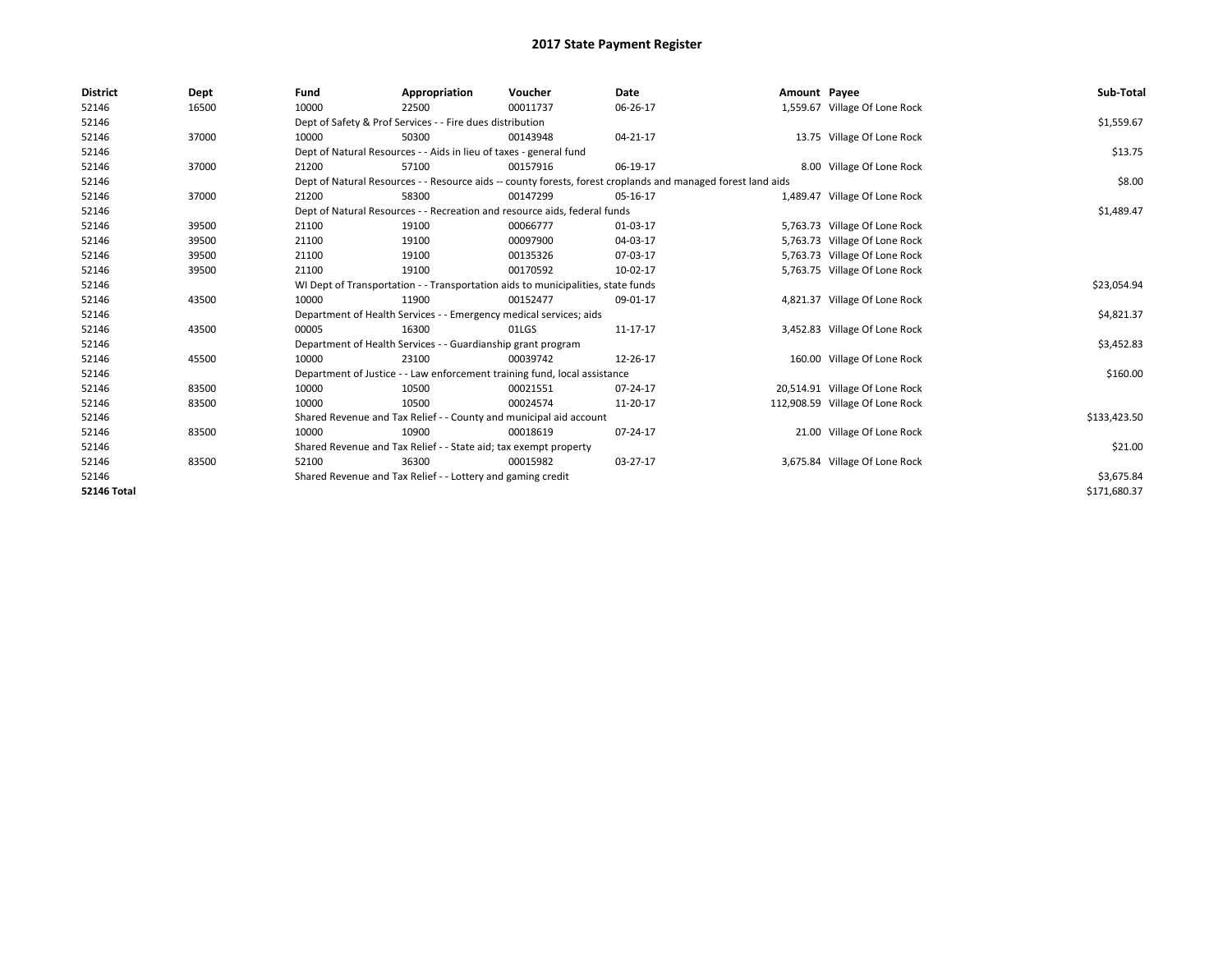| <b>District</b>    | Dept  | Fund  | Appropriation                                                                    | Voucher  | Date                                                                                                         | Amount Payee |                                 | Sub-Total    |
|--------------------|-------|-------|----------------------------------------------------------------------------------|----------|--------------------------------------------------------------------------------------------------------------|--------------|---------------------------------|--------------|
| 52146              | 16500 | 10000 | 22500                                                                            | 00011737 | 06-26-17                                                                                                     |              | 1,559.67 Village Of Lone Rock   |              |
| 52146              |       |       | Dept of Safety & Prof Services - - Fire dues distribution                        |          |                                                                                                              |              |                                 | \$1,559.67   |
| 52146              | 37000 | 10000 | 50300                                                                            | 00143948 | 04-21-17                                                                                                     |              | 13.75 Village Of Lone Rock      |              |
| 52146              |       |       | Dept of Natural Resources - - Aids in lieu of taxes - general fund               |          |                                                                                                              |              |                                 | \$13.75      |
| 52146              | 37000 | 21200 | 57100                                                                            | 00157916 | 06-19-17                                                                                                     |              | 8.00 Village Of Lone Rock       |              |
| 52146              |       |       |                                                                                  |          | Dept of Natural Resources - - Resource aids -- county forests, forest croplands and managed forest land aids |              |                                 | \$8.00       |
| 52146              | 37000 | 21200 | 58300                                                                            | 00147299 | 05-16-17                                                                                                     |              | 1,489.47 Village Of Lone Rock   |              |
| 52146              |       |       | Dept of Natural Resources - - Recreation and resource aids, federal funds        |          |                                                                                                              |              |                                 | \$1,489.47   |
| 52146              | 39500 | 21100 | 19100                                                                            | 00066777 | 01-03-17                                                                                                     |              | 5,763.73 Village Of Lone Rock   |              |
| 52146              | 39500 | 21100 | 19100                                                                            | 00097900 | 04-03-17                                                                                                     |              | 5,763.73 Village Of Lone Rock   |              |
| 52146              | 39500 | 21100 | 19100                                                                            | 00135326 | 07-03-17                                                                                                     |              | 5,763.73 Village Of Lone Rock   |              |
| 52146              | 39500 | 21100 | 19100                                                                            | 00170592 | 10-02-17                                                                                                     |              | 5,763.75 Village Of Lone Rock   |              |
| 52146              |       |       | WI Dept of Transportation - - Transportation aids to municipalities, state funds |          |                                                                                                              |              |                                 | \$23,054.94  |
| 52146              | 43500 | 10000 | 11900                                                                            | 00152477 | 09-01-17                                                                                                     |              | 4,821.37 Village Of Lone Rock   |              |
| 52146              |       |       | Department of Health Services - - Emergency medical services; aids               |          |                                                                                                              |              |                                 | \$4,821.37   |
| 52146              | 43500 | 00005 | 16300                                                                            | 01LGS    | 11-17-17                                                                                                     |              | 3,452.83 Village Of Lone Rock   |              |
| 52146              |       |       | Department of Health Services - - Guardianship grant program                     |          |                                                                                                              |              |                                 | \$3,452.83   |
| 52146              | 45500 | 10000 | 23100                                                                            | 00039742 | 12-26-17                                                                                                     |              | 160.00 Village Of Lone Rock     |              |
| 52146              |       |       | Department of Justice - - Law enforcement training fund, local assistance        |          |                                                                                                              |              |                                 | \$160.00     |
| 52146              | 83500 | 10000 | 10500                                                                            | 00021551 | 07-24-17                                                                                                     |              | 20,514.91 Village Of Lone Rock  |              |
| 52146              | 83500 | 10000 | 10500                                                                            | 00024574 | 11-20-17                                                                                                     |              | 112,908.59 Village Of Lone Rock |              |
| 52146              |       |       | Shared Revenue and Tax Relief - - County and municipal aid account               |          |                                                                                                              |              |                                 | \$133,423.50 |
| 52146              | 83500 | 10000 | 10900                                                                            | 00018619 | 07-24-17                                                                                                     |              | 21.00 Village Of Lone Rock      |              |
| 52146              |       |       | Shared Revenue and Tax Relief - - State aid; tax exempt property                 |          |                                                                                                              |              |                                 | \$21.00      |
| 52146              | 83500 | 52100 | 36300                                                                            | 00015982 | 03-27-17                                                                                                     |              | 3,675.84 Village Of Lone Rock   |              |
| 52146              |       |       | Shared Revenue and Tax Relief - - Lottery and gaming credit                      |          |                                                                                                              |              |                                 | \$3,675.84   |
| <b>52146 Total</b> |       |       |                                                                                  |          |                                                                                                              |              |                                 | \$171,680.37 |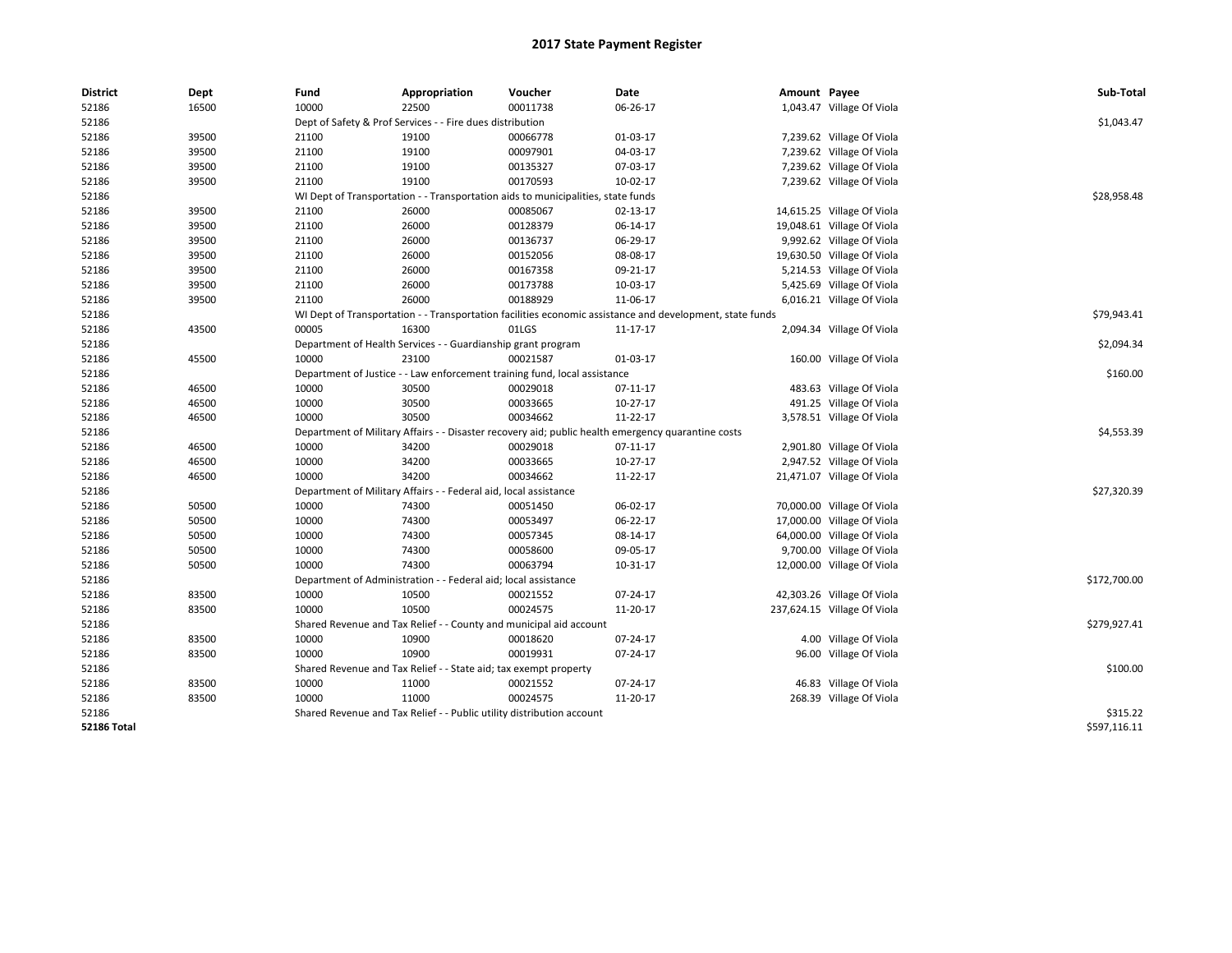| <b>District</b>    | Dept  | Fund  | Appropriation                                                                    | Voucher  | Date                                                                                                     | Amount Payee |                             | Sub-Total    |
|--------------------|-------|-------|----------------------------------------------------------------------------------|----------|----------------------------------------------------------------------------------------------------------|--------------|-----------------------------|--------------|
| 52186              | 16500 | 10000 | 22500                                                                            | 00011738 | 06-26-17                                                                                                 |              | 1,043.47 Village Of Viola   |              |
| 52186              |       |       | Dept of Safety & Prof Services - - Fire dues distribution                        |          |                                                                                                          |              |                             | \$1,043.47   |
| 52186              | 39500 | 21100 | 19100                                                                            | 00066778 | 01-03-17                                                                                                 |              | 7,239.62 Village Of Viola   |              |
| 52186              | 39500 | 21100 | 19100                                                                            | 00097901 | 04-03-17                                                                                                 |              | 7,239.62 Village Of Viola   |              |
| 52186              | 39500 | 21100 | 19100                                                                            | 00135327 | 07-03-17                                                                                                 |              | 7,239.62 Village Of Viola   |              |
| 52186              | 39500 | 21100 | 19100                                                                            | 00170593 | 10-02-17                                                                                                 |              | 7,239.62 Village Of Viola   |              |
| 52186              |       |       | WI Dept of Transportation - - Transportation aids to municipalities, state funds |          |                                                                                                          |              |                             | \$28,958.48  |
| 52186              | 39500 | 21100 | 26000                                                                            | 00085067 | 02-13-17                                                                                                 |              | 14,615.25 Village Of Viola  |              |
| 52186              | 39500 | 21100 | 26000                                                                            | 00128379 | 06-14-17                                                                                                 |              | 19,048.61 Village Of Viola  |              |
| 52186              | 39500 | 21100 | 26000                                                                            | 00136737 | 06-29-17                                                                                                 |              | 9,992.62 Village Of Viola   |              |
| 52186              | 39500 | 21100 | 26000                                                                            | 00152056 | 08-08-17                                                                                                 |              | 19,630.50 Village Of Viola  |              |
| 52186              | 39500 | 21100 | 26000                                                                            | 00167358 | 09-21-17                                                                                                 |              | 5,214.53 Village Of Viola   |              |
| 52186              | 39500 | 21100 | 26000                                                                            | 00173788 | 10-03-17                                                                                                 |              | 5,425.69 Village Of Viola   |              |
| 52186              | 39500 | 21100 | 26000                                                                            | 00188929 | 11-06-17                                                                                                 |              | 6,016.21 Village Of Viola   |              |
| 52186              |       |       |                                                                                  |          | WI Dept of Transportation - - Transportation facilities economic assistance and development, state funds |              |                             | \$79,943.41  |
| 52186              | 43500 | 00005 | 16300                                                                            | 01LGS    | 11-17-17                                                                                                 |              | 2,094.34 Village Of Viola   |              |
| 52186              |       |       | Department of Health Services - - Guardianship grant program                     |          |                                                                                                          |              |                             | \$2,094.34   |
| 52186              | 45500 | 10000 | 23100                                                                            | 00021587 | 01-03-17                                                                                                 |              | 160.00 Village Of Viola     |              |
| 52186              |       |       | Department of Justice - - Law enforcement training fund, local assistance        |          |                                                                                                          |              |                             | \$160.00     |
| 52186              | 46500 | 10000 | 30500                                                                            | 00029018 | 07-11-17                                                                                                 |              | 483.63 Village Of Viola     |              |
| 52186              | 46500 | 10000 | 30500                                                                            | 00033665 | 10-27-17                                                                                                 |              | 491.25 Village Of Viola     |              |
| 52186              | 46500 | 10000 | 30500                                                                            | 00034662 | 11-22-17                                                                                                 |              | 3,578.51 Village Of Viola   |              |
| 52186              |       |       |                                                                                  |          | Department of Military Affairs - - Disaster recovery aid; public health emergency quarantine costs       |              |                             | \$4,553.39   |
| 52186              | 46500 | 10000 | 34200                                                                            | 00029018 | 07-11-17                                                                                                 |              | 2,901.80 Village Of Viola   |              |
| 52186              | 46500 | 10000 | 34200                                                                            | 00033665 | 10-27-17                                                                                                 |              | 2,947.52 Village Of Viola   |              |
| 52186              | 46500 | 10000 | 34200                                                                            | 00034662 | 11-22-17                                                                                                 |              | 21,471.07 Village Of Viola  |              |
| 52186              |       |       | Department of Military Affairs - - Federal aid, local assistance                 |          |                                                                                                          |              |                             | \$27,320.39  |
| 52186              | 50500 | 10000 | 74300                                                                            | 00051450 | 06-02-17                                                                                                 |              | 70,000.00 Village Of Viola  |              |
| 52186              | 50500 | 10000 | 74300                                                                            | 00053497 | 06-22-17                                                                                                 |              | 17,000.00 Village Of Viola  |              |
| 52186              | 50500 | 10000 | 74300                                                                            | 00057345 | 08-14-17                                                                                                 |              | 64,000.00 Village Of Viola  |              |
| 52186              | 50500 | 10000 | 74300                                                                            | 00058600 | 09-05-17                                                                                                 |              | 9,700.00 Village Of Viola   |              |
| 52186              | 50500 | 10000 | 74300                                                                            | 00063794 | 10-31-17                                                                                                 |              | 12,000.00 Village Of Viola  |              |
| 52186              |       |       | Department of Administration - - Federal aid; local assistance                   |          |                                                                                                          |              |                             | \$172,700.00 |
| 52186              | 83500 | 10000 | 10500                                                                            | 00021552 | 07-24-17                                                                                                 |              | 42,303.26 Village Of Viola  |              |
| 52186              | 83500 | 10000 | 10500                                                                            | 00024575 | 11-20-17                                                                                                 |              | 237,624.15 Village Of Viola |              |
| 52186              |       |       | Shared Revenue and Tax Relief - - County and municipal aid account               |          |                                                                                                          |              |                             | \$279,927.41 |
| 52186              | 83500 | 10000 | 10900                                                                            | 00018620 | 07-24-17                                                                                                 |              | 4.00 Village Of Viola       |              |
| 52186              | 83500 | 10000 | 10900                                                                            | 00019931 | 07-24-17                                                                                                 |              | 96.00 Village Of Viola      |              |
| 52186              |       |       | Shared Revenue and Tax Relief - - State aid; tax exempt property                 |          |                                                                                                          |              |                             | \$100.00     |
| 52186              | 83500 | 10000 | 11000                                                                            | 00021552 | 07-24-17                                                                                                 |              | 46.83 Village Of Viola      |              |
| 52186              | 83500 | 10000 | 11000                                                                            | 00024575 | 11-20-17                                                                                                 |              | 268.39 Village Of Viola     |              |
| 52186              |       |       | Shared Revenue and Tax Relief - - Public utility distribution account            |          |                                                                                                          |              |                             | \$315.22     |
| <b>52186 Total</b> |       |       |                                                                                  |          |                                                                                                          |              |                             | \$597,116.11 |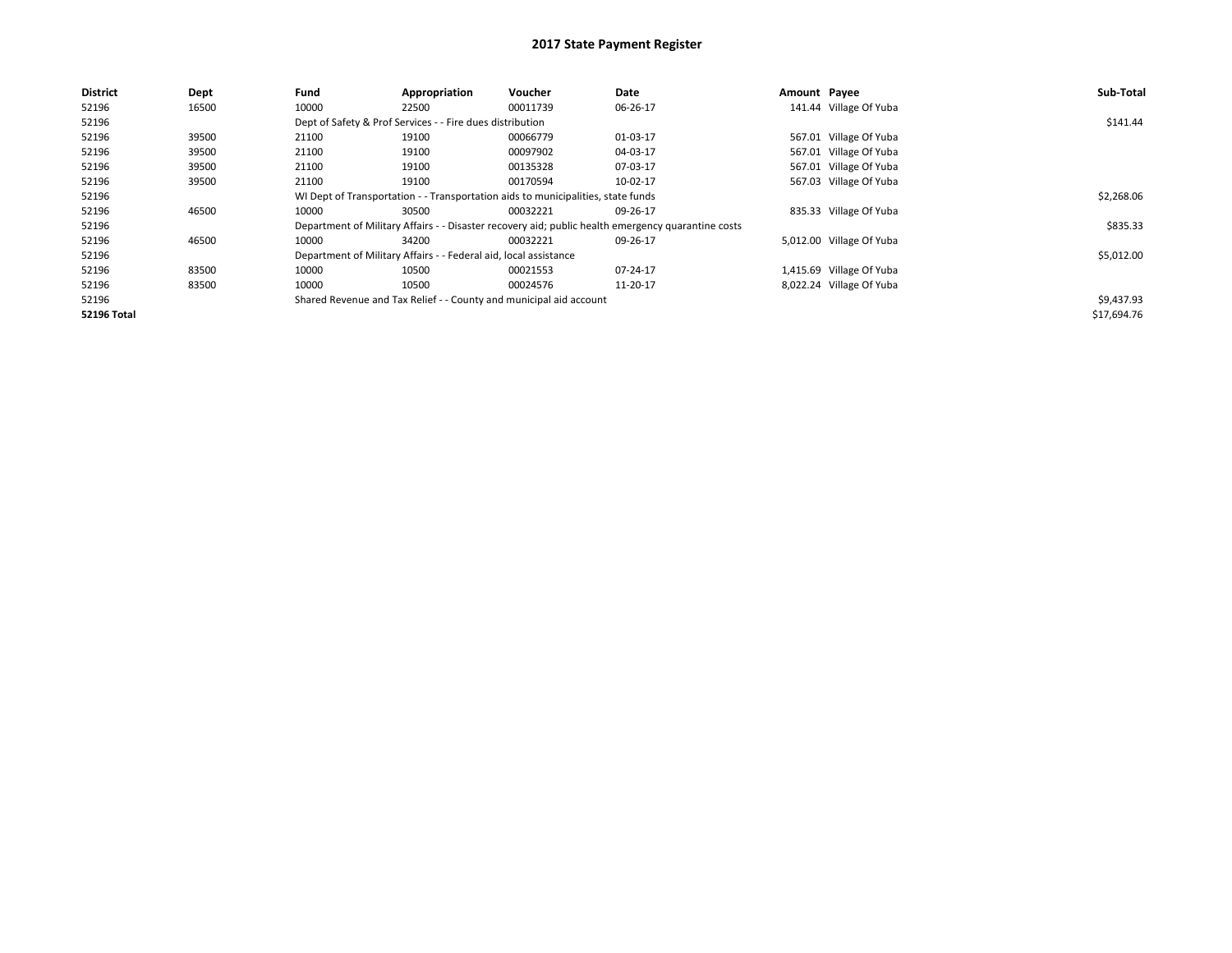| <b>District</b>    | Dept  | Fund                                                                                               | Appropriation | Voucher    | Date     | Amount Payee |                          | Sub-Total   |
|--------------------|-------|----------------------------------------------------------------------------------------------------|---------------|------------|----------|--------------|--------------------------|-------------|
| 52196              | 16500 | 10000                                                                                              | 22500         | 00011739   | 06-26-17 |              | 141.44 Village Of Yuba   |             |
| 52196              |       | Dept of Safety & Prof Services - - Fire dues distribution                                          |               | \$141.44   |          |              |                          |             |
| 52196              | 39500 | 21100                                                                                              | 19100         | 00066779   | 01-03-17 |              | 567.01 Village Of Yuba   |             |
| 52196              | 39500 | 21100                                                                                              | 19100         | 00097902   | 04-03-17 |              | 567.01 Village Of Yuba   |             |
| 52196              | 39500 | 21100                                                                                              | 19100         | 00135328   | 07-03-17 |              | 567.01 Village Of Yuba   |             |
| 52196              | 39500 | 21100                                                                                              | 19100         | 00170594   | 10-02-17 |              | 567.03 Village Of Yuba   |             |
| 52196              |       | WI Dept of Transportation - - Transportation aids to municipalities, state funds                   |               | \$2,268.06 |          |              |                          |             |
| 52196              | 46500 | 10000                                                                                              | 30500         | 00032221   | 09-26-17 |              | 835.33 Village Of Yuba   |             |
| 52196              |       | Department of Military Affairs - - Disaster recovery aid; public health emergency quarantine costs |               | \$835.33   |          |              |                          |             |
| 52196              | 46500 | 10000                                                                                              | 34200         | 00032221   | 09-26-17 |              | 5,012.00 Village Of Yuba |             |
| 52196              |       | Department of Military Affairs - - Federal aid, local assistance                                   |               | \$5,012.00 |          |              |                          |             |
| 52196              | 83500 | 10000                                                                                              | 10500         | 00021553   | 07-24-17 |              | 1,415.69 Village Of Yuba |             |
| 52196              | 83500 | 10000                                                                                              | 10500         | 00024576   | 11-20-17 |              | 8,022.24 Village Of Yuba |             |
| 52196              |       | Shared Revenue and Tax Relief - - County and municipal aid account                                 |               | \$9,437.93 |          |              |                          |             |
| <b>52196 Total</b> |       |                                                                                                    |               |            |          |              |                          | \$17,694.76 |